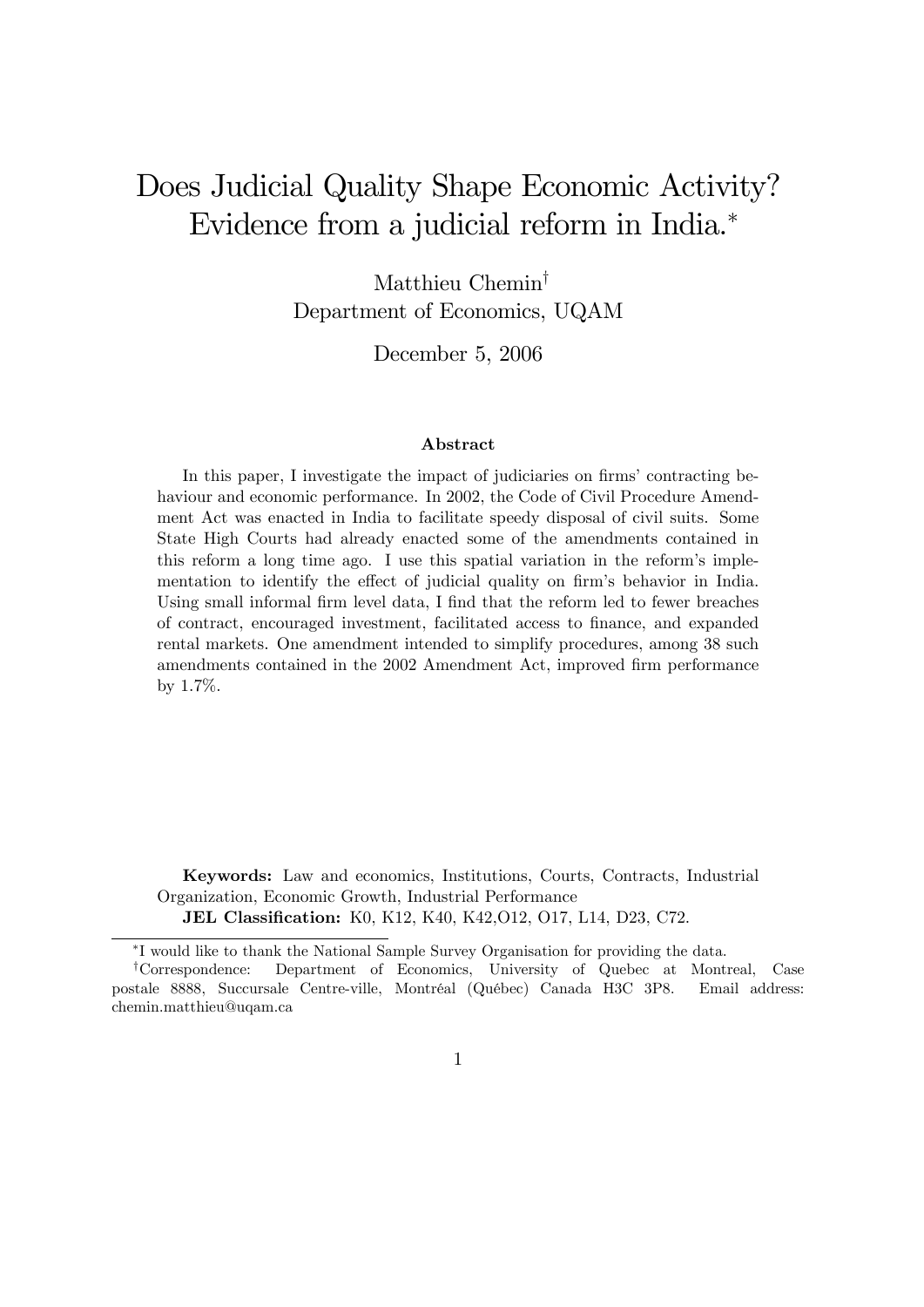# Does Judicial Quality Shape Economic Activity? Evidence from a judicial reform in India.

Matthieu Chemin<sup>†</sup> Department of Economics, UQAM

December 5, 2006

#### Abstract

In this paper, I investigate the impact of judiciaries on firms' contracting behaviour and economic performance. In 2002, the Code of Civil Procedure Amendment Act was enacted in India to facilitate speedy disposal of civil suits. Some State High Courts had already enacted some of the amendments contained in this reform a long time ago. I use this spatial variation in the reformís implementation to identify the effect of judicial quality on firm's behavior in India. Using small informal firm level data, I find that the reform led to fewer breaches of contract, encouraged investment, facilitated access to Önance, and expanded rental markets. One amendment intended to simplify procedures, among 38 such amendments contained in the 2002 Amendment Act, improved firm performance by 1.7%.

Keywords: Law and economics, Institutions, Courts, Contracts, Industrial Organization, Economic Growth, Industrial Performance **JEL Classification:** K0, K12, K40, K42, O12, O17, L14, D23, C72.

<sup>&</sup>lt;sup>\*</sup>I would like to thank the National Sample Survey Organisation for providing the data.

<sup>y</sup>Correspondence: Department of Economics, University of Quebec at Montreal, Case postale 8888, Succursale Centre-ville, Montréal (Québec) Canada H3C 3P8. Email address: chemin.matthieu@uqam.ca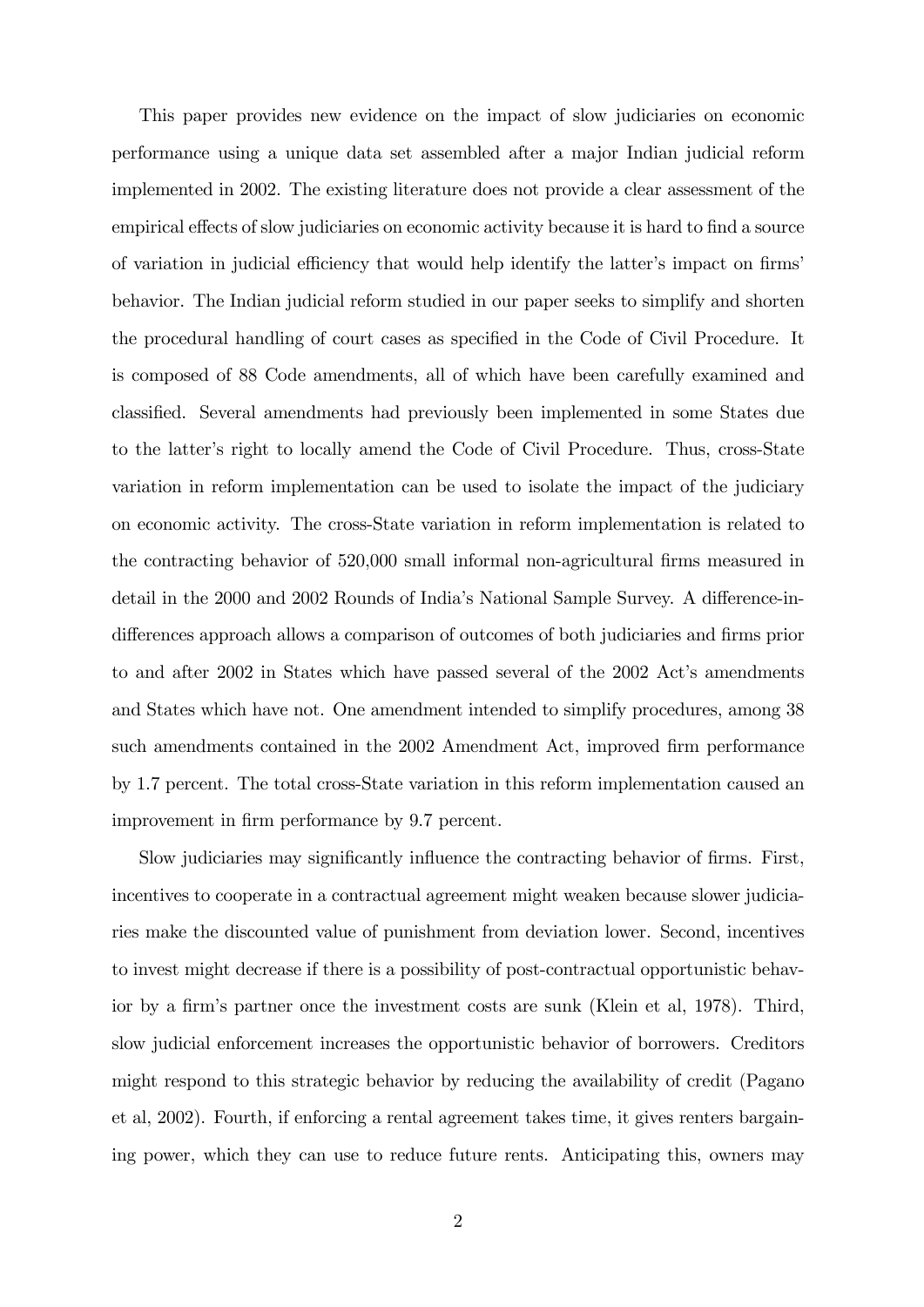This paper provides new evidence on the impact of slow judiciaries on economic performance using a unique data set assembled after a major Indian judicial reform implemented in 2002. The existing literature does not provide a clear assessment of the empirical effects of slow judiciaries on economic activity because it is hard to find a source of variation in judicial efficiency that would help identify the latter's impact on firms' behavior. The Indian judicial reform studied in our paper seeks to simplify and shorten the procedural handling of court cases as specified in the Code of Civil Procedure. It is composed of 88 Code amendments, all of which have been carefully examined and classified. Several amendments had previously been implemented in some States due to the latter's right to locally amend the Code of Civil Procedure. Thus, cross-State variation in reform implementation can be used to isolate the impact of the judiciary on economic activity. The cross-State variation in reform implementation is related to the contracting behavior of 520,000 small informal non-agricultural firms measured in detail in the 2000 and 2002 Rounds of India's National Sample Survey. A difference-indifferences approach allows a comparison of outcomes of both judiciaries and firms prior to and after 2002 in States which have passed several of the 2002 Act's amendments and States which have not. One amendment intended to simplify procedures, among 38 such amendments contained in the 2002 Amendment Act, improved firm performance by 1.7 percent. The total cross-State variation in this reform implementation caused an improvement in firm performance by 9.7 percent.

Slow judiciaries may significantly influence the contracting behavior of firms. First, incentives to cooperate in a contractual agreement might weaken because slower judiciaries make the discounted value of punishment from deviation lower. Second, incentives to invest might decrease if there is a possibility of post-contractual opportunistic behavior by a firm's partner once the investment costs are sunk (Klein et al, 1978). Third, slow judicial enforcement increases the opportunistic behavior of borrowers. Creditors might respond to this strategic behavior by reducing the availability of credit (Pagano et al, 2002). Fourth, if enforcing a rental agreement takes time, it gives renters bargaining power, which they can use to reduce future rents. Anticipating this, owners may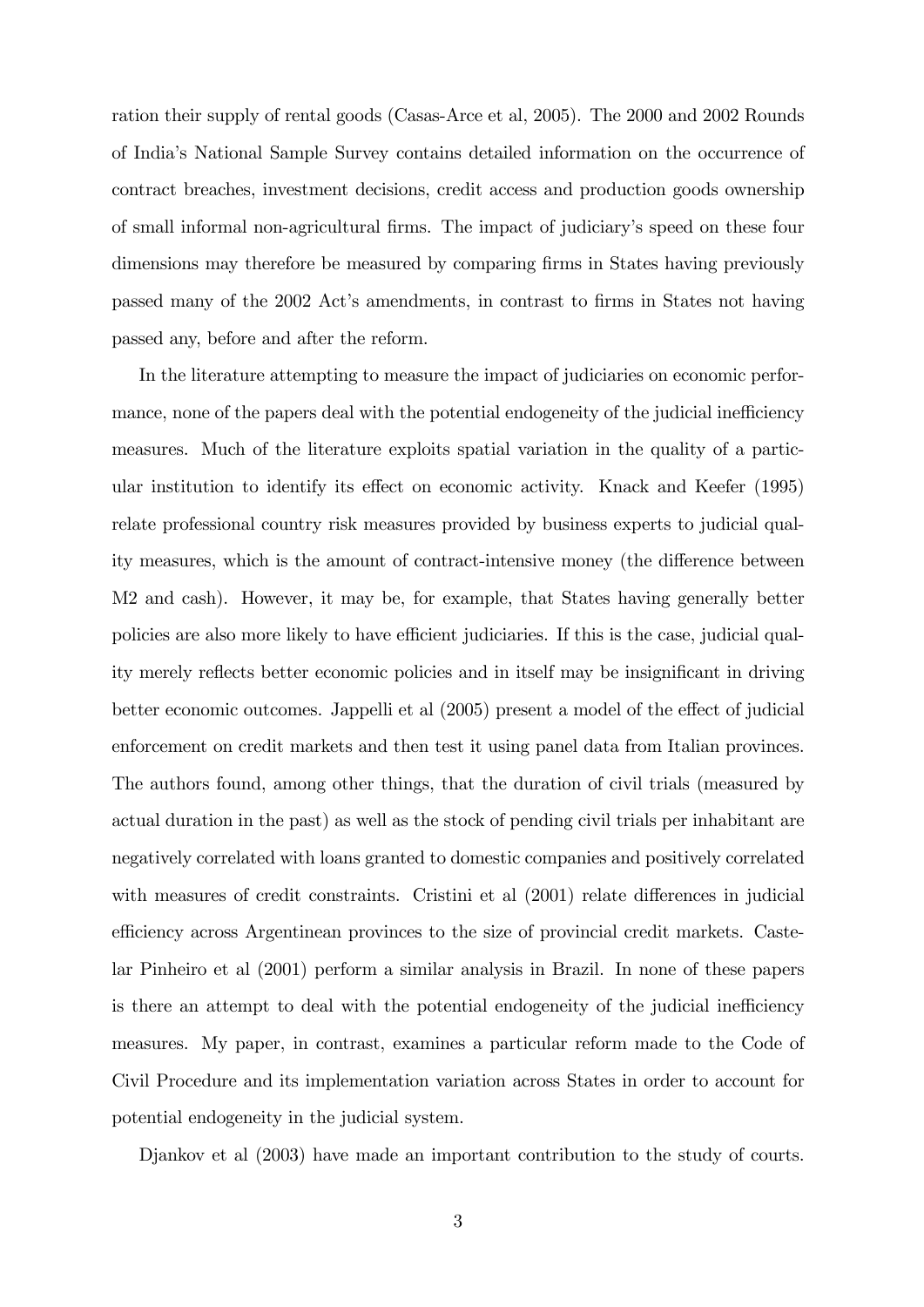ration their supply of rental goods (Casas-Arce et al, 2005). The 2000 and 2002 Rounds of Indiaís National Sample Survey contains detailed information on the occurrence of contract breaches, investment decisions, credit access and production goods ownership of small informal non-agricultural Örms. The impact of judiciaryís speed on these four dimensions may therefore be measured by comparing firms in States having previously passed many of the 2002 Act's amendments, in contrast to firms in States not having passed any, before and after the reform.

In the literature attempting to measure the impact of judiciaries on economic performance, none of the papers deal with the potential endogeneity of the judicial inefficiency measures. Much of the literature exploits spatial variation in the quality of a particular institution to identify its effect on economic activity. Knack and Keefer (1995) relate professional country risk measures provided by business experts to judicial quality measures, which is the amount of contract-intensive money (the difference between M2 and cash). However, it may be, for example, that States having generally better policies are also more likely to have efficient judiciaries. If this is the case, judicial quality merely reflects better economic policies and in itself may be insignificant in driving better economic outcomes. Jappelli et al (2005) present a model of the effect of judicial enforcement on credit markets and then test it using panel data from Italian provinces. The authors found, among other things, that the duration of civil trials (measured by actual duration in the past) as well as the stock of pending civil trials per inhabitant are negatively correlated with loans granted to domestic companies and positively correlated with measures of credit constraints. Cristini et al  $(2001)$  relate differences in judicial efficiency across Argentinean provinces to the size of provincial credit markets. Castelar Pinheiro et al (2001) perform a similar analysis in Brazil. In none of these papers is there an attempt to deal with the potential endogeneity of the judicial inefficiency measures. My paper, in contrast, examines a particular reform made to the Code of Civil Procedure and its implementation variation across States in order to account for potential endogeneity in the judicial system.

Djankov et al (2003) have made an important contribution to the study of courts.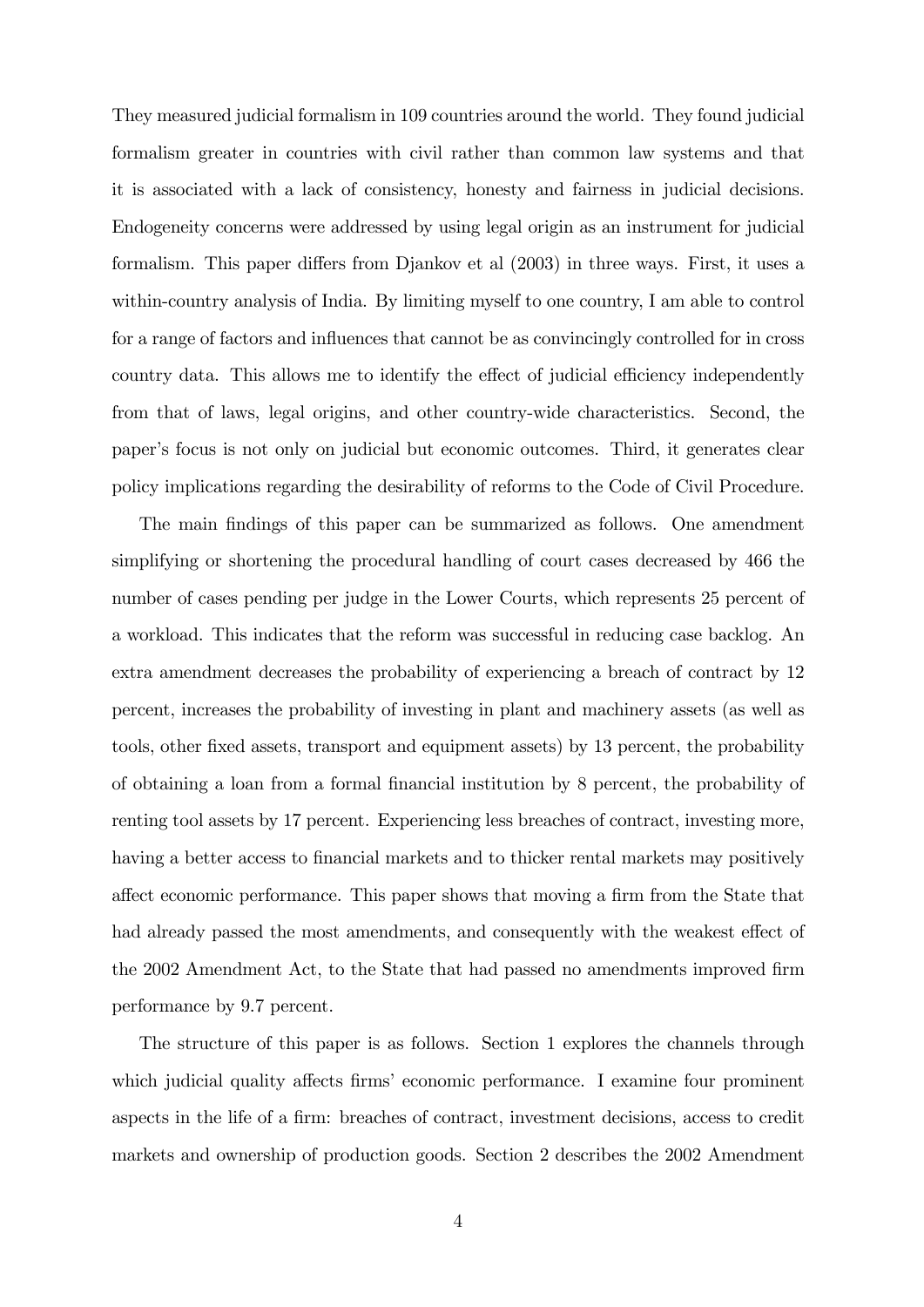They measured judicial formalism in 109 countries around the world. They found judicial formalism greater in countries with civil rather than common law systems and that it is associated with a lack of consistency, honesty and fairness in judicial decisions. Endogeneity concerns were addressed by using legal origin as an instrument for judicial formalism. This paper differs from Djankov et al  $(2003)$  in three ways. First, it uses a within-country analysis of India. By limiting myself to one country, I am able to control for a range of factors and influences that cannot be as convincingly controlled for in cross country data. This allows me to identify the effect of judicial efficiency independently from that of laws, legal origins, and other country-wide characteristics. Second, the paperís focus is not only on judicial but economic outcomes. Third, it generates clear policy implications regarding the desirability of reforms to the Code of Civil Procedure.

The main findings of this paper can be summarized as follows. One amendment simplifying or shortening the procedural handling of court cases decreased by 466 the number of cases pending per judge in the Lower Courts, which represents 25 percent of a workload. This indicates that the reform was successful in reducing case backlog. An extra amendment decreases the probability of experiencing a breach of contract by 12 percent, increases the probability of investing in plant and machinery assets (as well as tools, other fixed assets, transport and equipment assets) by 13 percent, the probability of obtaining a loan from a formal Önancial institution by 8 percent, the probability of renting tool assets by 17 percent. Experiencing less breaches of contract, investing more, having a better access to financial markets and to thicker rental markets may positively affect economic performance. This paper shows that moving a firm from the State that had already passed the most amendments, and consequently with the weakest effect of the 2002 Amendment Act, to the State that had passed no amendments improved firm performance by 9.7 percent.

The structure of this paper is as follows. Section 1 explores the channels through which judicial quality affects firms' economic performance. I examine four prominent aspects in the life of a firm: breaches of contract, investment decisions, access to credit markets and ownership of production goods. Section 2 describes the 2002 Amendment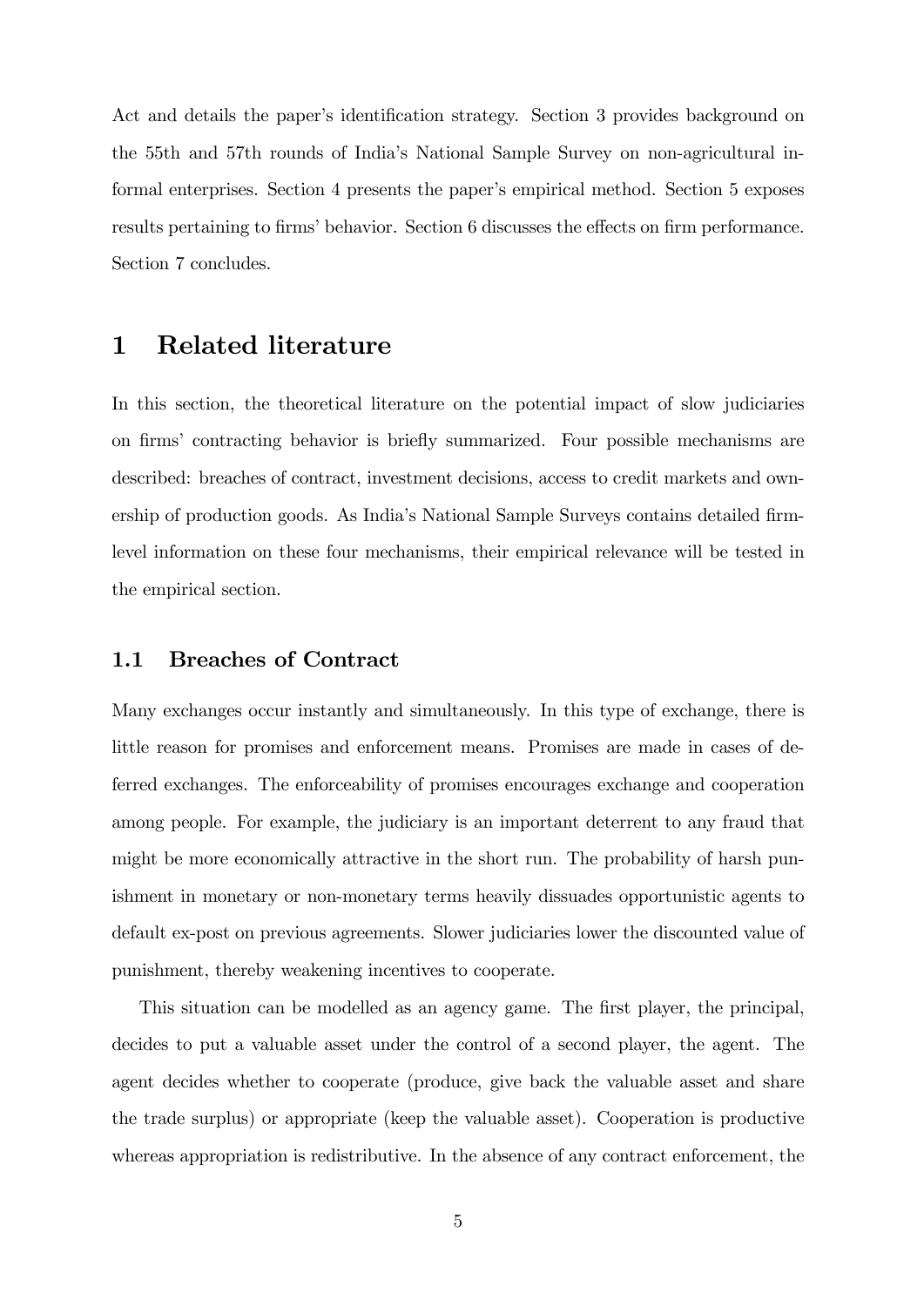Act and details the paper's identification strategy. Section 3 provides background on the 55th and 57th rounds of Indiaís National Sample Survey on non-agricultural informal enterprises. Section 4 presents the paper's empirical method. Section 5 exposes results pertaining to firms' behavior. Section 6 discusses the effects on firm performance. Section 7 concludes.

#### 1 Related literature

In this section, the theoretical literature on the potential impact of slow judiciaries on firms' contracting behavior is briefly summarized. Four possible mechanisms are described: breaches of contract, investment decisions, access to credit markets and ownership of production goods. As India's National Sample Surveys contains detailed firmlevel information on these four mechanisms, their empirical relevance will be tested in the empirical section.

#### 1.1 Breaches of Contract

Many exchanges occur instantly and simultaneously. In this type of exchange, there is little reason for promises and enforcement means. Promises are made in cases of deferred exchanges. The enforceability of promises encourages exchange and cooperation among people. For example, the judiciary is an important deterrent to any fraud that might be more economically attractive in the short run. The probability of harsh punishment in monetary or non-monetary terms heavily dissuades opportunistic agents to default ex-post on previous agreements. Slower judiciaries lower the discounted value of punishment, thereby weakening incentives to cooperate.

This situation can be modelled as an agency game. The first player, the principal, decides to put a valuable asset under the control of a second player, the agent. The agent decides whether to cooperate (produce, give back the valuable asset and share the trade surplus) or appropriate (keep the valuable asset). Cooperation is productive whereas appropriation is redistributive. In the absence of any contract enforcement, the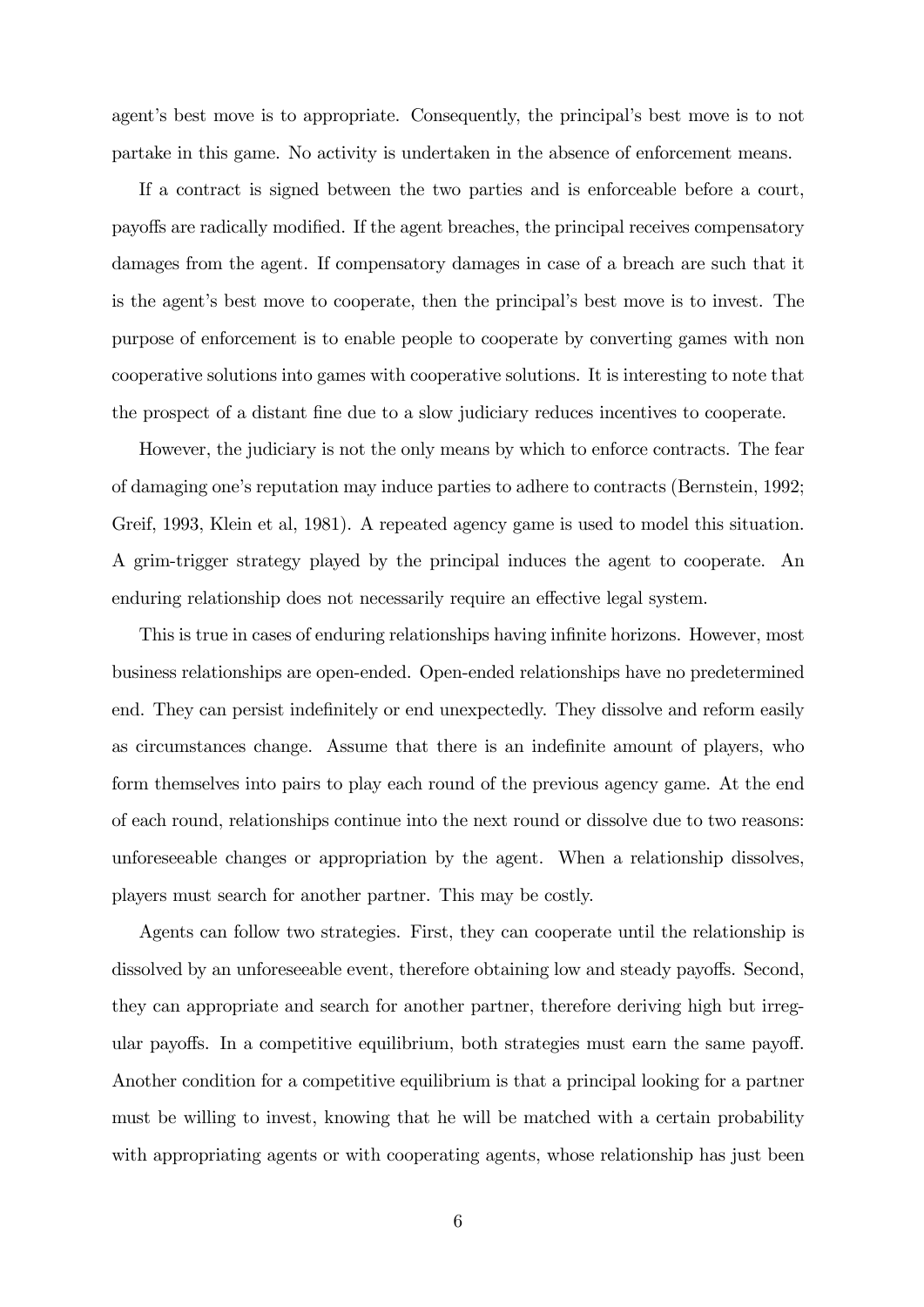agent's best move is to appropriate. Consequently, the principal's best move is to not partake in this game. No activity is undertaken in the absence of enforcement means.

If a contract is signed between the two parties and is enforceable before a court, payoffs are radically modified. If the agent breaches, the principal receives compensatory damages from the agent. If compensatory damages in case of a breach are such that it is the agent's best move to cooperate, then the principal's best move is to invest. The purpose of enforcement is to enable people to cooperate by converting games with non cooperative solutions into games with cooperative solutions. It is interesting to note that the prospect of a distant fine due to a slow judiciary reduces incentives to cooperate.

However, the judiciary is not the only means by which to enforce contracts. The fear of damaging oneís reputation may induce parties to adhere to contracts (Bernstein, 1992; Greif, 1993, Klein et al, 1981). A repeated agency game is used to model this situation. A grim-trigger strategy played by the principal induces the agent to cooperate. An enduring relationship does not necessarily require an effective legal system.

This is true in cases of enduring relationships having infinite horizons. However, most business relationships are open-ended. Open-ended relationships have no predetermined end. They can persist indefinitely or end unexpectedly. They dissolve and reform easily as circumstances change. Assume that there is an indefinite amount of players, who form themselves into pairs to play each round of the previous agency game. At the end of each round, relationships continue into the next round or dissolve due to two reasons: unforeseeable changes or appropriation by the agent. When a relationship dissolves, players must search for another partner. This may be costly.

Agents can follow two strategies. First, they can cooperate until the relationship is dissolved by an unforeseeable event, therefore obtaining low and steady payoffs. Second, they can appropriate and search for another partner, therefore deriving high but irregular payoffs. In a competitive equilibrium, both strategies must earn the same payoff. Another condition for a competitive equilibrium is that a principal looking for a partner must be willing to invest, knowing that he will be matched with a certain probability with appropriating agents or with cooperating agents, whose relationship has just been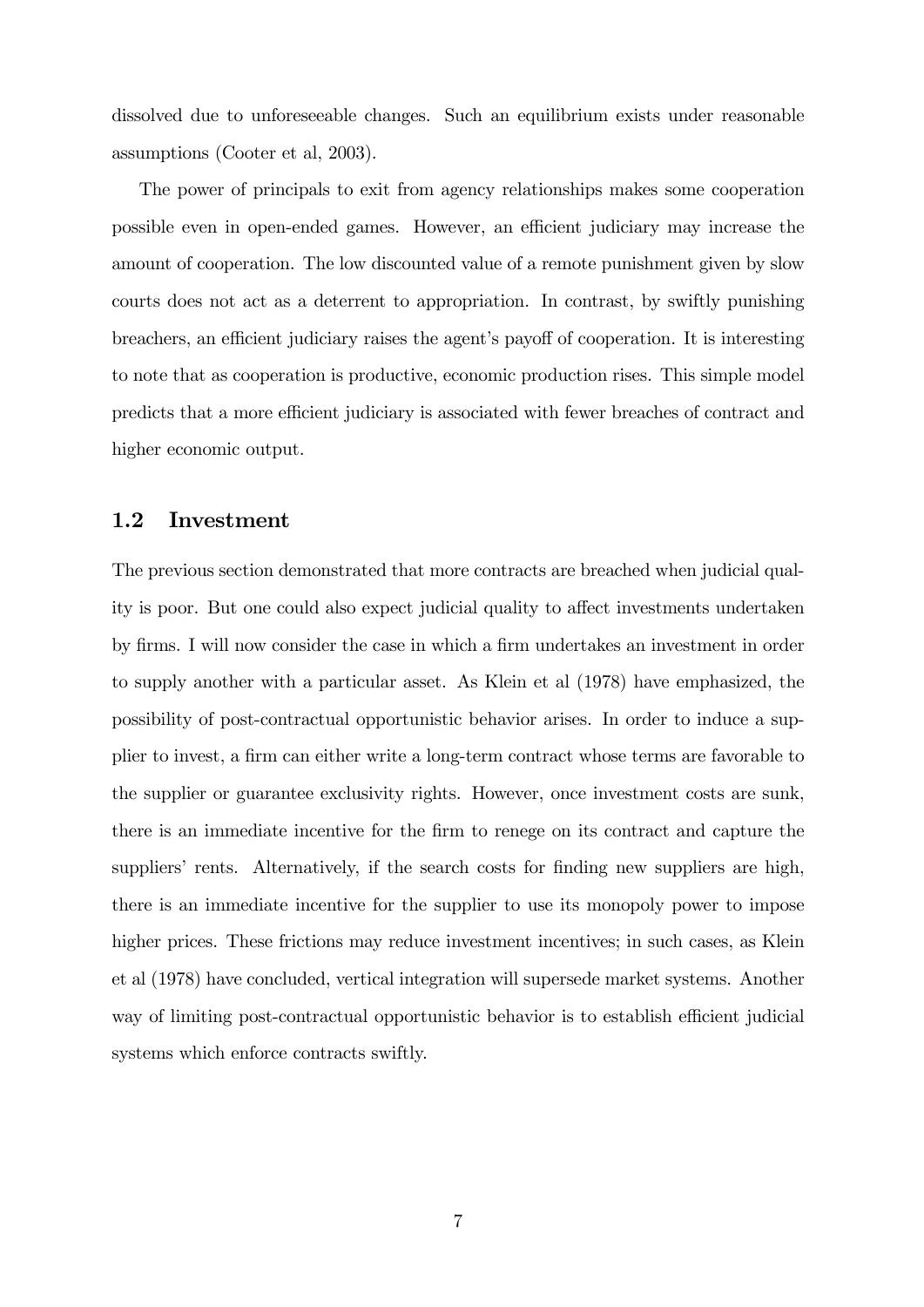dissolved due to unforeseeable changes. Such an equilibrium exists under reasonable assumptions (Cooter et al, 2003).

The power of principals to exit from agency relationships makes some cooperation possible even in open-ended games. However, an efficient judiciary may increase the amount of cooperation. The low discounted value of a remote punishment given by slow courts does not act as a deterrent to appropriation. In contrast, by swiftly punishing breachers, an efficient judiciary raises the agent's payoff of cooperation. It is interesting to note that as cooperation is productive, economic production rises. This simple model predicts that a more efficient judiciary is associated with fewer breaches of contract and higher economic output.

#### 1.2 Investment

The previous section demonstrated that more contracts are breached when judicial quality is poor. But one could also expect judicial quality to affect investments undertaken by firms. I will now consider the case in which a firm undertakes an investment in order to supply another with a particular asset. As Klein et al (1978) have emphasized, the possibility of post-contractual opportunistic behavior arises. In order to induce a supplier to invest, a Örm can either write a long-term contract whose terms are favorable to the supplier or guarantee exclusivity rights. However, once investment costs are sunk, there is an immediate incentive for the Örm to renege on its contract and capture the suppliers' rents. Alternatively, if the search costs for finding new suppliers are high, there is an immediate incentive for the supplier to use its monopoly power to impose higher prices. These frictions may reduce investment incentives; in such cases, as Klein et al (1978) have concluded, vertical integration will supersede market systems. Another way of limiting post-contractual opportunistic behavior is to establish efficient judicial systems which enforce contracts swiftly.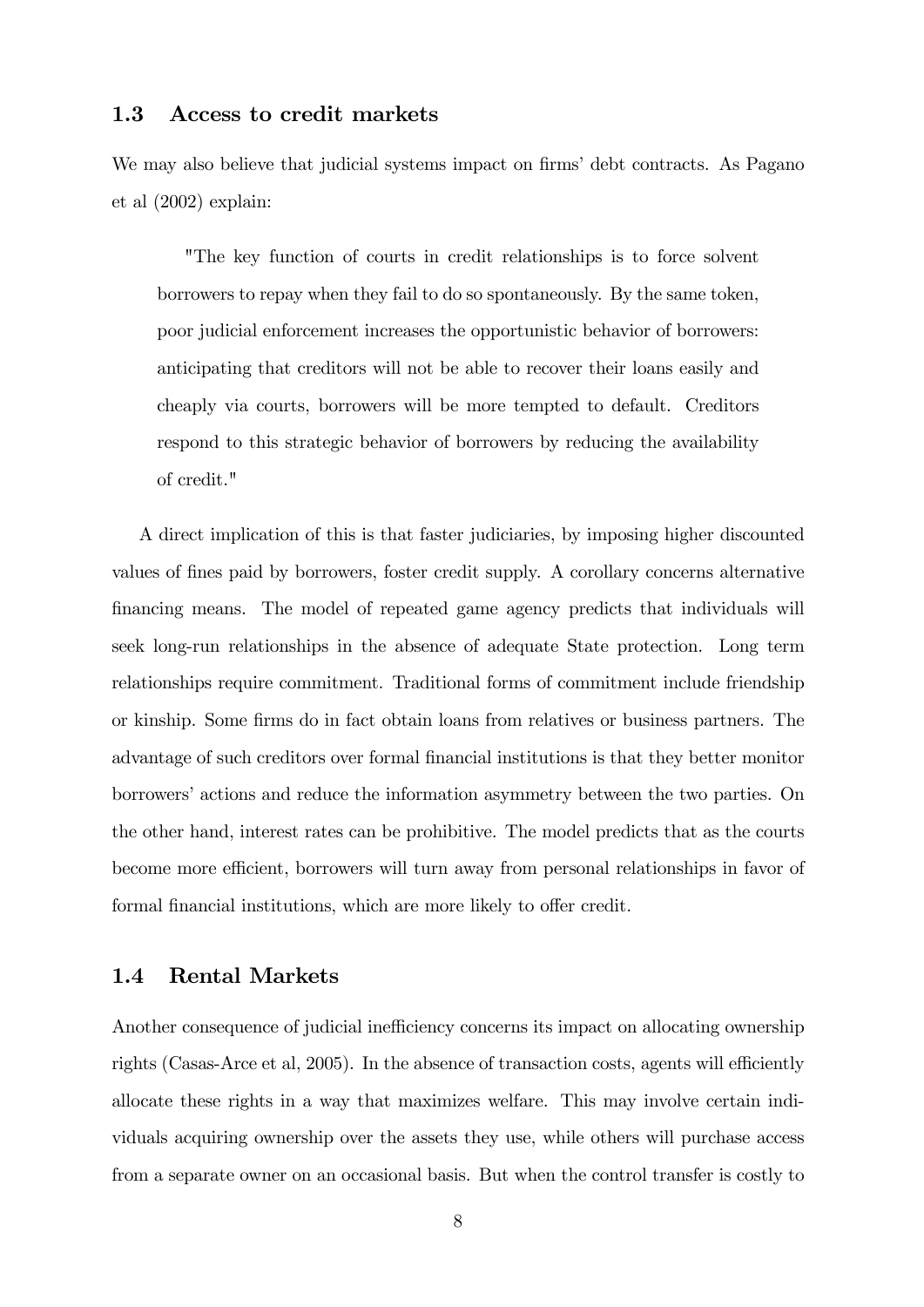#### 1.3 Access to credit markets

We may also believe that judicial systems impact on firms' debt contracts. As Pagano et al (2002) explain:

"The key function of courts in credit relationships is to force solvent borrowers to repay when they fail to do so spontaneously. By the same token, poor judicial enforcement increases the opportunistic behavior of borrowers: anticipating that creditors will not be able to recover their loans easily and cheaply via courts, borrowers will be more tempted to default. Creditors respond to this strategic behavior of borrowers by reducing the availability of credit."

A direct implication of this is that faster judiciaries, by imposing higher discounted values of Önes paid by borrowers, foster credit supply. A corollary concerns alternative Önancing means. The model of repeated game agency predicts that individuals will seek long-run relationships in the absence of adequate State protection. Long term relationships require commitment. Traditional forms of commitment include friendship or kinship. Some firms do in fact obtain loans from relatives or business partners. The advantage of such creditors over formal Önancial institutions is that they better monitor borrowers' actions and reduce the information asymmetry between the two parties. On the other hand, interest rates can be prohibitive. The model predicts that as the courts become more efficient, borrowers will turn away from personal relationships in favor of formal financial institutions, which are more likely to offer credit.

#### 1.4 Rental Markets

Another consequence of judicial inefficiency concerns its impact on allocating ownership rights (Casas-Arce et al, 2005). In the absence of transaction costs, agents will efficiently allocate these rights in a way that maximizes welfare. This may involve certain individuals acquiring ownership over the assets they use, while others will purchase access from a separate owner on an occasional basis. But when the control transfer is costly to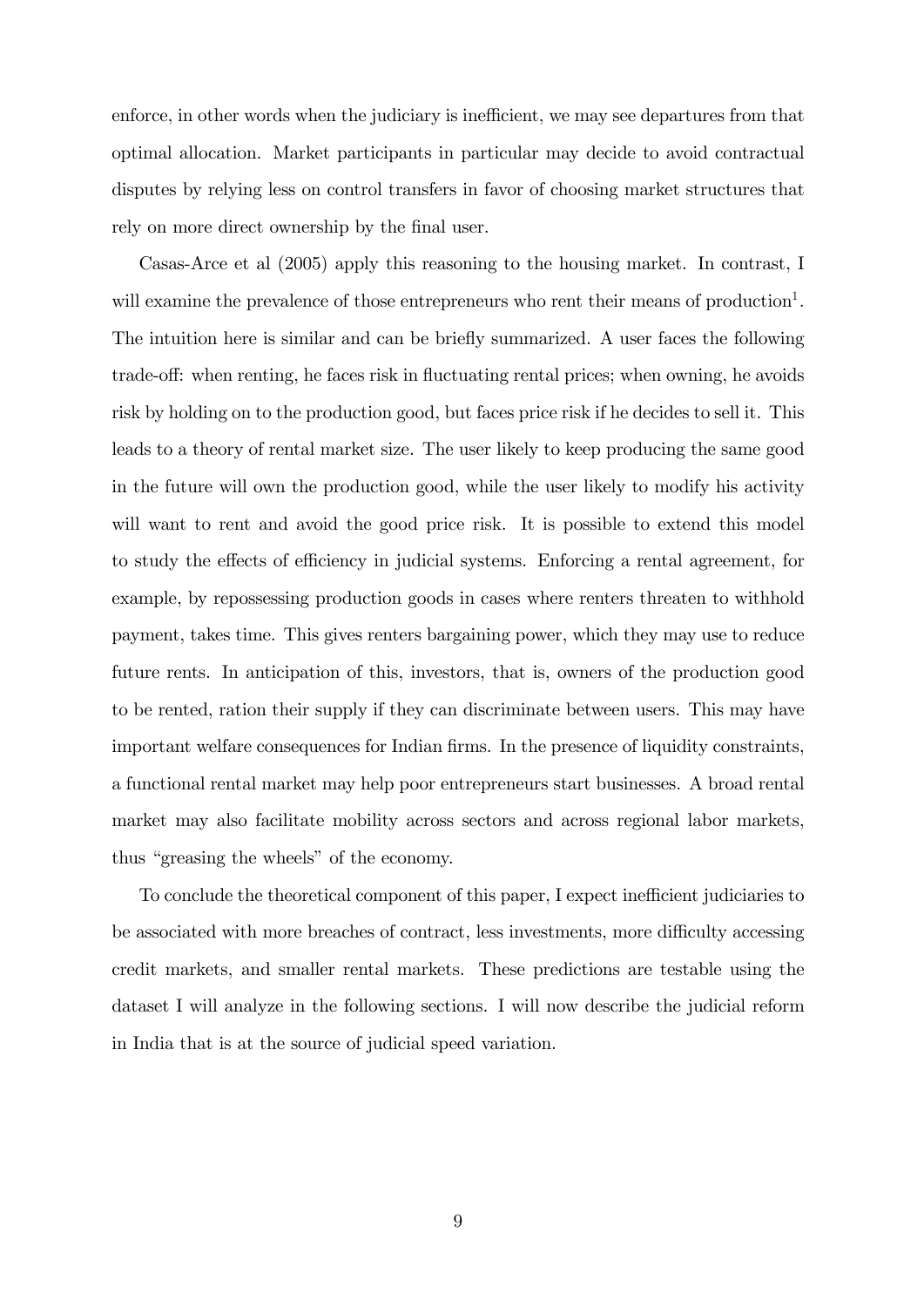enforce, in other words when the judiciary is inefficient, we may see departures from that optimal allocation. Market participants in particular may decide to avoid contractual disputes by relying less on control transfers in favor of choosing market structures that rely on more direct ownership by the final user.

Casas-Arce et al (2005) apply this reasoning to the housing market. In contrast, I will examine the prevalence of those entrepreneurs who rent their means of production<sup>1</sup>. The intuition here is similar and can be briefly summarized. A user faces the following trade-off: when renting, he faces risk in fluctuating rental prices; when owning, he avoids risk by holding on to the production good, but faces price risk if he decides to sell it. This leads to a theory of rental market size. The user likely to keep producing the same good in the future will own the production good, while the user likely to modify his activity will want to rent and avoid the good price risk. It is possible to extend this model to study the effects of efficiency in judicial systems. Enforcing a rental agreement, for example, by repossessing production goods in cases where renters threaten to withhold payment, takes time. This gives renters bargaining power, which they may use to reduce future rents. In anticipation of this, investors, that is, owners of the production good to be rented, ration their supply if they can discriminate between users. This may have important welfare consequences for Indian firms. In the presence of liquidity constraints, a functional rental market may help poor entrepreneurs start businesses. A broad rental market may also facilitate mobility across sectors and across regional labor markets, thus "greasing the wheels" of the economy.

To conclude the theoretical component of this paper, I expect inefficient judiciaries to be associated with more breaches of contract, less investments, more difficulty accessing credit markets, and smaller rental markets. These predictions are testable using the dataset I will analyze in the following sections. I will now describe the judicial reform in India that is at the source of judicial speed variation.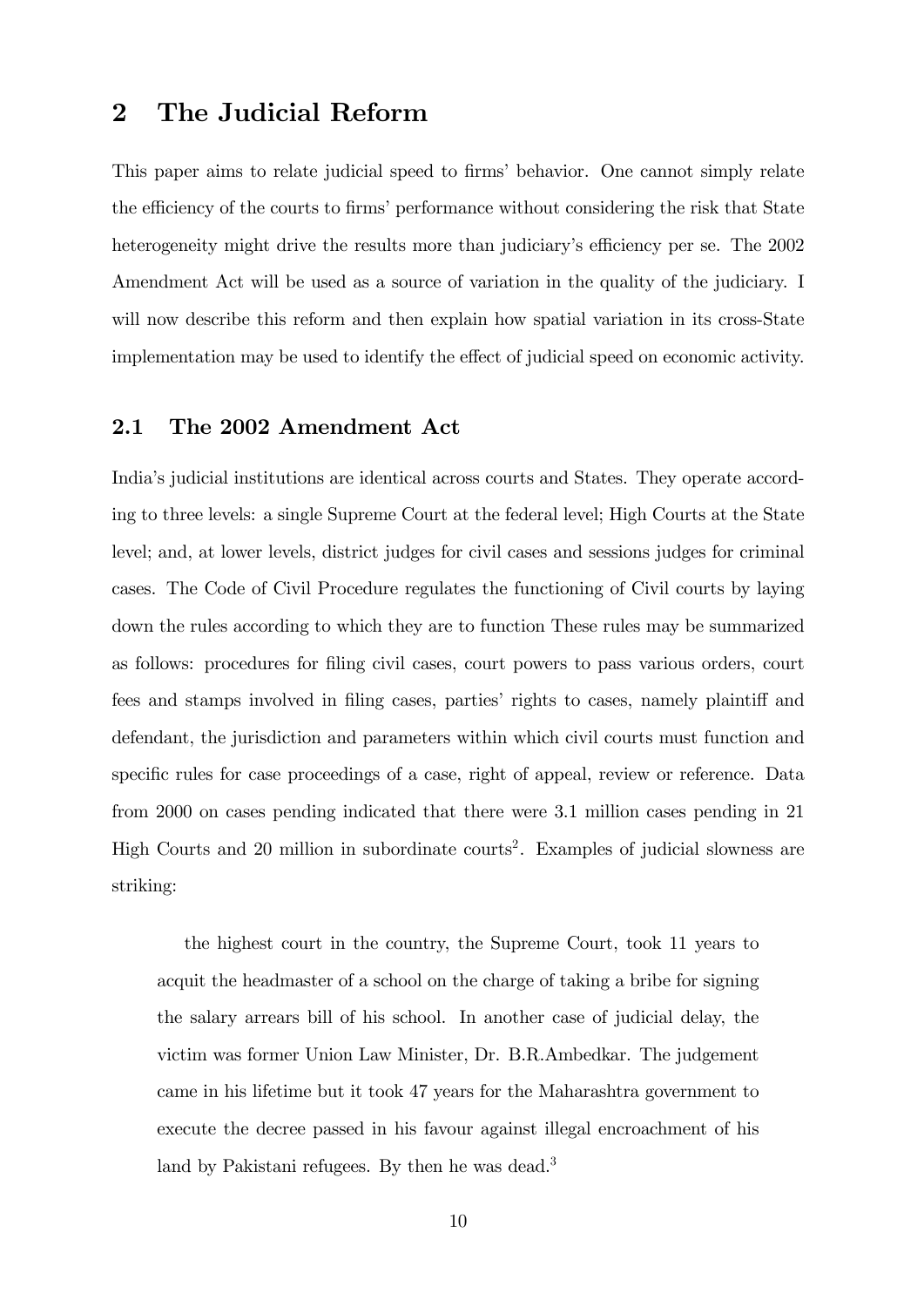# 2 The Judicial Reform

This paper aims to relate judicial speed to firms' behavior. One cannot simply relate the efficiency of the courts to firms' performance without considering the risk that State heterogeneity might drive the results more than judiciary's efficiency per se. The 2002 Amendment Act will be used as a source of variation in the quality of the judiciary. I will now describe this reform and then explain how spatial variation in its cross-State implementation may be used to identify the effect of judicial speed on economic activity.

#### 2.1 The 2002 Amendment Act

Indiaís judicial institutions are identical across courts and States. They operate according to three levels: a single Supreme Court at the federal level; High Courts at the State level; and, at lower levels, district judges for civil cases and sessions judges for criminal cases. The Code of Civil Procedure regulates the functioning of Civil courts by laying down the rules according to which they are to function These rules may be summarized as follows: procedures for Öling civil cases, court powers to pass various orders, court fees and stamps involved in filing cases, parties' rights to cases, namely plaintiff and defendant, the jurisdiction and parameters within which civil courts must function and specific rules for case proceedings of a case, right of appeal, review or reference. Data from 2000 on cases pending indicated that there were 3.1 million cases pending in 21 High Courts and 20 million in subordinate courts<sup>2</sup>. Examples of judicial slowness are striking:

the highest court in the country, the Supreme Court, took 11 years to acquit the headmaster of a school on the charge of taking a bribe for signing the salary arrears bill of his school. In another case of judicial delay, the victim was former Union Law Minister, Dr. B.R.Ambedkar. The judgement came in his lifetime but it took 47 years for the Maharashtra government to execute the decree passed in his favour against illegal encroachment of his land by Pakistani refugees. By then he was dead.<sup>3</sup>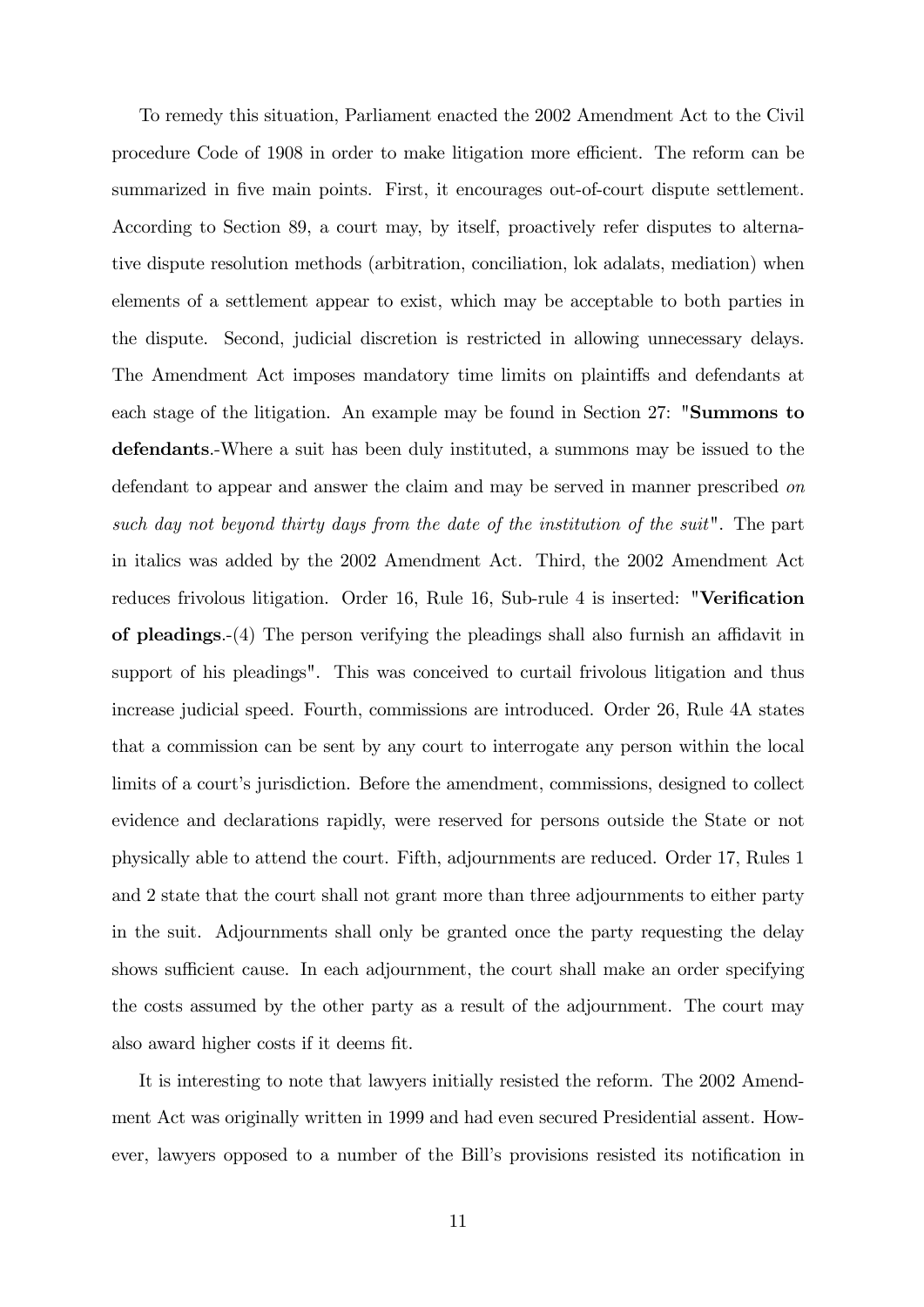To remedy this situation, Parliament enacted the 2002 Amendment Act to the Civil procedure Code of 1908 in order to make litigation more efficient. The reform can be summarized in five main points. First, it encourages out-of-court dispute settlement. According to Section 89, a court may, by itself, proactively refer disputes to alternative dispute resolution methods (arbitration, conciliation, lok adalats, mediation) when elements of a settlement appear to exist, which may be acceptable to both parties in the dispute. Second, judicial discretion is restricted in allowing unnecessary delays. The Amendment Act imposes mandatory time limits on plaintiffs and defendants at each stage of the litigation. An example may be found in Section 27: "Summons to defendants.-Where a suit has been duly instituted, a summons may be issued to the defendant to appear and answer the claim and may be served in manner prescribed on such day not beyond thirty days from the date of the institution of the suit". The part in italics was added by the 2002 Amendment Act. Third, the 2002 Amendment Act reduces frivolous litigation. Order 16, Rule 16, Sub-rule 4 is inserted: "Verification of pleadings. $-(4)$  The person verifying the pleadings shall also furnish an affidavit in support of his pleadings". This was conceived to curtail frivolous litigation and thus increase judicial speed. Fourth, commissions are introduced. Order 26, Rule 4A states that a commission can be sent by any court to interrogate any person within the local limits of a court's jurisdiction. Before the amendment, commissions, designed to collect evidence and declarations rapidly, were reserved for persons outside the State or not physically able to attend the court. Fifth, adjournments are reduced. Order 17, Rules 1 and 2 state that the court shall not grant more than three adjournments to either party in the suit. Adjournments shall only be granted once the party requesting the delay shows sufficient cause. In each adjournment, the court shall make an order specifying the costs assumed by the other party as a result of the adjournment. The court may also award higher costs if it deems fit.

It is interesting to note that lawyers initially resisted the reform. The 2002 Amendment Act was originally written in 1999 and had even secured Presidential assent. However, lawyers opposed to a number of the Bill's provisions resisted its notification in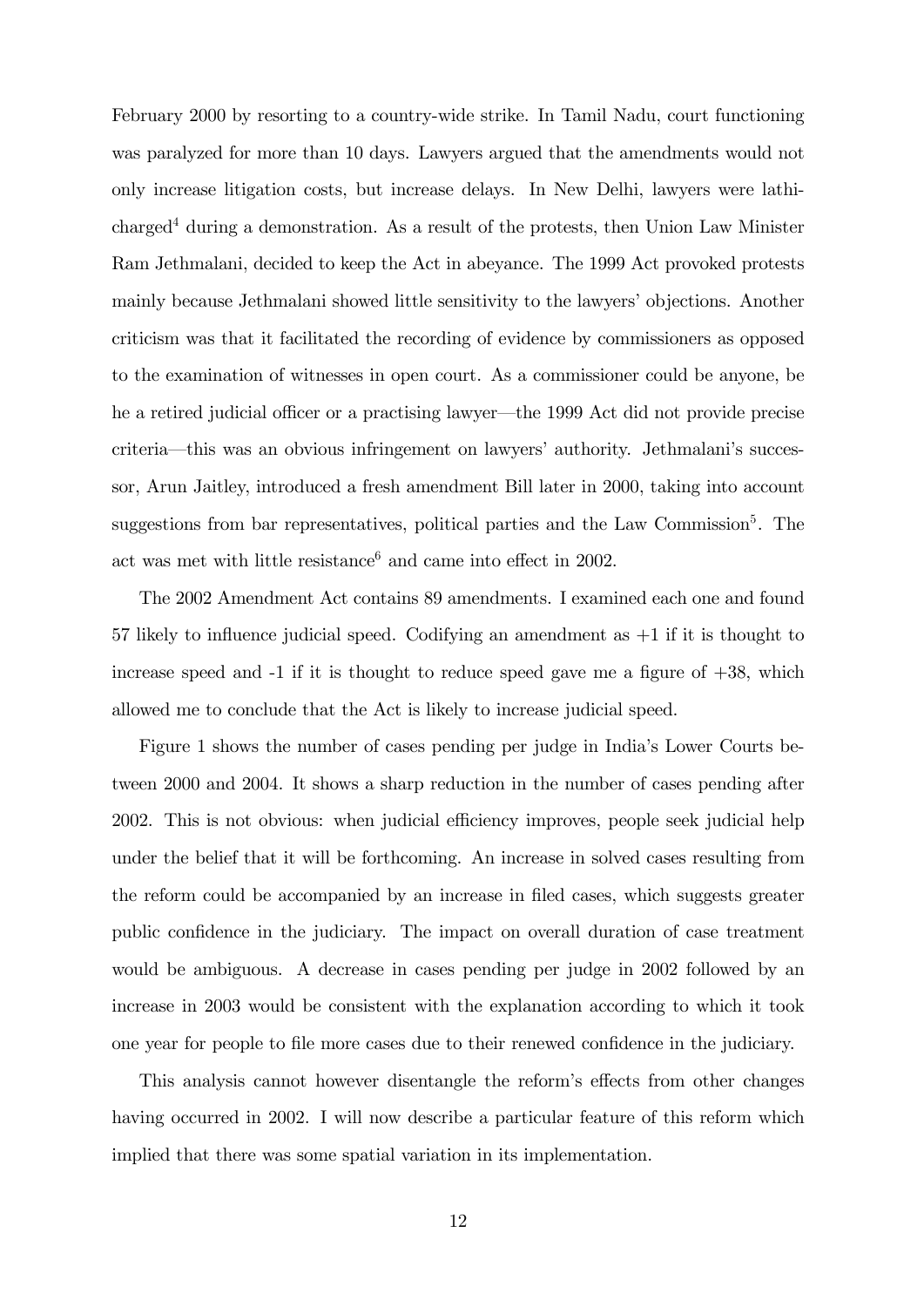February 2000 by resorting to a country-wide strike. In Tamil Nadu, court functioning was paralyzed for more than 10 days. Lawyers argued that the amendments would not only increase litigation costs, but increase delays. In New Delhi, lawyers were lathi- $\alpha$  charged<sup>4</sup> during a demonstration. As a result of the protests, then Union Law Minister Ram Jethmalani, decided to keep the Act in abeyance. The 1999 Act provoked protests mainly because Jethmalani showed little sensitivity to the lawyers' objections. Another criticism was that it facilitated the recording of evidence by commissioners as opposed to the examination of witnesses in open court. As a commissioner could be anyone, be he a retired judicial officer or a practising lawyer—the 1999 Act did not provide precise criteria—this was an obvious infringement on lawyers' authority. Jethmalani's successor, Arun Jaitley, introduced a fresh amendment Bill later in 2000, taking into account suggestions from bar representatives, political parties and the Law Commission<sup>5</sup>. The act was met with little resistance<sup>6</sup> and came into effect in 2002.

The 2002 Amendment Act contains 89 amendments. I examined each one and found 57 likely to influence judicial speed. Codifying an amendment as  $+1$  if it is thought to increase speed and  $-1$  if it is thought to reduce speed gave me a figure of  $+38$ , which allowed me to conclude that the Act is likely to increase judicial speed.

Figure 1 shows the number of cases pending per judge in Indiaís Lower Courts between 2000 and 2004. It shows a sharp reduction in the number of cases pending after 2002. This is not obvious: when judicial efficiency improves, people seek judicial help under the belief that it will be forthcoming. An increase in solved cases resulting from the reform could be accompanied by an increase in Öled cases, which suggests greater public confidence in the judiciary. The impact on overall duration of case treatment would be ambiguous. A decrease in cases pending per judge in 2002 followed by an increase in 2003 would be consistent with the explanation according to which it took one year for people to file more cases due to their renewed confidence in the judiciary.

This analysis cannot however disentangle the reform's effects from other changes having occurred in 2002. I will now describe a particular feature of this reform which implied that there was some spatial variation in its implementation.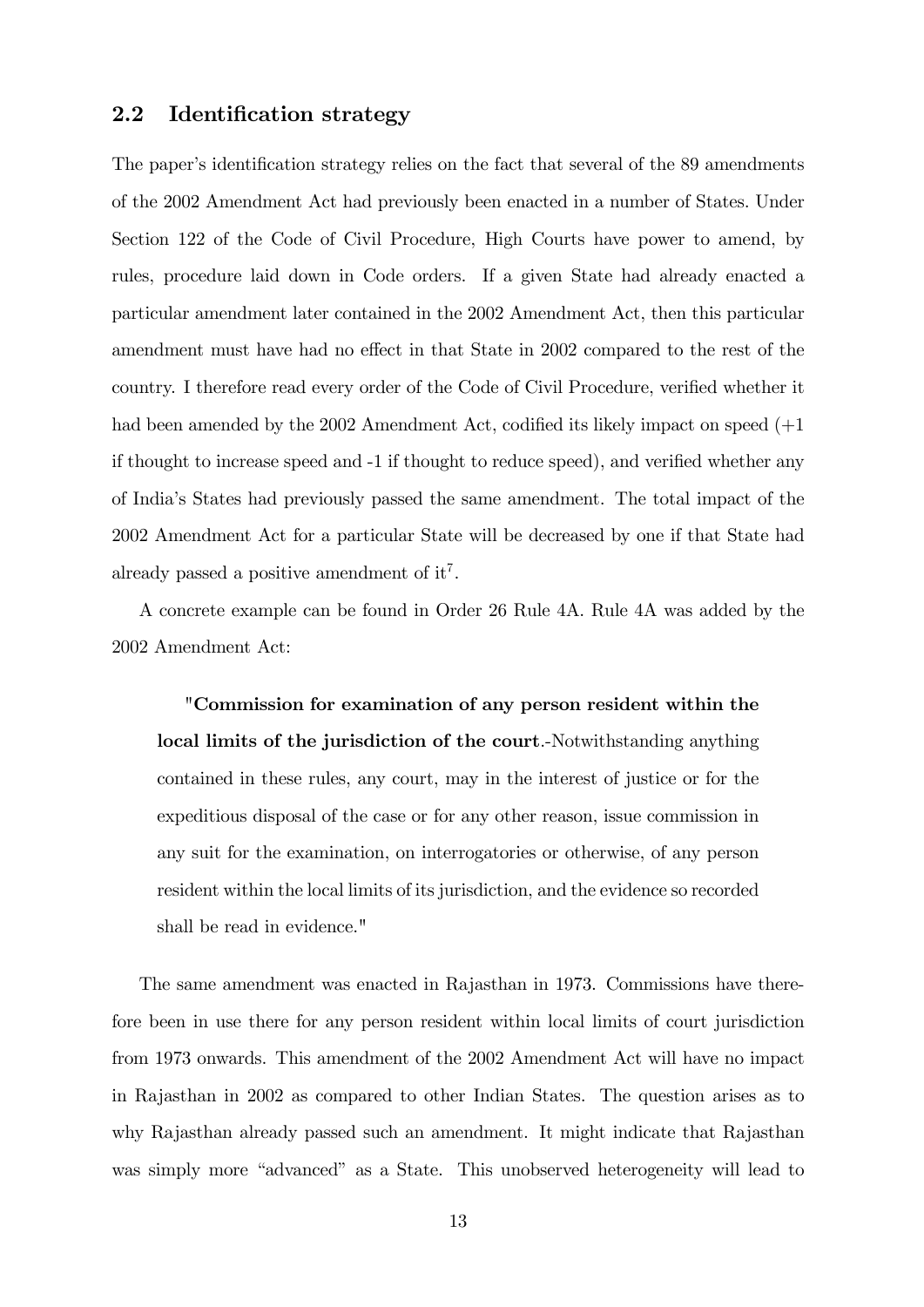#### 2.2 Identification strategy

The paper's identification strategy relies on the fact that several of the 89 amendments of the 2002 Amendment Act had previously been enacted in a number of States. Under Section 122 of the Code of Civil Procedure, High Courts have power to amend, by rules, procedure laid down in Code orders. If a given State had already enacted a particular amendment later contained in the 2002 Amendment Act, then this particular amendment must have had no effect in that State in 2002 compared to the rest of the country. I therefore read every order of the Code of Civil Procedure, verified whether it had been amended by the 2002 Amendment Act, codified its likely impact on speed  $(+1)$ if thought to increase speed and  $-1$  if thought to reduce speed), and verified whether any of Indiaís States had previously passed the same amendment. The total impact of the 2002 Amendment Act for a particular State will be decreased by one if that State had already passed a positive amendment of it<sup>7</sup>.

A concrete example can be found in Order 26 Rule 4A. Rule 4A was added by the 2002 Amendment Act:

"Commission for examination of any person resident within the local limits of the jurisdiction of the court.-Notwithstanding anything contained in these rules, any court, may in the interest of justice or for the expeditious disposal of the case or for any other reason, issue commission in any suit for the examination, on interrogatories or otherwise, of any person resident within the local limits of its jurisdiction, and the evidence so recorded shall be read in evidence."

The same amendment was enacted in Rajasthan in 1973. Commissions have therefore been in use there for any person resident within local limits of court jurisdiction from 1973 onwards. This amendment of the 2002 Amendment Act will have no impact in Rajasthan in 2002 as compared to other Indian States. The question arises as to why Rajasthan already passed such an amendment. It might indicate that Rajasthan was simply more "advanced" as a State. This unobserved heterogeneity will lead to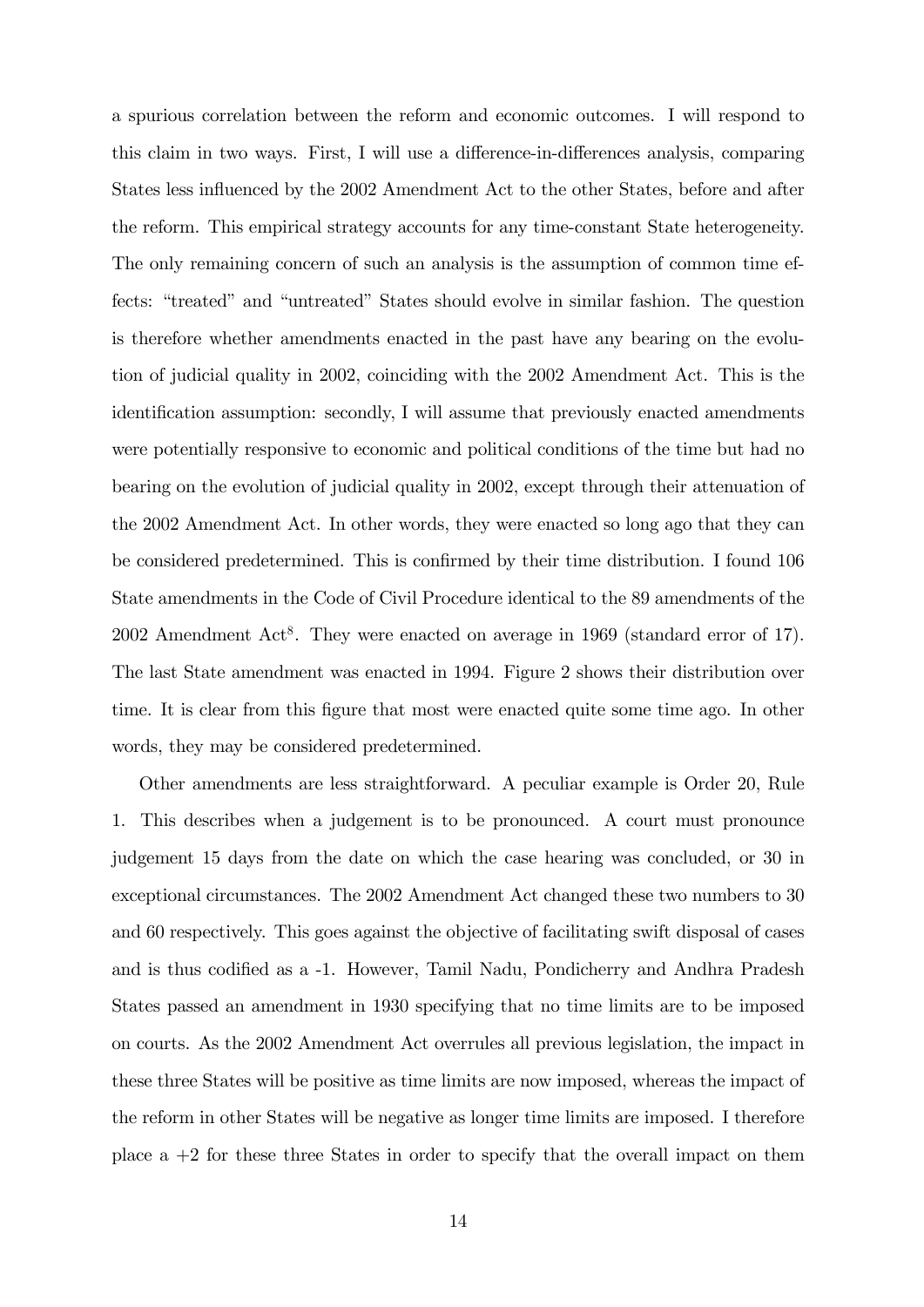a spurious correlation between the reform and economic outcomes. I will respond to this claim in two ways. First, I will use a difference-in-differences analysis, comparing States less influenced by the 2002 Amendment Act to the other States, before and after the reform. This empirical strategy accounts for any time-constant State heterogeneity. The only remaining concern of such an analysis is the assumption of common time effects: "treated" and "untreated" States should evolve in similar fashion. The question is therefore whether amendments enacted in the past have any bearing on the evolution of judicial quality in 2002, coinciding with the 2002 Amendment Act. This is the identification assumption: secondly, I will assume that previously enacted amendments were potentially responsive to economic and political conditions of the time but had no bearing on the evolution of judicial quality in 2002, except through their attenuation of the 2002 Amendment Act. In other words, they were enacted so long ago that they can be considered predetermined. This is confirmed by their time distribution. I found 106 State amendments in the Code of Civil Procedure identical to the 89 amendments of the 2002 Amendment Act<sup>8</sup>. They were enacted on average in 1969 (standard error of 17). The last State amendment was enacted in 1994. Figure 2 shows their distribution over time. It is clear from this Ögure that most were enacted quite some time ago. In other words, they may be considered predetermined.

Other amendments are less straightforward. A peculiar example is Order 20, Rule 1. This describes when a judgement is to be pronounced. A court must pronounce judgement 15 days from the date on which the case hearing was concluded, or 30 in exceptional circumstances. The 2002 Amendment Act changed these two numbers to 30 and 60 respectively. This goes against the objective of facilitating swift disposal of cases and is thus codified as a  $-1$ . However, Tamil Nadu, Pondicherry and Andhra Pradesh States passed an amendment in 1930 specifying that no time limits are to be imposed on courts. As the 2002 Amendment Act overrules all previous legislation, the impact in these three States will be positive as time limits are now imposed, whereas the impact of the reform in other States will be negative as longer time limits are imposed. I therefore place a +2 for these three States in order to specify that the overall impact on them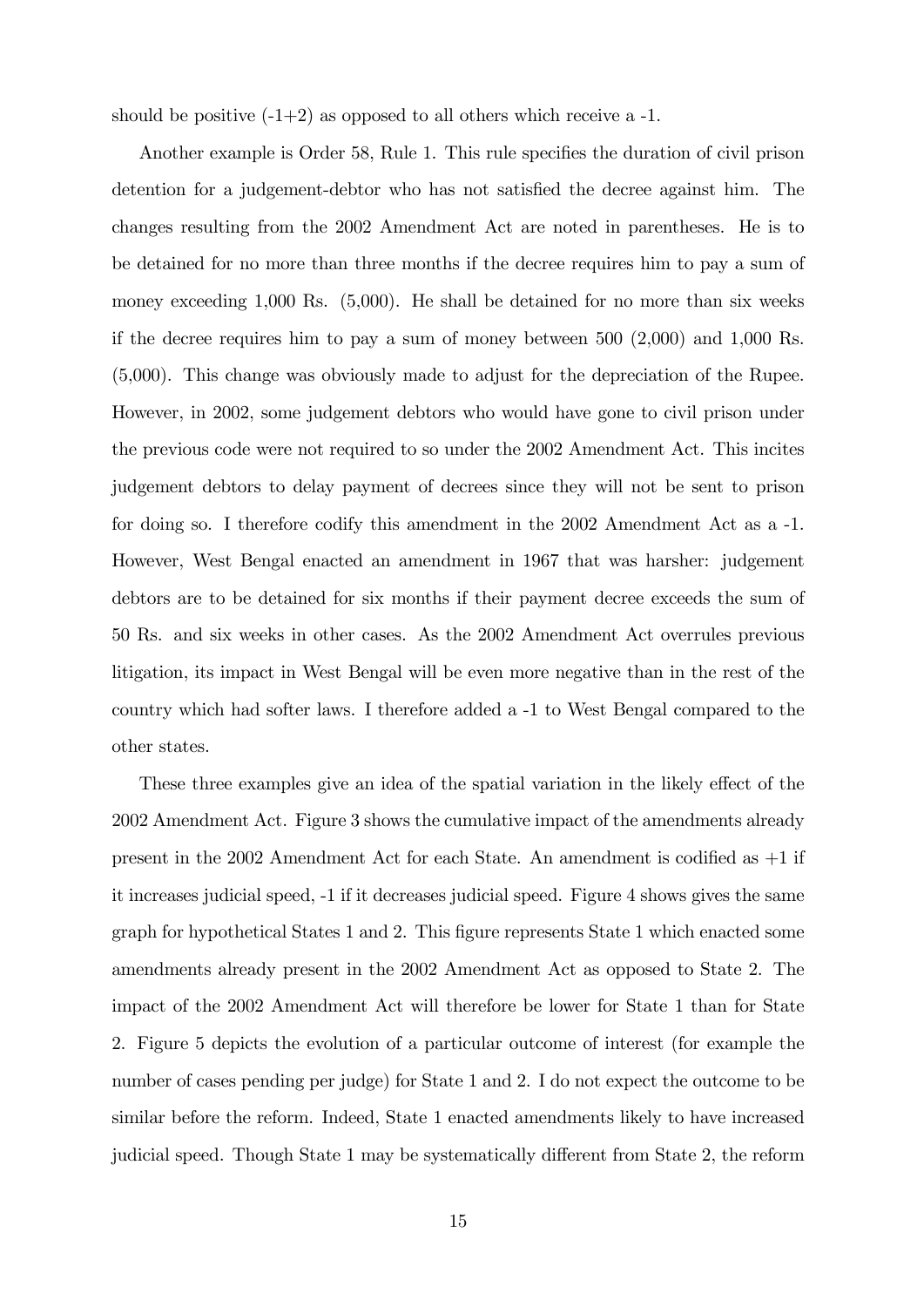should be positive  $(-1+2)$  as opposed to all others which receive a -1.

Another example is Order 58, Rule 1. This rule specifies the duration of civil prison detention for a judgement-debtor who has not satisfied the decree against him. The changes resulting from the 2002 Amendment Act are noted in parentheses. He is to be detained for no more than three months if the decree requires him to pay a sum of money exceeding 1,000 Rs.  $(5,000)$ . He shall be detained for no more than six weeks if the decree requires him to pay a sum of money between 500 (2,000) and 1,000 Rs. (5,000). This change was obviously made to adjust for the depreciation of the Rupee. However, in 2002, some judgement debtors who would have gone to civil prison under the previous code were not required to so under the 2002 Amendment Act. This incites judgement debtors to delay payment of decrees since they will not be sent to prison for doing so. I therefore codify this amendment in the 2002 Amendment Act as a -1. However, West Bengal enacted an amendment in 1967 that was harsher: judgement debtors are to be detained for six months if their payment decree exceeds the sum of 50 Rs. and six weeks in other cases. As the 2002 Amendment Act overrules previous litigation, its impact in West Bengal will be even more negative than in the rest of the country which had softer laws. I therefore added a -1 to West Bengal compared to the other states.

These three examples give an idea of the spatial variation in the likely effect of the 2002 Amendment Act. Figure 3 shows the cumulative impact of the amendments already present in the 2002 Amendment Act for each State. An amendment is codified as  $+1$  if it increases judicial speed, -1 if it decreases judicial speed. Figure 4 shows gives the same graph for hypothetical States 1 and 2. This Ögure represents State 1 which enacted some amendments already present in the 2002 Amendment Act as opposed to State 2. The impact of the 2002 Amendment Act will therefore be lower for State 1 than for State 2. Figure 5 depicts the evolution of a particular outcome of interest (for example the number of cases pending per judge) for State 1 and 2. I do not expect the outcome to be similar before the reform. Indeed, State 1 enacted amendments likely to have increased judicial speed. Though State  $1$  may be systematically different from State  $2$ , the reform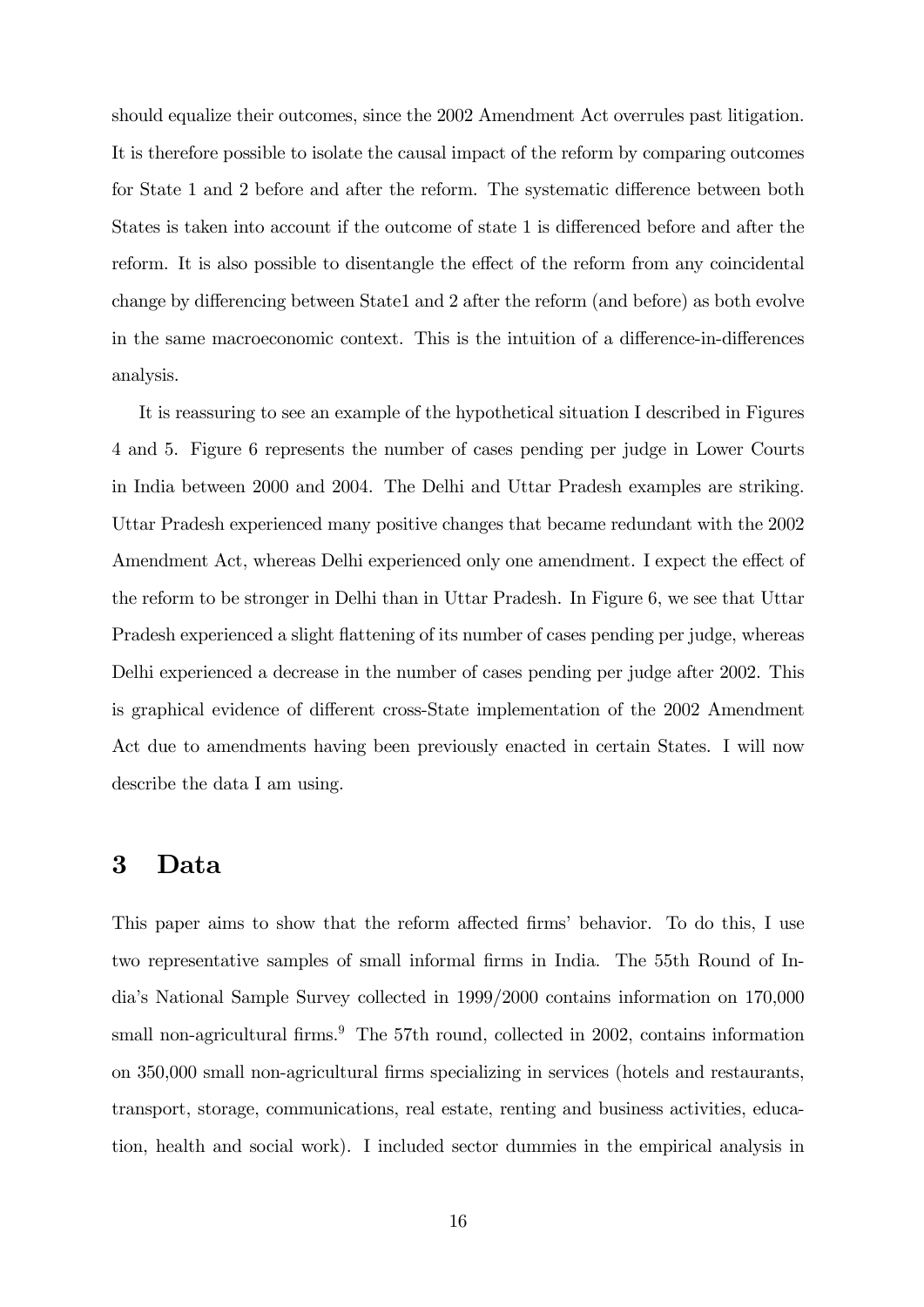should equalize their outcomes, since the 2002 Amendment Act overrules past litigation. It is therefore possible to isolate the causal impact of the reform by comparing outcomes for State 1 and 2 before and after the reform. The systematic difference between both States is taken into account if the outcome of state 1 is differenced before and after the reform. It is also possible to disentangle the effect of the reform from any coincidental change by differencing between State1 and 2 after the reform (and before) as both evolve in the same macroeconomic context. This is the intuition of a difference-in-differences analysis.

It is reassuring to see an example of the hypothetical situation I described in Figures 4 and 5. Figure 6 represents the number of cases pending per judge in Lower Courts in India between 2000 and 2004. The Delhi and Uttar Pradesh examples are striking. Uttar Pradesh experienced many positive changes that became redundant with the 2002 Amendment Act, whereas Delhi experienced only one amendment. I expect the effect of the reform to be stronger in Delhi than in Uttar Pradesh. In Figure 6, we see that Uttar Pradesh experienced a slight flattening of its number of cases pending per judge, whereas Delhi experienced a decrease in the number of cases pending per judge after 2002. This is graphical evidence of different cross-State implementation of the 2002 Amendment Act due to amendments having been previously enacted in certain States. I will now describe the data I am using.

#### 3 Data

This paper aims to show that the reform affected firms' behavior. To do this, I use two representative samples of small informal firms in India. The 55th Round of Indiaís National Sample Survey collected in 1999/2000 contains information on 170,000 small non-agricultural firms.<sup>9</sup> The 57th round, collected in 2002, contains information on 350,000 small non-agricultural Örms specializing in services (hotels and restaurants, transport, storage, communications, real estate, renting and business activities, education, health and social work). I included sector dummies in the empirical analysis in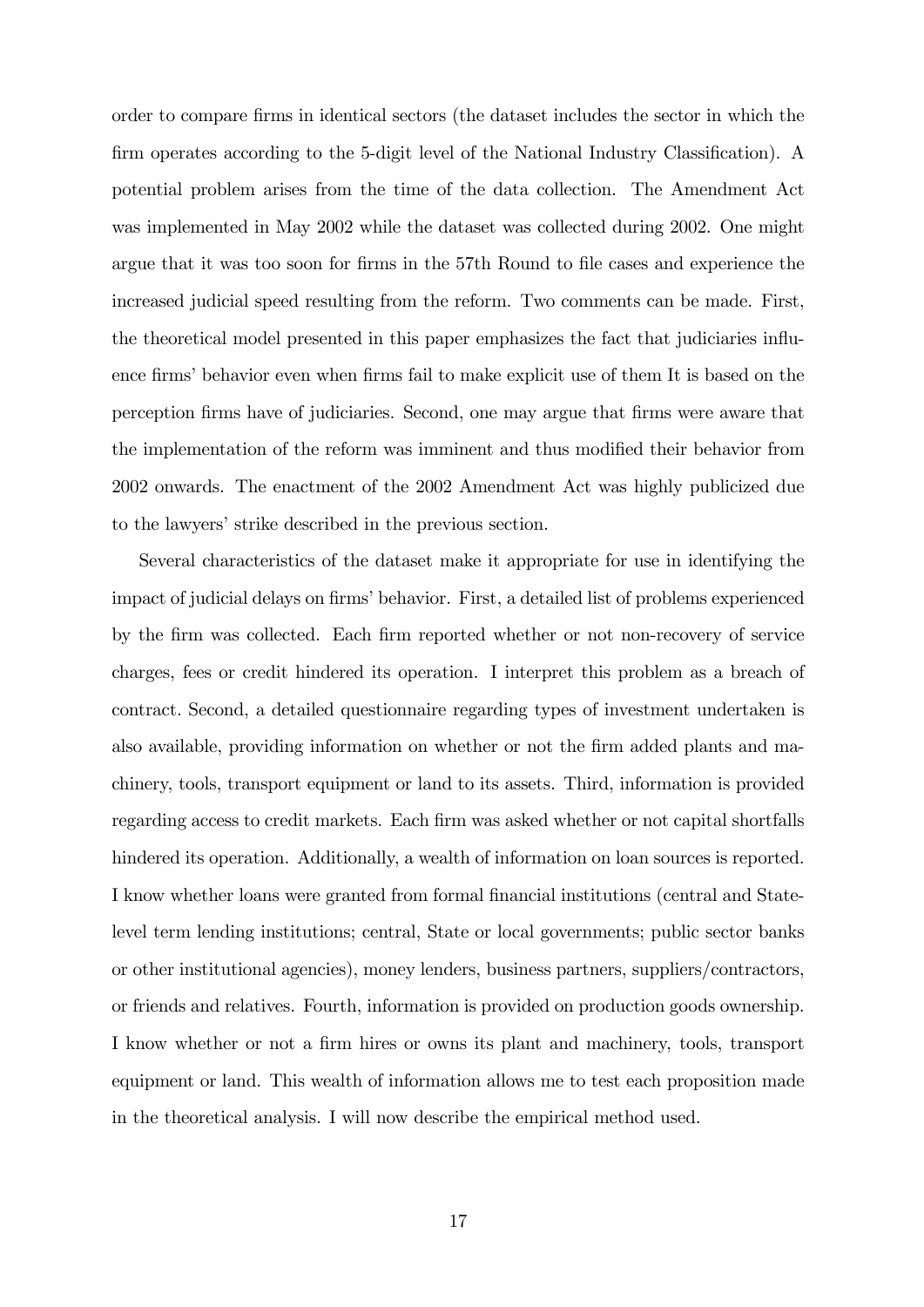order to compare Örms in identical sectors (the dataset includes the sector in which the firm operates according to the 5-digit level of the National Industry Classification). A potential problem arises from the time of the data collection. The Amendment Act was implemented in May 2002 while the dataset was collected during 2002. One might argue that it was too soon for firms in the 57th Round to file cases and experience the increased judicial speed resulting from the reform. Two comments can be made. First, the theoretical model presented in this paper emphasizes the fact that judiciaries ináuence firms' behavior even when firms fail to make explicit use of them It is based on the perception Örms have of judiciaries. Second, one may argue that Örms were aware that the implementation of the reform was imminent and thus modified their behavior from 2002 onwards. The enactment of the 2002 Amendment Act was highly publicized due to the lawyers' strike described in the previous section.

Several characteristics of the dataset make it appropriate for use in identifying the impact of judicial delays on firms' behavior. First, a detailed list of problems experienced by the Örm was collected. Each Örm reported whether or not non-recovery of service charges, fees or credit hindered its operation. I interpret this problem as a breach of contract. Second, a detailed questionnaire regarding types of investment undertaken is also available, providing information on whether or not the firm added plants and machinery, tools, transport equipment or land to its assets. Third, information is provided regarding access to credit markets. Each firm was asked whether or not capital shortfalls hindered its operation. Additionally, a wealth of information on loan sources is reported. I know whether loans were granted from formal financial institutions (central and Statelevel term lending institutions; central, State or local governments; public sector banks or other institutional agencies), money lenders, business partners, suppliers/contractors, or friends and relatives. Fourth, information is provided on production goods ownership. I know whether or not a firm hires or owns its plant and machinery, tools, transport equipment or land. This wealth of information allows me to test each proposition made in the theoretical analysis. I will now describe the empirical method used.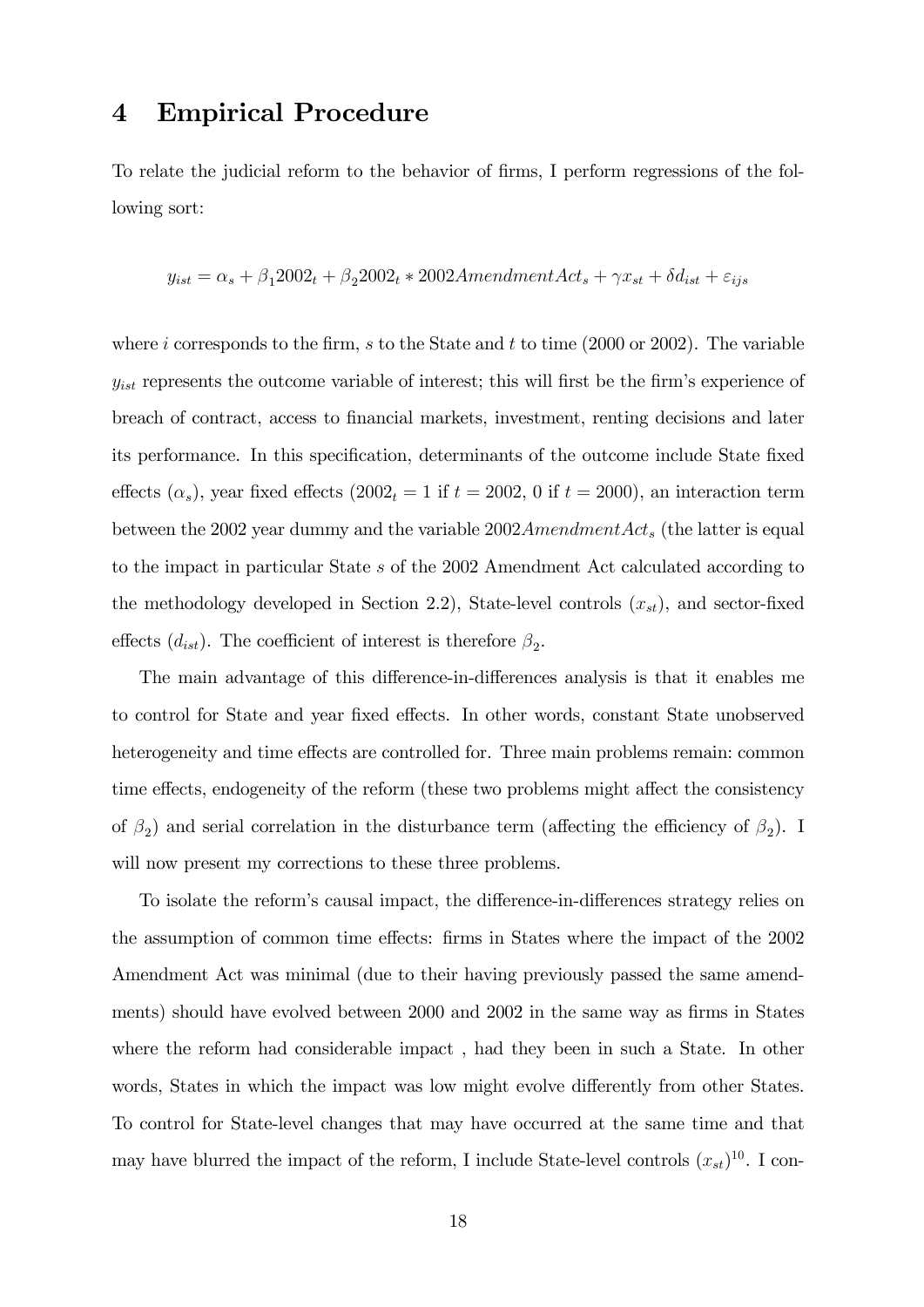# 4 Empirical Procedure

To relate the judicial reform to the behavior of firms, I perform regressions of the following sort:

$$
y_{ist} = \alpha_s + \beta_1 2002_t + \beta_2 2002_t * 2002A
$$
  $mentment$   $Act_s + \gamma x_{st} + \delta d_{ist} + \varepsilon_{ijs}$ 

where i corresponds to the firm, s to the State and t to time  $(2000 \text{ or } 2002)$ . The variable  $y_{ist}$  represents the outcome variable of interest; this will first be the firm's experience of breach of contract, access to financial markets, investment, renting decisions and later its performance. In this specification, determinants of the outcome include State fixed effects  $(\alpha_s)$ , year fixed effects  $(2002_t = 1 \text{ if } t = 2002, 0 \text{ if } t = 2000)$ , an interaction term between the 2002 year dummy and the variable  $2002A$ mendment $Act_s$  (the latter is equal to the impact in particular State s of the 2002 Amendment Act calculated according to the methodology developed in Section 2.2), State-level controls  $(x_{st})$ , and sector-fixed effects  $(d_{ist})$ . The coefficient of interest is therefore  $\beta_2$ .

The main advantage of this difference-in-differences analysis is that it enables me to control for State and year fixed effects. In other words, constant State unobserved heterogeneity and time effects are controlled for. Three main problems remain: common time effects, endogeneity of the reform (these two problems might affect the consistency of  $\beta_2$ ) and serial correlation in the disturbance term (affecting the efficiency of  $\beta_2$ ). I will now present my corrections to these three problems.

To isolate the reform's causal impact, the difference-in-differences strategy relies on the assumption of common time effects: firms in States where the impact of the 2002 Amendment Act was minimal (due to their having previously passed the same amendments) should have evolved between 2000 and 2002 in the same way as firms in States where the reform had considerable impact , had they been in such a State. In other words, States in which the impact was low might evolve differently from other States. To control for State-level changes that may have occurred at the same time and that may have blurred the impact of the reform, I include State-level controls  $(x_{st})^{10}$ . I con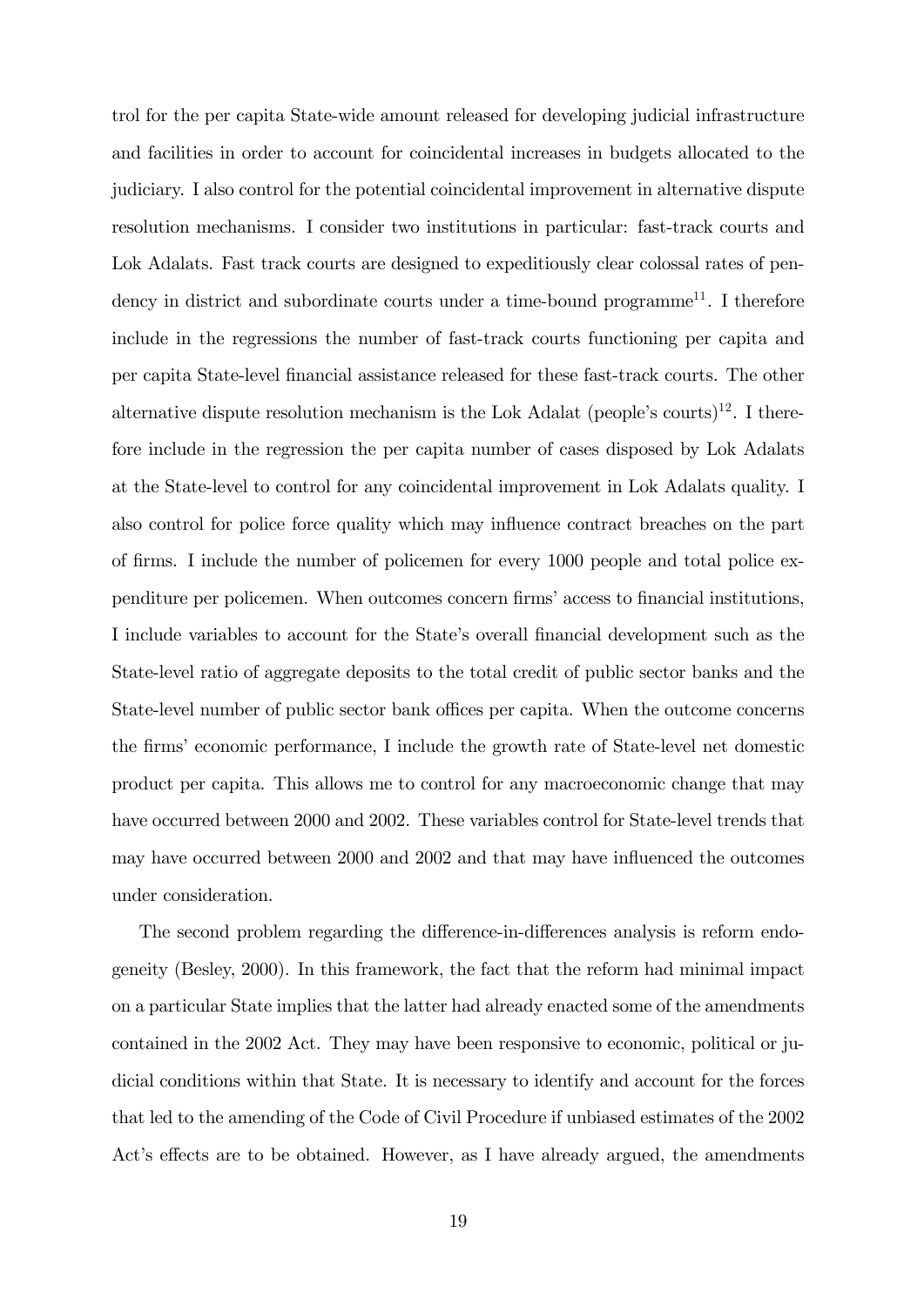trol for the per capita State-wide amount released for developing judicial infrastructure and facilities in order to account for coincidental increases in budgets allocated to the judiciary. I also control for the potential coincidental improvement in alternative dispute resolution mechanisms. I consider two institutions in particular: fast-track courts and Lok Adalats. Fast track courts are designed to expeditiously clear colossal rates of pendency in district and subordinate courts under a time-bound programme<sup>11</sup>. I therefore include in the regressions the number of fast-track courts functioning per capita and per capita State-level Önancial assistance released for these fast-track courts. The other alternative dispute resolution mechanism is the Lok Adalat (people's courts)<sup>12</sup>. I therefore include in the regression the per capita number of cases disposed by Lok Adalats at the State-level to control for any coincidental improvement in Lok Adalats quality. I also control for police force quality which may influence contract breaches on the part of firms. I include the number of policemen for every 1000 people and total police expenditure per policemen. When outcomes concern firms' access to financial institutions, I include variables to account for the State's overall financial development such as the State-level ratio of aggregate deposits to the total credit of public sector banks and the State-level number of public sector bank offices per capita. When the outcome concerns the firms' economic performance, I include the growth rate of State-level net domestic product per capita. This allows me to control for any macroeconomic change that may have occurred between 2000 and 2002. These variables control for State-level trends that may have occurred between 2000 and 2002 and that may have influenced the outcomes under consideration.

The second problem regarding the difference-in-differences analysis is reform endogeneity (Besley, 2000). In this framework, the fact that the reform had minimal impact on a particular State implies that the latter had already enacted some of the amendments contained in the 2002 Act. They may have been responsive to economic, political or judicial conditions within that State. It is necessary to identify and account for the forces that led to the amending of the Code of Civil Procedure if unbiased estimates of the 2002 Act's effects are to be obtained. However, as I have already argued, the amendments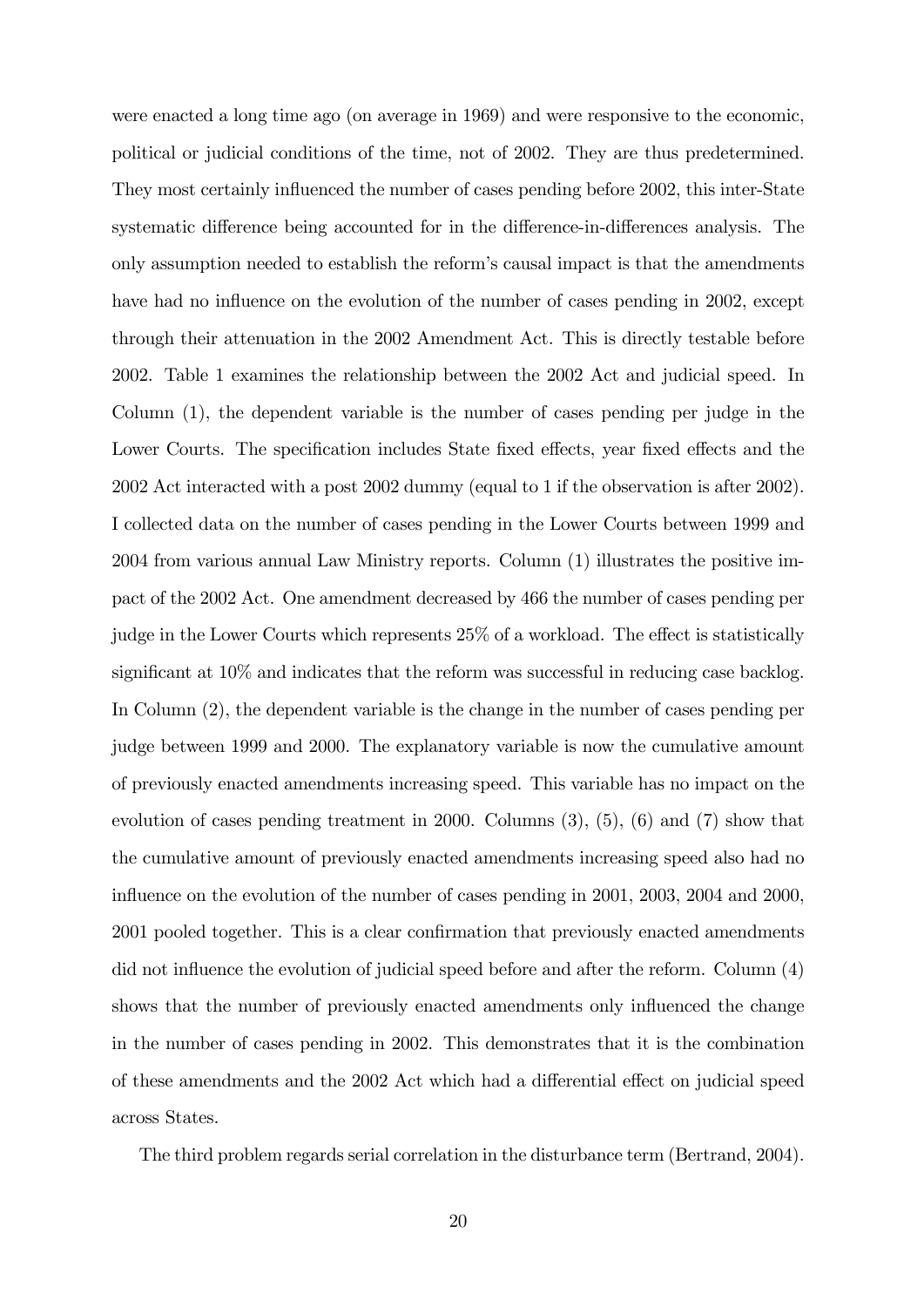were enacted a long time ago (on average in 1969) and were responsive to the economic, political or judicial conditions of the time, not of 2002. They are thus predetermined. They most certainly influenced the number of cases pending before 2002, this inter-State systematic difference being accounted for in the difference-in-differences analysis. The only assumption needed to establish the reformís causal impact is that the amendments have had no influence on the evolution of the number of cases pending in 2002, except through their attenuation in the 2002 Amendment Act. This is directly testable before 2002. Table 1 examines the relationship between the 2002 Act and judicial speed. In Column (1), the dependent variable is the number of cases pending per judge in the Lower Courts. The specification includes State fixed effects, year fixed effects and the 2002 Act interacted with a post 2002 dummy (equal to 1 if the observation is after 2002). I collected data on the number of cases pending in the Lower Courts between 1999 and 2004 from various annual Law Ministry reports. Column (1) illustrates the positive impact of the 2002 Act. One amendment decreased by 466 the number of cases pending per judge in the Lower Courts which represents  $25\%$  of a workload. The effect is statistically significant at  $10\%$  and indicates that the reform was successful in reducing case backlog. In Column (2), the dependent variable is the change in the number of cases pending per judge between 1999 and 2000. The explanatory variable is now the cumulative amount of previously enacted amendments increasing speed. This variable has no impact on the evolution of cases pending treatment in 2000. Columns (3), (5), (6) and (7) show that the cumulative amount of previously enacted amendments increasing speed also had no influence on the evolution of the number of cases pending in 2001, 2003, 2004 and 2000, 2001 pooled together. This is a clear confirmation that previously enacted amendments did not influence the evolution of judicial speed before and after the reform. Column (4) shows that the number of previously enacted amendments only influenced the change in the number of cases pending in 2002. This demonstrates that it is the combination of these amendments and the 2002 Act which had a differential effect on judicial speed across States.

The third problem regards serial correlation in the disturbance term (Bertrand, 2004).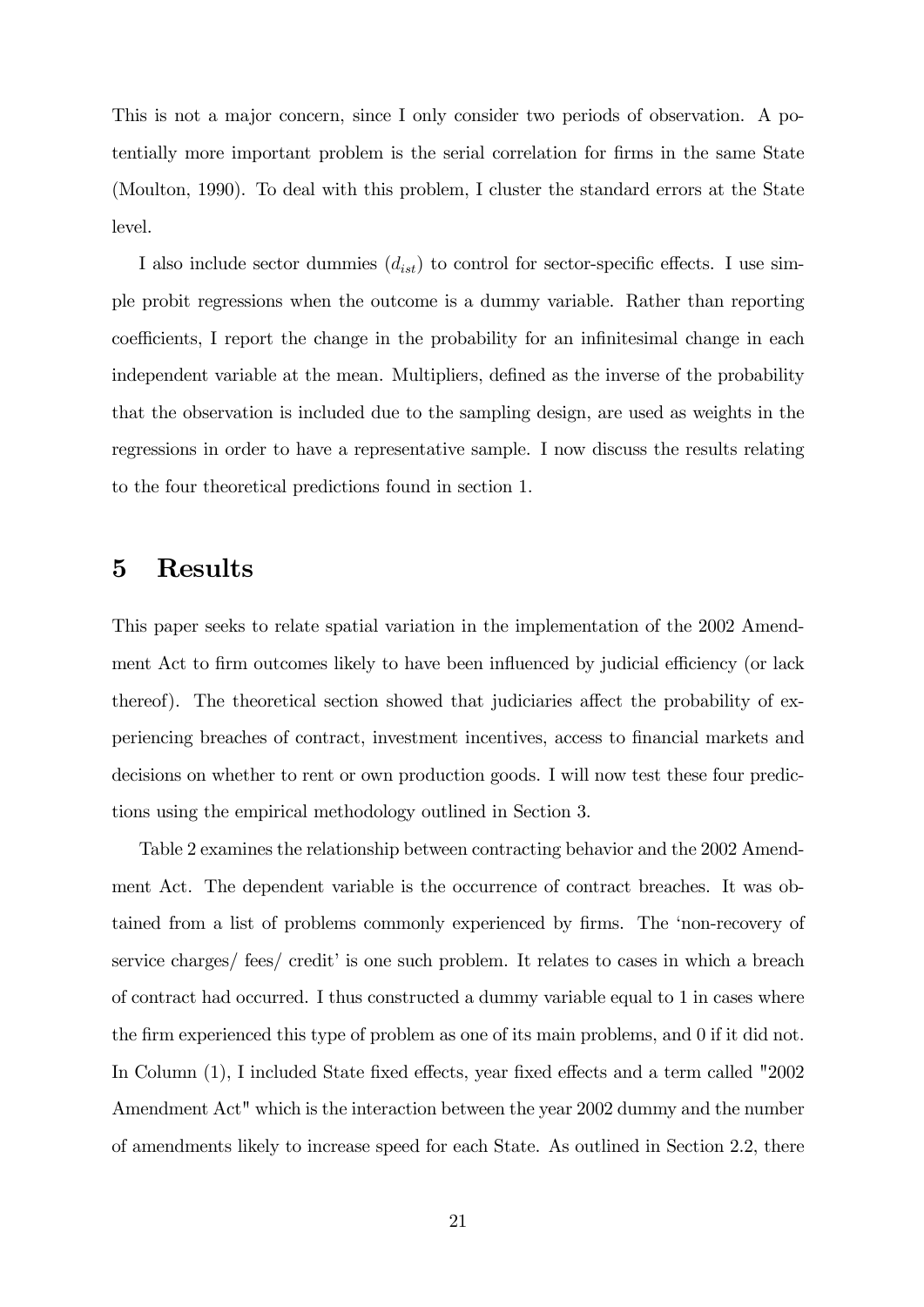This is not a major concern, since I only consider two periods of observation. A potentially more important problem is the serial correlation for firms in the same State (Moulton, 1990). To deal with this problem, I cluster the standard errors at the State level.

I also include sector dummies  $(d_{ist})$  to control for sector-specific effects. I use simple probit regressions when the outcome is a dummy variable. Rather than reporting coefficients, I report the change in the probability for an infinitesimal change in each independent variable at the mean. Multipliers, defined as the inverse of the probability that the observation is included due to the sampling design, are used as weights in the regressions in order to have a representative sample. I now discuss the results relating to the four theoretical predictions found in section 1.

### 5 Results

This paper seeks to relate spatial variation in the implementation of the 2002 Amendment Act to firm outcomes likely to have been influenced by judicial efficiency (or lack thereof). The theoretical section showed that judiciaries affect the probability of experiencing breaches of contract, investment incentives, access to Önancial markets and decisions on whether to rent or own production goods. I will now test these four predictions using the empirical methodology outlined in Section 3.

Table 2 examines the relationship between contracting behavior and the 2002 Amendment Act. The dependent variable is the occurrence of contract breaches. It was obtained from a list of problems commonly experienced by firms. The 'non-recovery of service charges/ fees/ credit' is one such problem. It relates to cases in which a breach of contract had occurred. I thus constructed a dummy variable equal to 1 in cases where the firm experienced this type of problem as one of its main problems, and 0 if it did not. In Column (1), I included State fixed effects, year fixed effects and a term called "2002 Amendment Act" which is the interaction between the year 2002 dummy and the number of amendments likely to increase speed for each State. As outlined in Section 2.2, there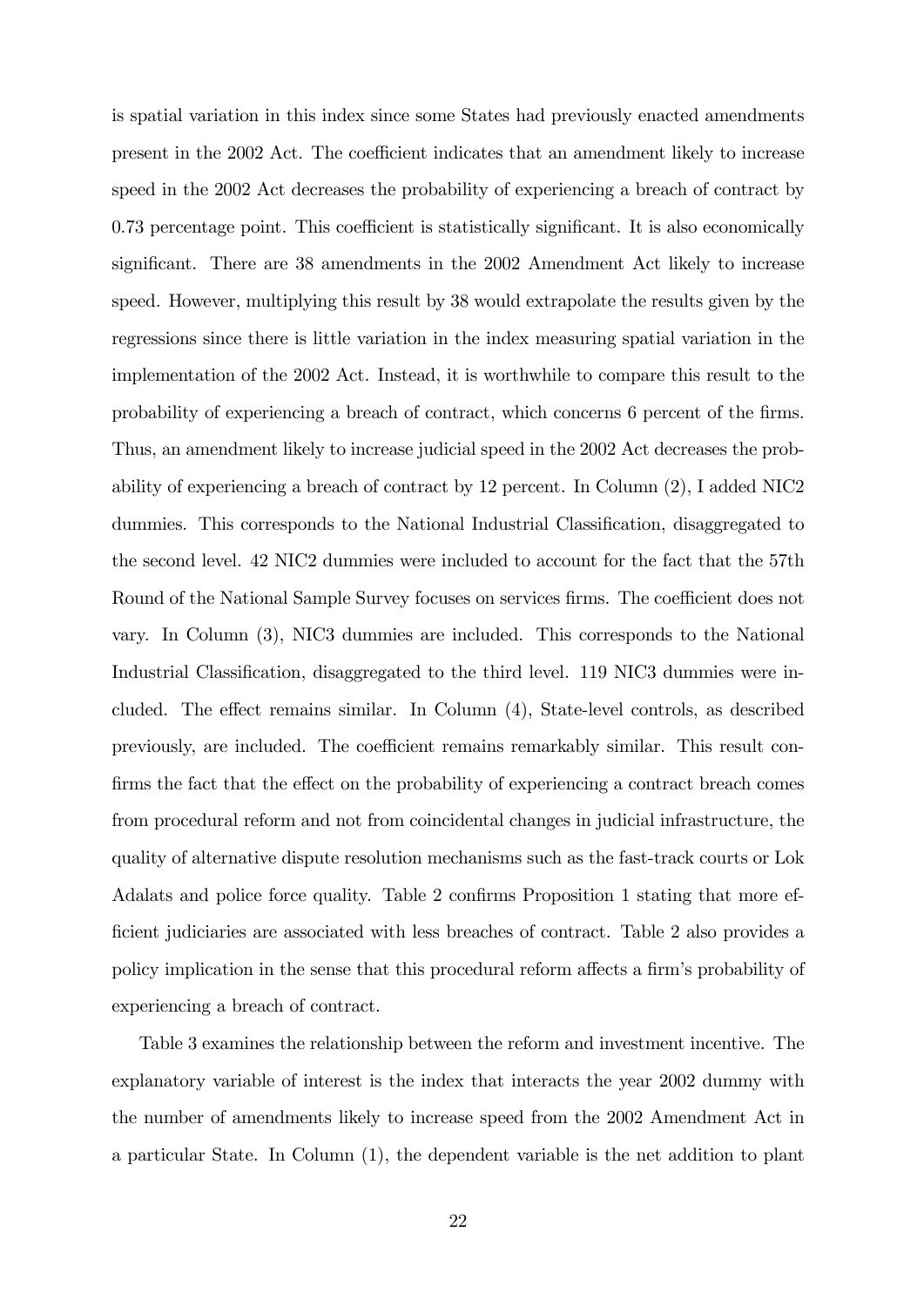is spatial variation in this index since some States had previously enacted amendments present in the 2002 Act. The coefficient indicates that an amendment likely to increase speed in the 2002 Act decreases the probability of experiencing a breach of contract by  $0.73$  percentage point. This coefficient is statistically significant. It is also economically significant. There are 38 amendments in the 2002 Amendment Act likely to increase speed. However, multiplying this result by 38 would extrapolate the results given by the regressions since there is little variation in the index measuring spatial variation in the implementation of the 2002 Act. Instead, it is worthwhile to compare this result to the probability of experiencing a breach of contract, which concerns 6 percent of the Örms. Thus, an amendment likely to increase judicial speed in the 2002 Act decreases the probability of experiencing a breach of contract by 12 percent. In Column (2), I added NIC2 dummies. This corresponds to the National Industrial Classification, disaggregated to the second level. 42 NIC2 dummies were included to account for the fact that the 57th Round of the National Sample Survey focuses on services firms. The coefficient does not vary. In Column (3), NIC3 dummies are included. This corresponds to the National Industrial Classification, disaggregated to the third level. 119 NIC3 dummies were included. The effect remains similar. In Column  $(4)$ , State-level controls, as described previously, are included. The coefficient remains remarkably similar. This result confirms the fact that the effect on the probability of experiencing a contract breach comes from procedural reform and not from coincidental changes in judicial infrastructure, the quality of alternative dispute resolution mechanisms such as the fast-track courts or Lok Adalats and police force quality. Table 2 confirms Proposition 1 stating that more ef-Öcient judiciaries are associated with less breaches of contract. Table 2 also provides a policy implication in the sense that this procedural reform affects a firm's probability of experiencing a breach of contract.

Table 3 examines the relationship between the reform and investment incentive. The explanatory variable of interest is the index that interacts the year 2002 dummy with the number of amendments likely to increase speed from the 2002 Amendment Act in a particular State. In Column (1), the dependent variable is the net addition to plant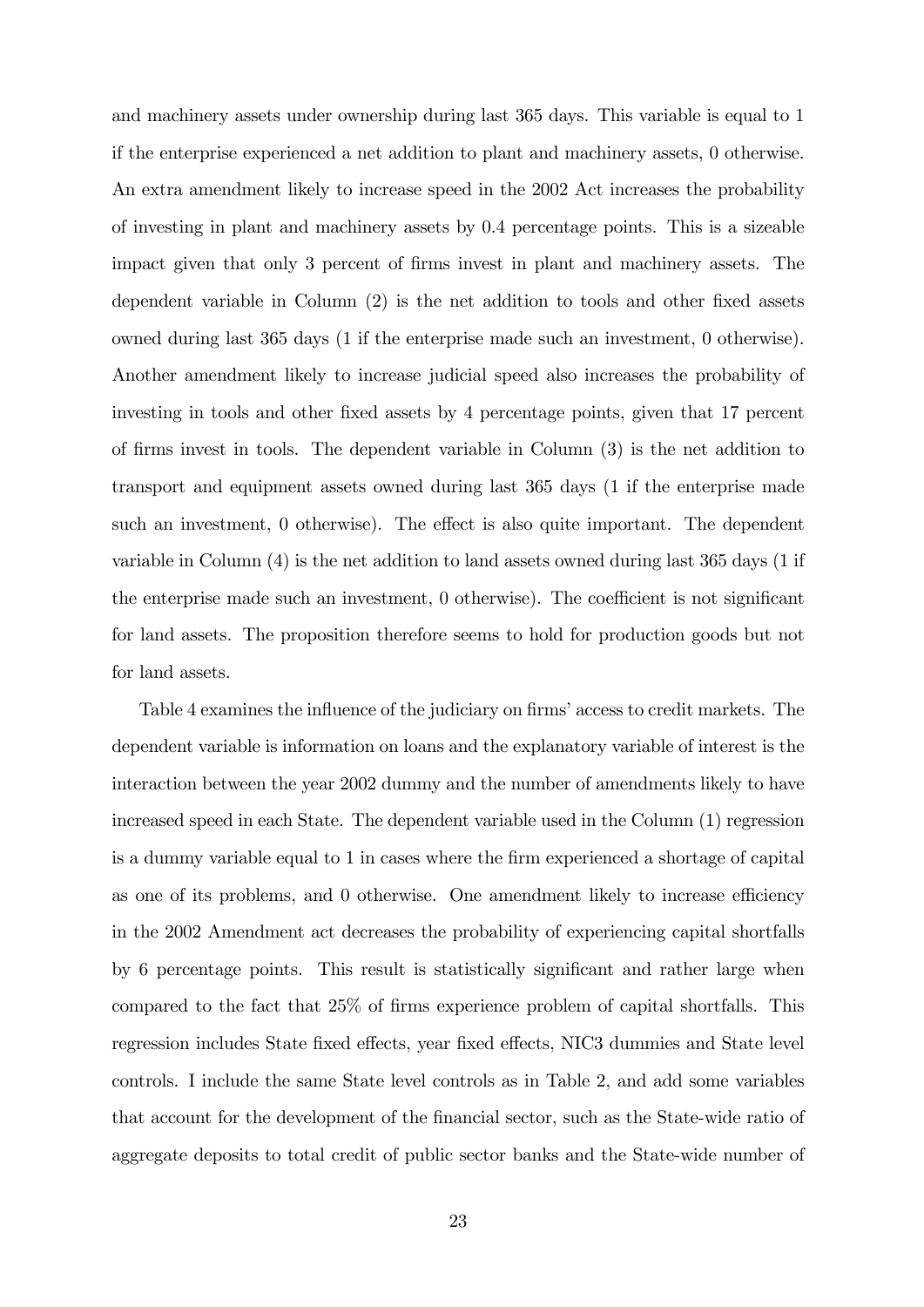and machinery assets under ownership during last 365 days. This variable is equal to 1 if the enterprise experienced a net addition to plant and machinery assets, 0 otherwise. An extra amendment likely to increase speed in the 2002 Act increases the probability of investing in plant and machinery assets by 0.4 percentage points. This is a sizeable impact given that only 3 percent of Örms invest in plant and machinery assets. The dependent variable in Column  $(2)$  is the net addition to tools and other fixed assets owned during last 365 days (1 if the enterprise made such an investment, 0 otherwise). Another amendment likely to increase judicial speed also increases the probability of investing in tools and other fixed assets by 4 percentage points, given that 17 percent of Örms invest in tools. The dependent variable in Column (3) is the net addition to transport and equipment assets owned during last 365 days (1 if the enterprise made such an investment,  $\theta$  otherwise). The effect is also quite important. The dependent variable in Column (4) is the net addition to land assets owned during last 365 days (1 if the enterprise made such an investment,  $0$  otherwise). The coefficient is not significant for land assets. The proposition therefore seems to hold for production goods but not for land assets.

Table 4 examines the influence of the judiciary on firms' access to credit markets. The dependent variable is information on loans and the explanatory variable of interest is the interaction between the year 2002 dummy and the number of amendments likely to have increased speed in each State. The dependent variable used in the Column (1) regression is a dummy variable equal to 1 in cases where the Örm experienced a shortage of capital as one of its problems, and  $0$  otherwise. One amendment likely to increase efficiency in the 2002 Amendment act decreases the probability of experiencing capital shortfalls by 6 percentage points. This result is statistically significant and rather large when compared to the fact that  $25\%$  of firms experience problem of capital shortfalls. This regression includes State fixed effects, year fixed effects, NIC3 dummies and State level controls. I include the same State level controls as in Table 2, and add some variables that account for the development of the Önancial sector, such as the State-wide ratio of aggregate deposits to total credit of public sector banks and the State-wide number of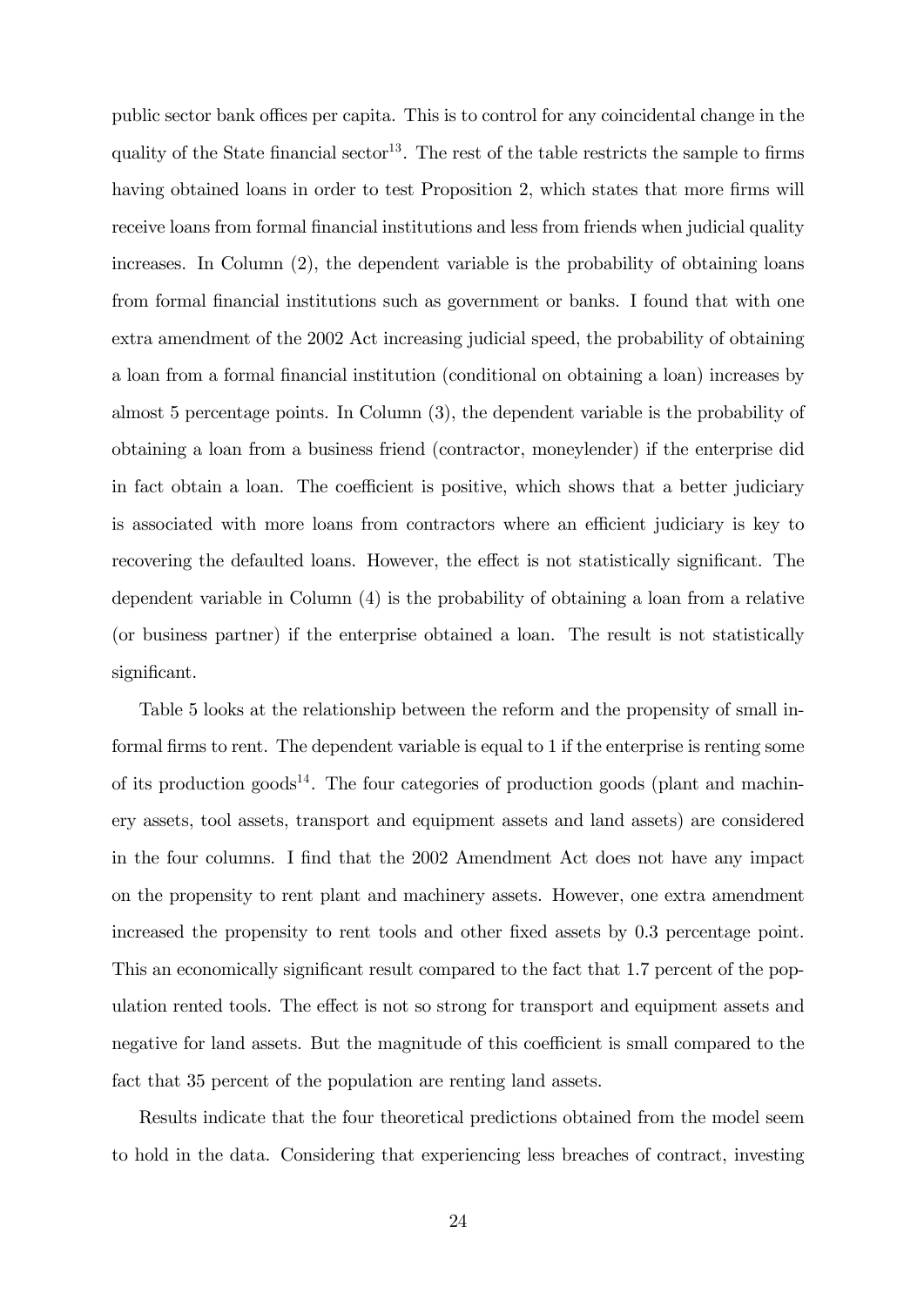public sector bank offices per capita. This is to control for any coincidental change in the quality of the State financial sector<sup>13</sup>. The rest of the table restricts the sample to firms having obtained loans in order to test Proposition 2, which states that more firms will receive loans from formal financial institutions and less from friends when judicial quality increases. In Column (2), the dependent variable is the probability of obtaining loans from formal financial institutions such as government or banks. I found that with one extra amendment of the 2002 Act increasing judicial speed, the probability of obtaining a loan from a formal Önancial institution (conditional on obtaining a loan) increases by almost 5 percentage points. In Column (3), the dependent variable is the probability of obtaining a loan from a business friend (contractor, moneylender) if the enterprise did in fact obtain a loan. The coefficient is positive, which shows that a better judiciary is associated with more loans from contractors where an efficient judiciary is key to recovering the defaulted loans. However, the effect is not statistically significant. The dependent variable in Column (4) is the probability of obtaining a loan from a relative (or business partner) if the enterprise obtained a loan. The result is not statistically significant.

Table 5 looks at the relationship between the reform and the propensity of small informal firms to rent. The dependent variable is equal to 1 if the enterprise is renting some of its production goods<sup>14</sup>. The four categories of production goods (plant and machinery assets, tool assets, transport and equipment assets and land assets) are considered in the four columns. I find that the 2002 Amendment Act does not have any impact on the propensity to rent plant and machinery assets. However, one extra amendment increased the propensity to rent tools and other fixed assets by 0.3 percentage point. This an economically significant result compared to the fact that 1.7 percent of the population rented tools. The effect is not so strong for transport and equipment assets and negative for land assets. But the magnitude of this coefficient is small compared to the fact that 35 percent of the population are renting land assets.

Results indicate that the four theoretical predictions obtained from the model seem to hold in the data. Considering that experiencing less breaches of contract, investing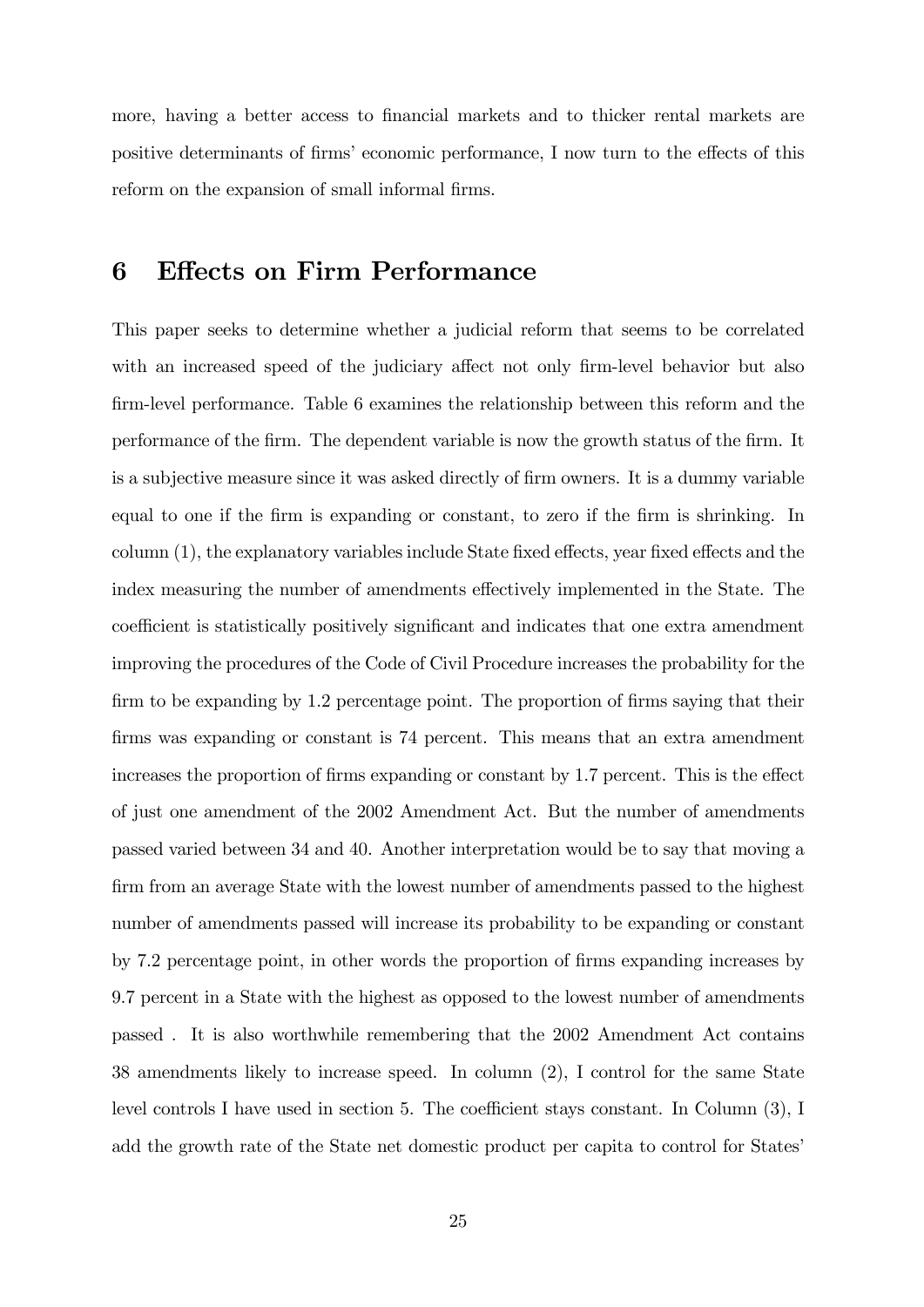more, having a better access to financial markets and to thicker rental markets are positive determinants of firms' economic performance, I now turn to the effects of this reform on the expansion of small informal firms.

# 6 Effects on Firm Performance

This paper seeks to determine whether a judicial reform that seems to be correlated with an increased speed of the judiciary affect not only firm-level behavior but also firm-level performance. Table 6 examines the relationship between this reform and the performance of the Örm. The dependent variable is now the growth status of the Örm. It is a subjective measure since it was asked directly of firm owners. It is a dummy variable equal to one if the firm is expanding or constant, to zero if the firm is shrinking. In column  $(1)$ , the explanatory variables include State fixed effects, year fixed effects and the index measuring the number of amendments effectively implemented in the State. The coefficient is statistically positively significant and indicates that one extra amendment improving the procedures of the Code of Civil Procedure increases the probability for the firm to be expanding by 1.2 percentage point. The proportion of firms saying that their firms was expanding or constant is 74 percent. This means that an extra amendment increases the proportion of firms expanding or constant by 1.7 percent. This is the effect of just one amendment of the 2002 Amendment Act. But the number of amendments passed varied between 34 and 40. Another interpretation would be to say that moving a firm from an average State with the lowest number of amendments passed to the highest number of amendments passed will increase its probability to be expanding or constant by 7.2 percentage point, in other words the proportion of Örms expanding increases by 9.7 percent in a State with the highest as opposed to the lowest number of amendments passed . It is also worthwhile remembering that the 2002 Amendment Act contains 38 amendments likely to increase speed. In column (2), I control for the same State level controls I have used in section 5. The coefficient stays constant. In Column  $(3)$ , I add the growth rate of the State net domestic product per capita to control for States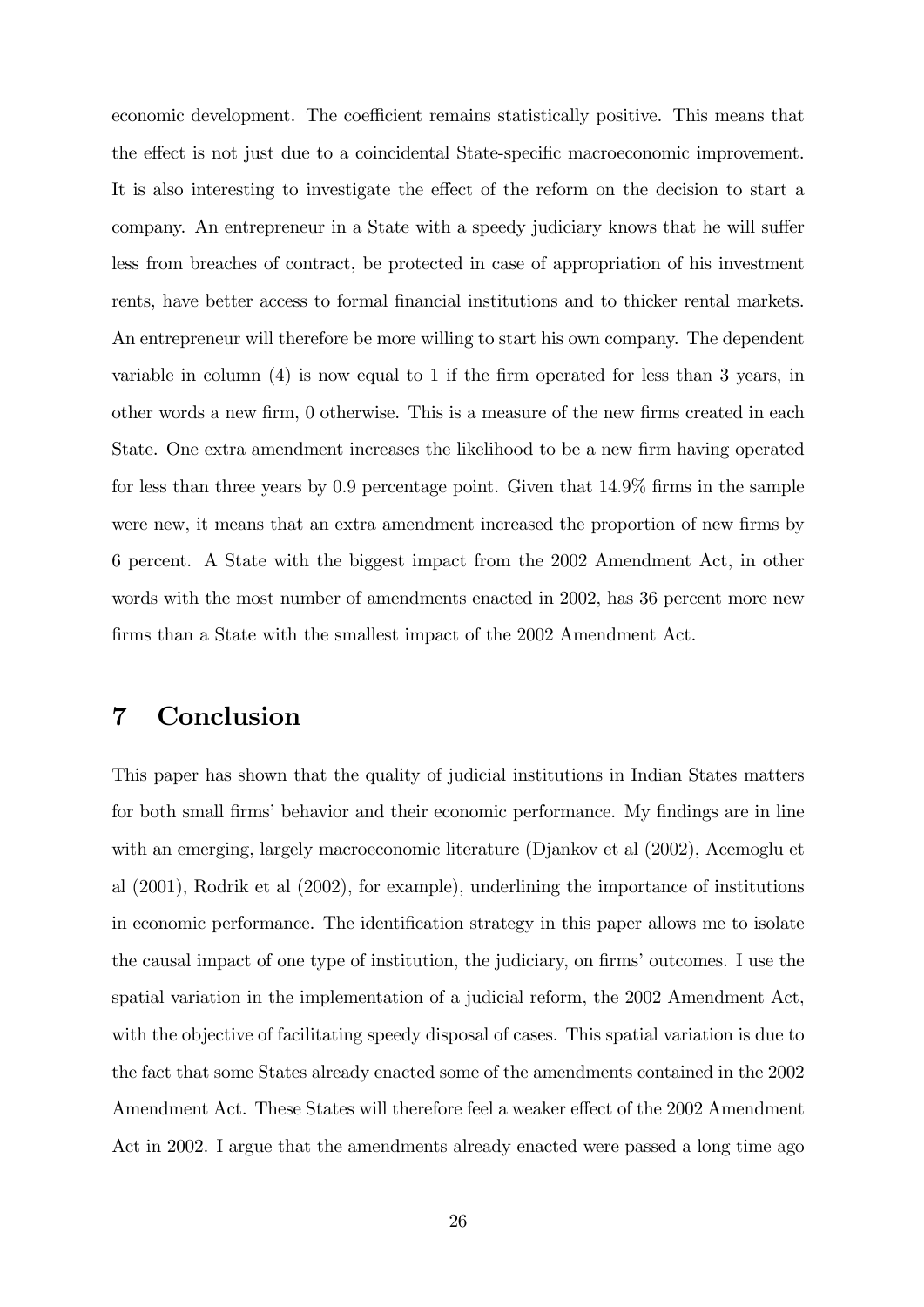economic development. The coefficient remains statistically positive. This means that the effect is not just due to a coincidental State-specific macroeconomic improvement. It is also interesting to investigate the effect of the reform on the decision to start a company. An entrepreneur in a State with a speedy judiciary knows that he will suffer less from breaches of contract, be protected in case of appropriation of his investment rents, have better access to formal financial institutions and to thicker rental markets. An entrepreneur will therefore be more willing to start his own company. The dependent variable in column  $(4)$  is now equal to 1 if the firm operated for less than 3 years, in other words a new firm, 0 otherwise. This is a measure of the new firms created in each State. One extra amendment increases the likelihood to be a new firm having operated for less than three years by 0.9 percentage point. Given that  $14.9\%$  firms in the sample were new, it means that an extra amendment increased the proportion of new firms by 6 percent. A State with the biggest impact from the 2002 Amendment Act, in other words with the most number of amendments enacted in 2002, has 36 percent more new firms than a State with the smallest impact of the 2002 Amendment Act.

# 7 Conclusion

This paper has shown that the quality of judicial institutions in Indian States matters for both small firms' behavior and their economic performance. My findings are in line with an emerging, largely macroeconomic literature (Djankov et al (2002), Acemoglu et al (2001), Rodrik et al (2002), for example), underlining the importance of institutions in economic performance. The identification strategy in this paper allows me to isolate the causal impact of one type of institution, the judiciary, on firms' outcomes. I use the spatial variation in the implementation of a judicial reform, the 2002 Amendment Act, with the objective of facilitating speedy disposal of cases. This spatial variation is due to the fact that some States already enacted some of the amendments contained in the 2002 Amendment Act. These States will therefore feel a weaker effect of the 2002 Amendment Act in 2002. I argue that the amendments already enacted were passed a long time ago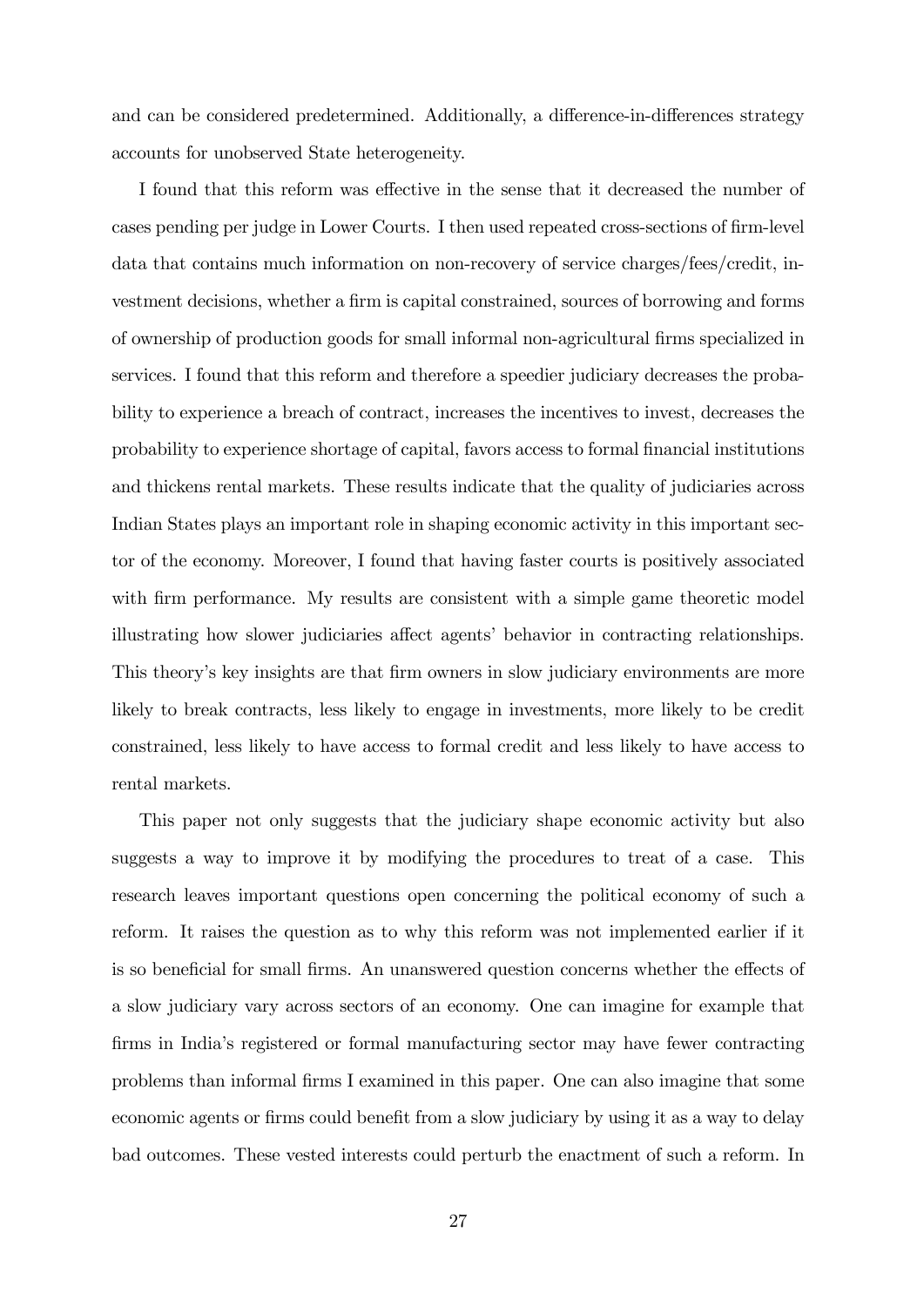and can be considered predetermined. Additionally, a difference-in-differences strategy accounts for unobserved State heterogeneity.

I found that this reform was effective in the sense that it decreased the number of cases pending per judge in Lower Courts. I then used repeated cross-sections of firm-level data that contains much information on non-recovery of service charges/fees/credit, investment decisions, whether a firm is capital constrained, sources of borrowing and forms of ownership of production goods for small informal non-agricultural Örms specialized in services. I found that this reform and therefore a speedier judiciary decreases the probability to experience a breach of contract, increases the incentives to invest, decreases the probability to experience shortage of capital, favors access to formal Önancial institutions and thickens rental markets. These results indicate that the quality of judiciaries across Indian States plays an important role in shaping economic activity in this important sector of the economy. Moreover, I found that having faster courts is positively associated with firm performance. My results are consistent with a simple game theoretic model illustrating how slower judiciaries affect agents' behavior in contracting relationships. This theory's key insights are that firm owners in slow judiciary environments are more likely to break contracts, less likely to engage in investments, more likely to be credit constrained, less likely to have access to formal credit and less likely to have access to rental markets.

This paper not only suggests that the judiciary shape economic activity but also suggests a way to improve it by modifying the procedures to treat of a case. This research leaves important questions open concerning the political economy of such a reform. It raises the question as to why this reform was not implemented earlier if it is so beneficial for small firms. An unanswered question concerns whether the effects of a slow judiciary vary across sectors of an economy. One can imagine for example that firms in India's registered or formal manufacturing sector may have fewer contracting problems than informal Örms I examined in this paper. One can also imagine that some economic agents or firms could benefit from a slow judiciary by using it as a way to delay bad outcomes. These vested interests could perturb the enactment of such a reform. In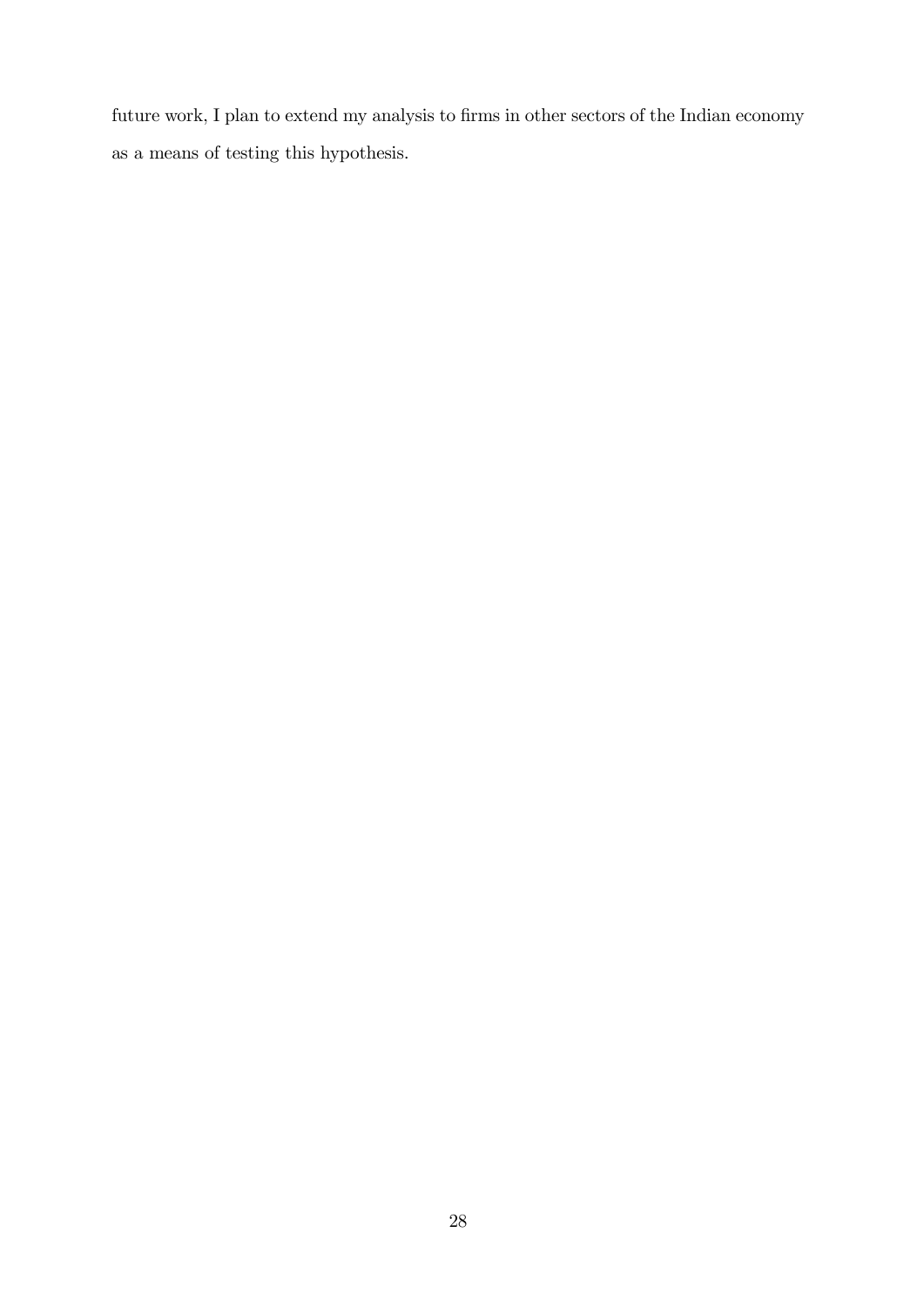future work, I plan to extend my analysis to firms in other sectors of the Indian economy as a means of testing this hypothesis.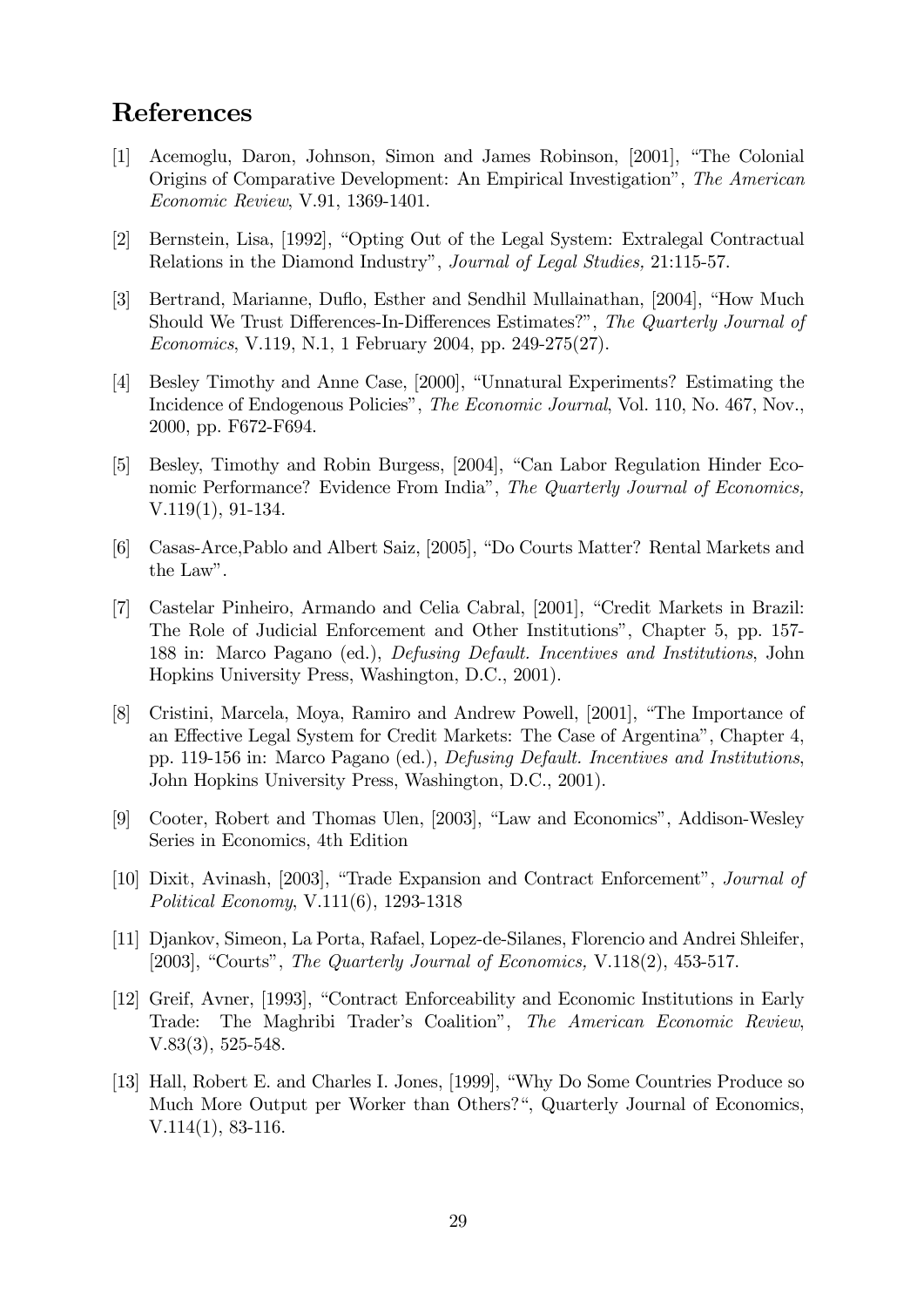# References

- [1] Acemoglu, Daron, Johnson, Simon and James Robinson, [2001], "The Colonial Origins of Comparative Development: An Empirical Investigationî, The American Economic Review, V.91, 1369-1401.
- [2] Bernstein, Lisa, [1992], "Opting Out of the Legal System: Extralegal Contractual Relations in the Diamond Industry", Journal of Legal Studies, 21:115-57.
- [3] Bertrand, Marianne, Duflo, Esther and Sendhil Mullainathan, [2004], "How Much Should We Trust Differences-In-Differences Estimates?", The Quarterly Journal of Economics, V.119, N.1, 1 February 2004, pp. 249-275(27).
- [4] Besley Timothy and Anne Case, [2000], "Unnatural Experiments? Estimating the Incidence of Endogenous Policies", The Economic Journal, Vol. 110, No. 467, Nov., 2000, pp. F672-F694.
- [5] Besley, Timothy and Robin Burgess, [2004], "Can Labor Regulation Hinder Economic Performance? Evidence From India", The Quarterly Journal of Economics, V.119(1), 91-134.
- [6] Casas-Arce, Pablo and Albert Saiz, [2005], "Do Courts Matter? Rental Markets and the Law".
- [7] Castelar Pinheiro, Armando and Celia Cabral, [2001], "Credit Markets in Brazil: The Role of Judicial Enforcement and Other Institutions", Chapter 5, pp. 157-188 in: Marco Pagano (ed.), Defusing Default. Incentives and Institutions, John Hopkins University Press, Washington, D.C., 2001).
- [8] Cristini, Marcela, Moya, Ramiro and Andrew Powell, [2001], "The Importance of an Effective Legal System for Credit Markets: The Case of Argentina<sup>n</sup>, Chapter 4, pp. 119-156 in: Marco Pagano (ed.), Defusing Default. Incentives and Institutions, John Hopkins University Press, Washington, D.C., 2001).
- [9] Cooter, Robert and Thomas Ulen, [2003], "Law and Economics", Addison-Wesley Series in Economics, 4th Edition
- [10] Dixit, Avinash, [2003], "Trade Expansion and Contract Enforcement", *Journal of* Political Economy, V.111(6), 1293-1318
- [11] Djankov, Simeon, La Porta, Rafael, Lopez-de-Silanes, Florencio and Andrei Shleifer, [2003], "Courts", The Quarterly Journal of Economics, V.118(2), 453-517.
- [12] Greif, Avner, [1993], "Contract Enforceability and Economic Institutions in Early Trade: The Maghribi Trader's Coalition", The American Economic Review, V.83(3), 525-548.
- [13] Hall, Robert E. and Charles I. Jones, [1999], "Why Do Some Countries Produce so Much More Output per Worker than Others?", Quarterly Journal of Economics, V.114(1), 83-116.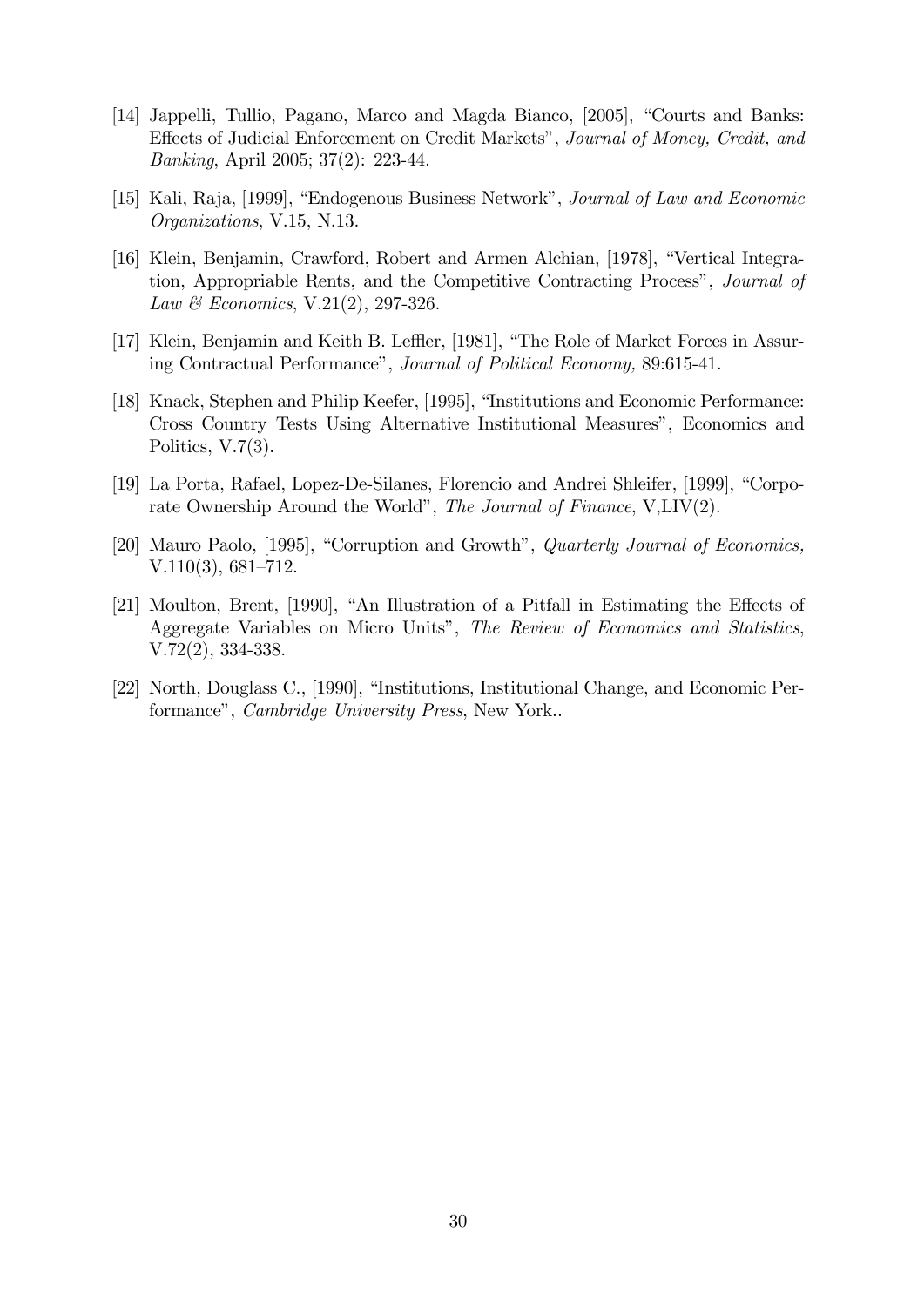- [14] Jappelli, Tullio, Pagano, Marco and Magda Bianco, [2005], "Courts and Banks: Effects of Judicial Enforcement on Credit Markets", Journal of Money, Credit, and Banking, April 2005; 37(2): 223-44.
- [15] Kali, Raja, [1999], "Endogenous Business Network", Journal of Law and Economic Organizations, V.15, N.13.
- [16] Klein, Benjamin, Crawford, Robert and Armen Alchian, [1978], "Vertical Integration, Appropriable Rents, and the Competitive Contracting Process<sup>"</sup>, *Journal of* Law & Economics, V.21(2), 297-326.
- [17] Klein, Benjamin and Keith B. Leffler, [1981], "The Role of Market Forces in Assuring Contractual Performance", Journal of Political Economy, 89:615-41.
- [18] Knack, Stephen and Philip Keefer, [1995], "Institutions and Economic Performance: Cross Country Tests Using Alternative Institutional Measuresî, Economics and Politics, V.7(3).
- [19] La Porta, Rafael, Lopez-De-Silanes, Florencio and Andrei Shleifer, [1999], "Corporate Ownership Around the World", The Journal of Finance, V, $LIV(2)$ .
- [20] Mauro Paolo, [1995], "Corruption and Growth", *Quarterly Journal of Economics*,  $V.110(3), 681-712.$
- [21] Moulton, Brent, [1990], "An Illustration of a Pitfall in Estimating the Effects of Aggregate Variables on Micro Units", The Review of Economics and Statistics, V.72(2), 334-338.
- [22] North, Douglass C., [1990], "Institutions, Institutional Change, and Economic Performance", *Cambridge University Press*, New York...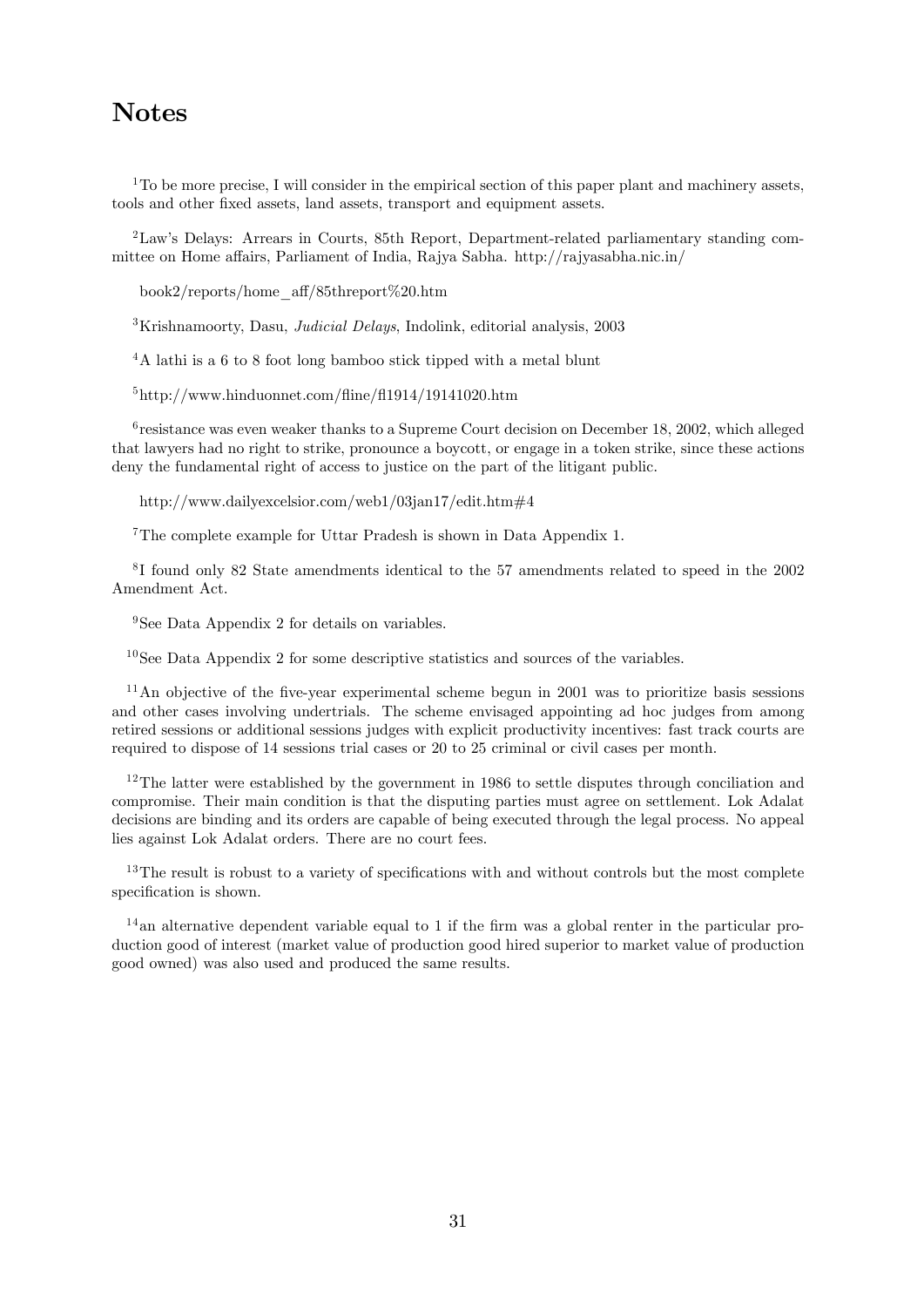# **Notes**

 $1$ <sup>1</sup>To be more precise, I will consider in the empirical section of this paper plant and machinery assets, tools and other fixed assets, land assets, transport and equipment assets.

<sup>2</sup>Lawís Delays: Arrears in Courts, 85th Report, Department-related parliamentary standing committee on Home affairs, Parliament of India, Rajya Sabha. http://rajyasabha.nic.in/

book2/reports/home\_a§/85threport%20.htm

 ${}^{3}$ Krishnamoorty, Dasu, *Judicial Delays*, Indolink, editorial analysis, 2003

<sup>4</sup>A lathi is a 6 to 8 foot long bamboo stick tipped with a metal blunt

 $5$ http://www.hinduonnet.com/fline/fl1914/19141020.htm

<sup>6</sup> resistance was even weaker thanks to a Supreme Court decision on December 18, 2002, which alleged that lawyers had no right to strike, pronounce a boycott, or engage in a token strike, since these actions deny the fundamental right of access to justice on the part of the litigant public.

http://www.dailyexcelsior.com/web1/03jan17/edit.htm#4

<sup>7</sup>The complete example for Uttar Pradesh is shown in Data Appendix 1.

8 I found only 82 State amendments identical to the 57 amendments related to speed in the 2002 Amendment Act.

<sup>9</sup>See Data Appendix 2 for details on variables.

 $10$ See Data Appendix 2 for some descriptive statistics and sources of the variables.

 $11$ An objective of the five-year experimental scheme begun in 2001 was to prioritize basis sessions and other cases involving undertrials. The scheme envisaged appointing ad hoc judges from among retired sessions or additional sessions judges with explicit productivity incentives: fast track courts are required to dispose of 14 sessions trial cases or 20 to 25 criminal or civil cases per month.

 $12$ The latter were established by the government in 1986 to settle disputes through conciliation and compromise. Their main condition is that the disputing parties must agree on settlement. Lok Adalat decisions are binding and its orders are capable of being executed through the legal process. No appeal lies against Lok Adalat orders. There are no court fees.

 $13$ The result is robust to a variety of specifications with and without controls but the most complete specification is shown.

 $14$  an alternative dependent variable equal to 1 if the firm was a global renter in the particular production good of interest (market value of production good hired superior to market value of production good owned) was also used and produced the same results.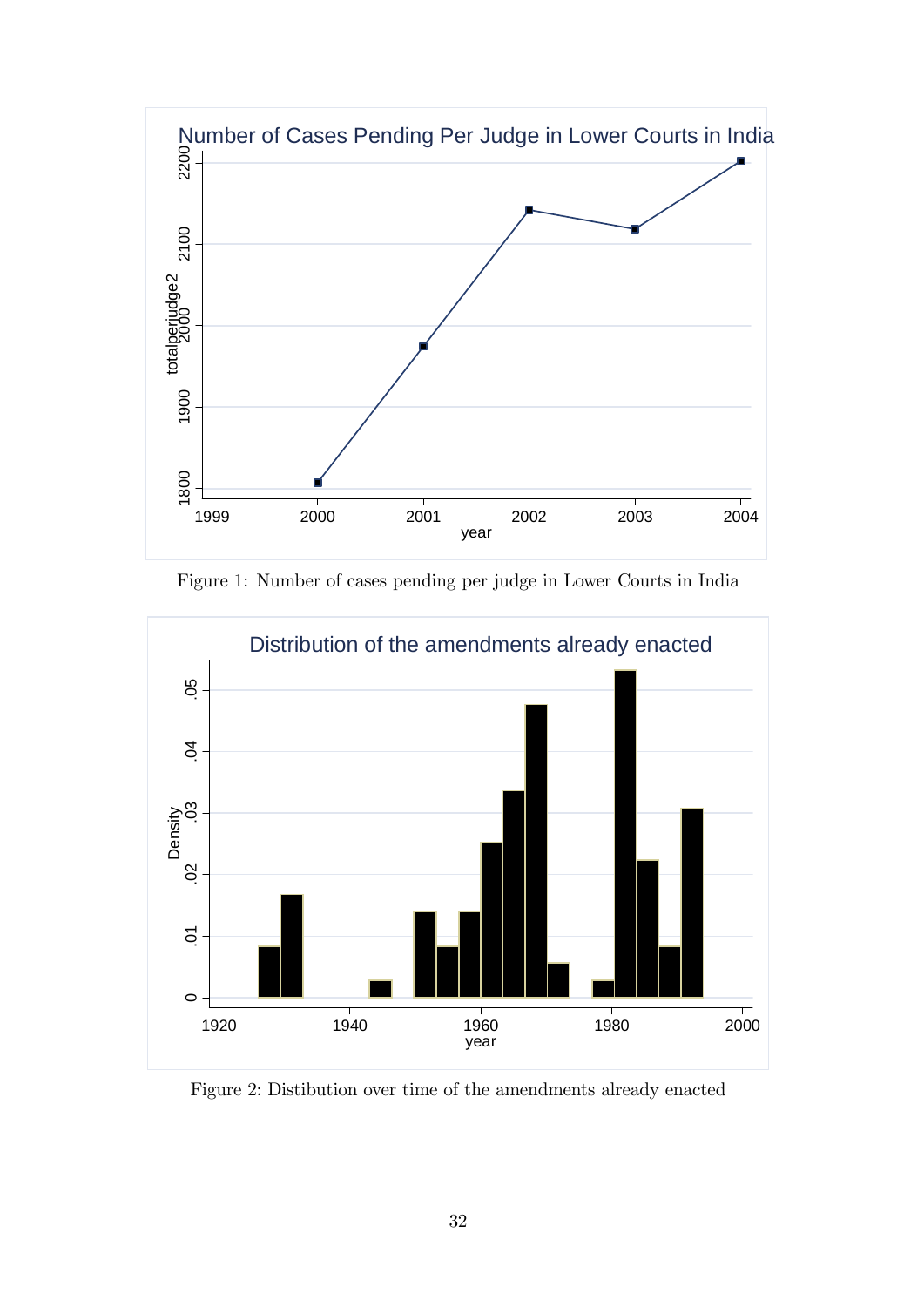

Figure 1: Number of cases pending per judge in Lower Courts in India



Figure 2: Distibution over time of the amendments already enacted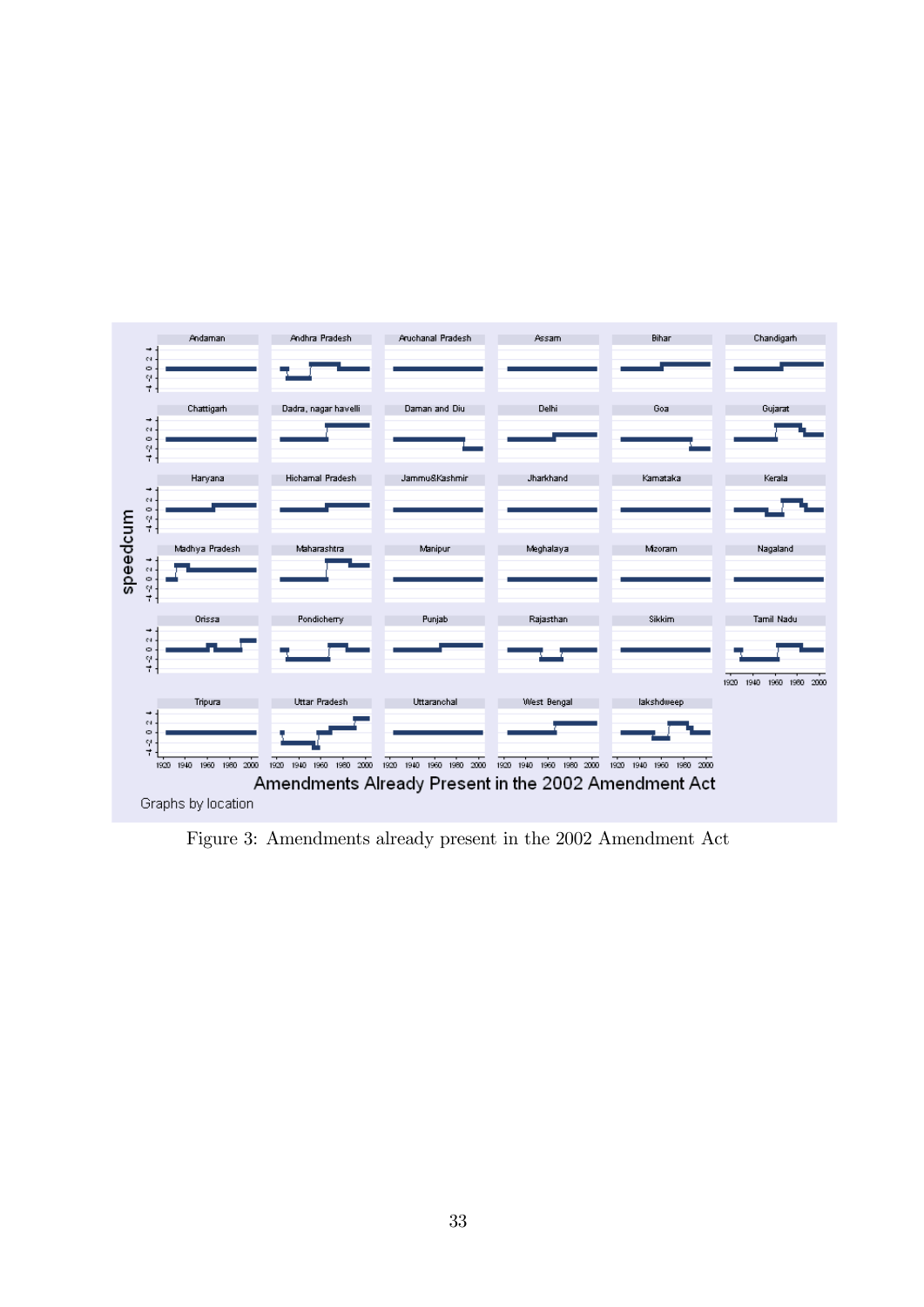

Figure 3: Amendments already present in the 2002 Amendment Act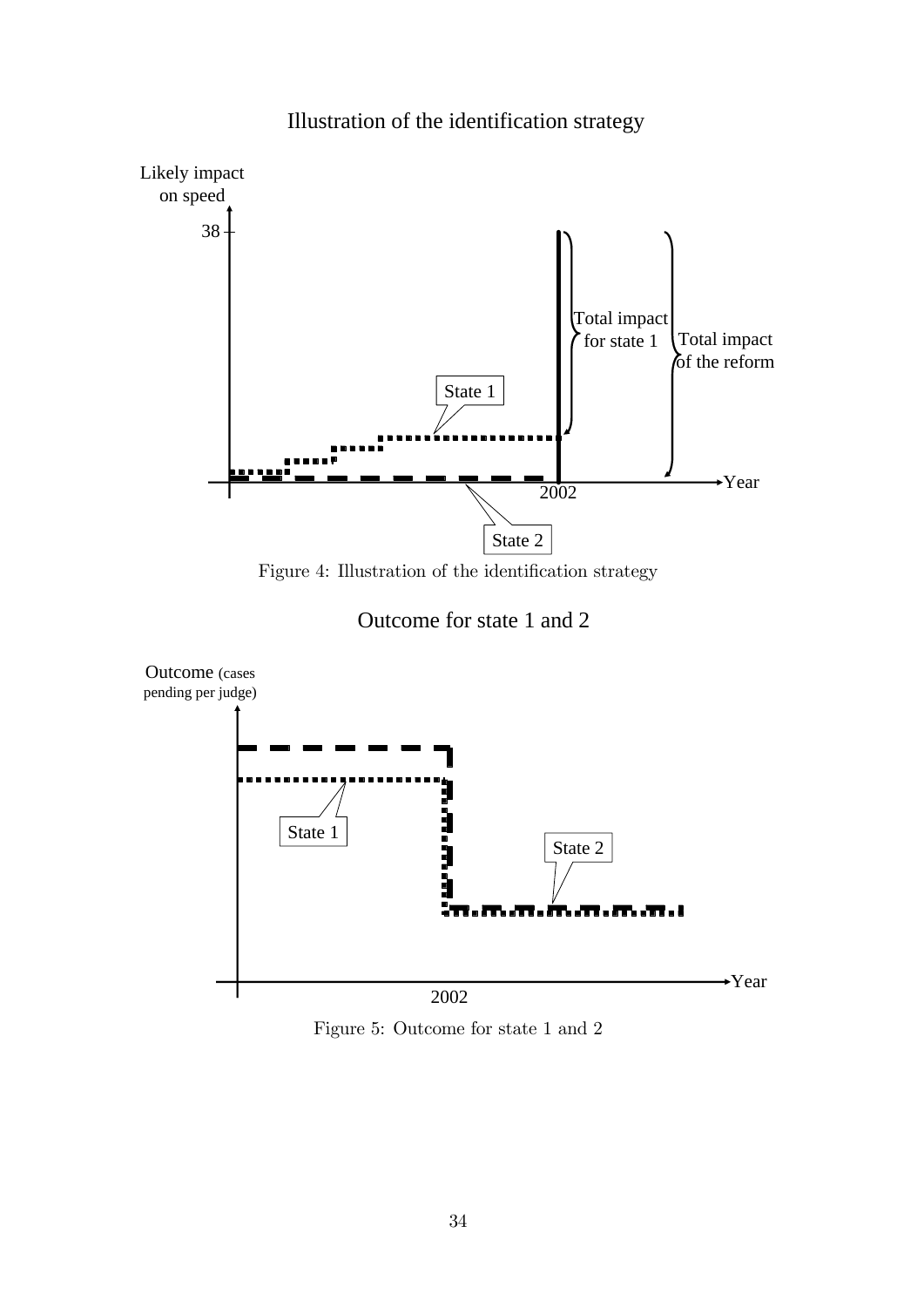

# Illustration of the identification strategy

Figure 4: Illustration of the identification strategy





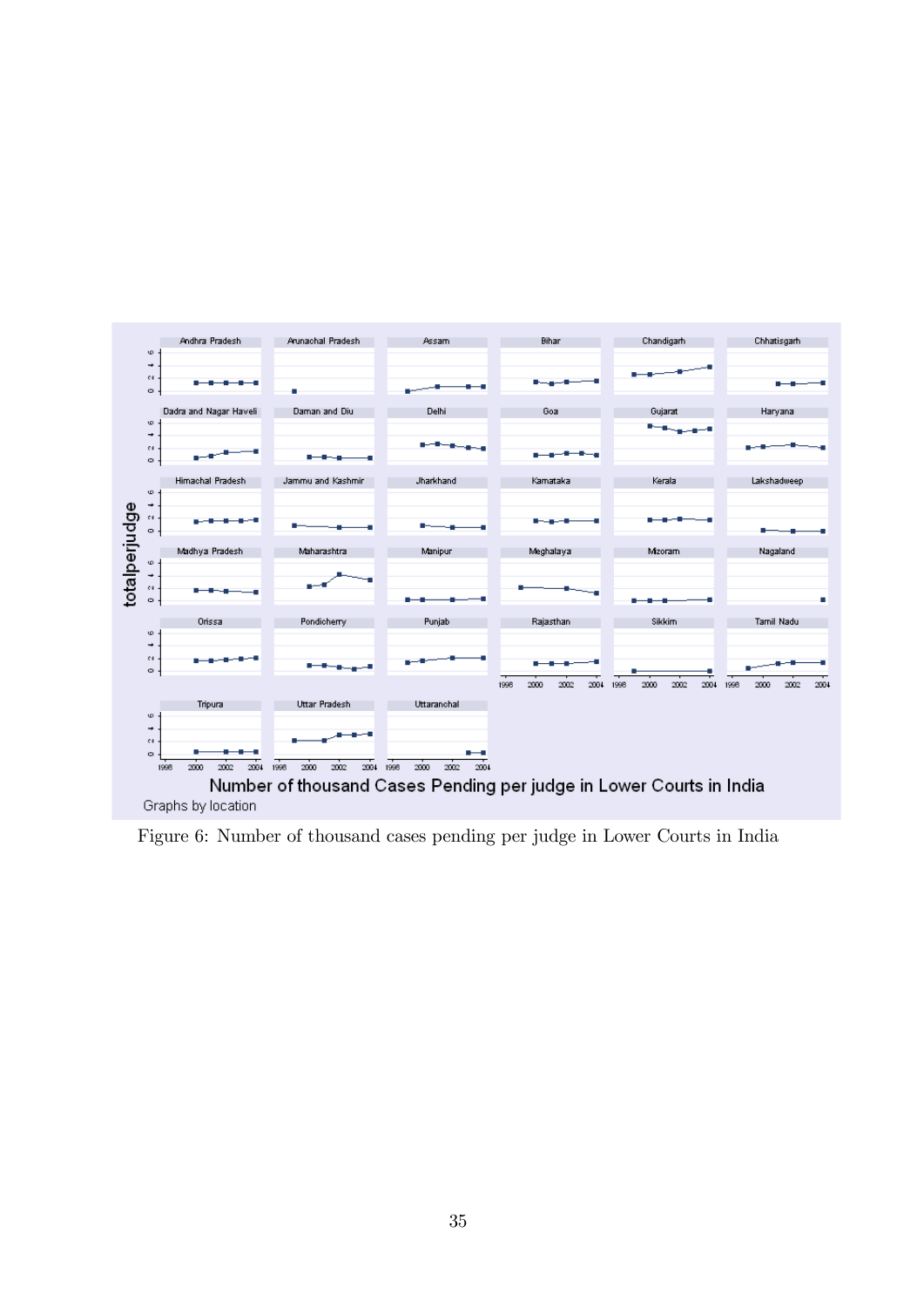

Figure 6: Number of thousand cases pending per judge in Lower Courts in India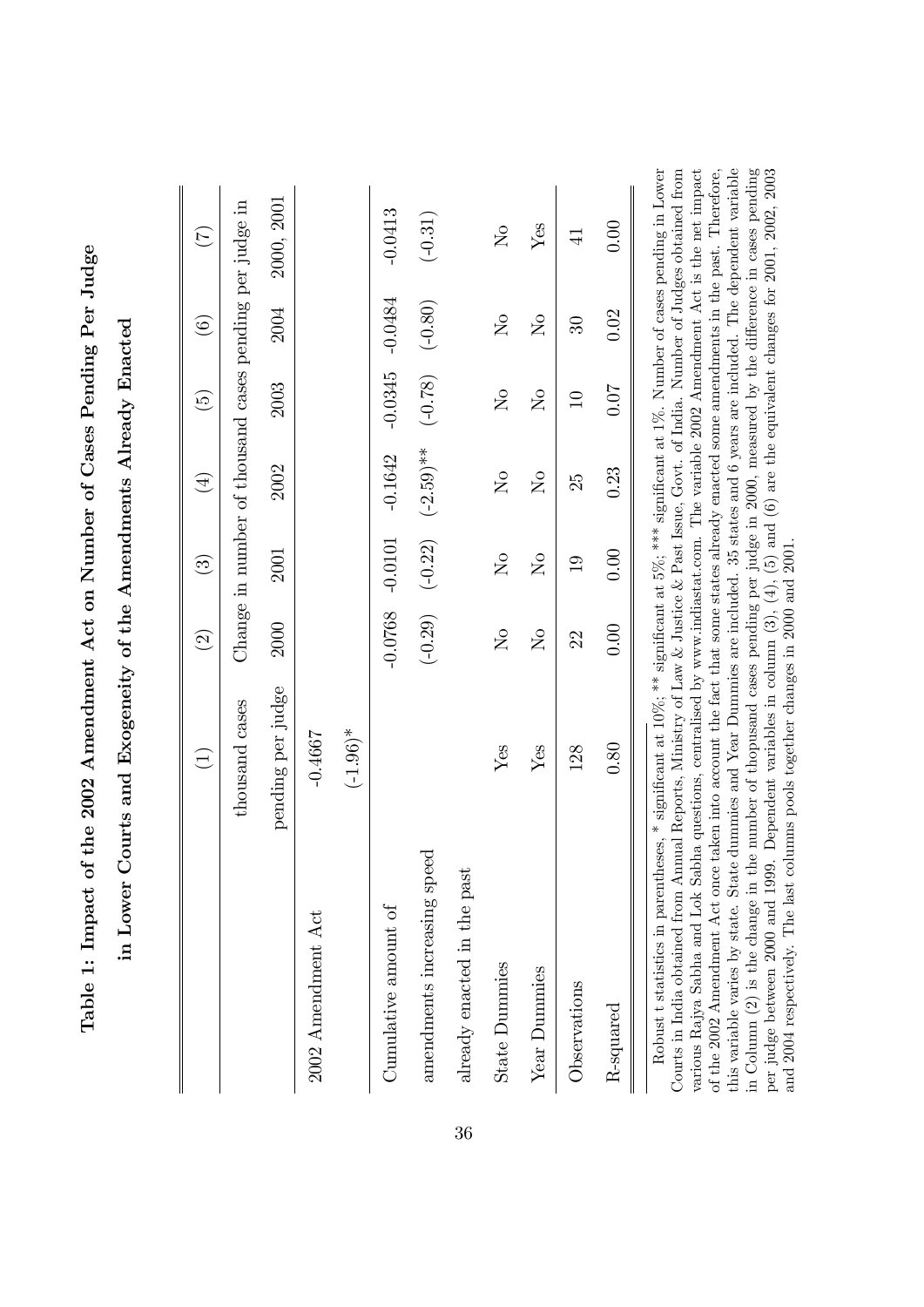|                             | $\widehat{\Xi}$   | $\widehat{\Omega}$ | $\widehat{\mathfrak{B}}$ | $(\pm)$                                                 | $\widetilde{\Theta}$       | $\widehat{\odot}$     | E              |
|-----------------------------|-------------------|--------------------|--------------------------|---------------------------------------------------------|----------------------------|-----------------------|----------------|
|                             | thousand cases    |                    |                          | Change in number of thousand cases pending per judge in |                            |                       |                |
|                             | pending per judge | 2000               | 2001                     | 2002                                                    | 2003                       | 2004                  | 2000, 2001     |
| 2002 Amendment Act          | $-0.4667$         |                    |                          |                                                         |                            |                       |                |
|                             | $(-1.96)^*$       |                    |                          |                                                         |                            |                       |                |
| Cumulative amount of        |                   | $-0.0768$          | $-0.0101$                | $-0.1642$                                               | $-0.0345$                  | $-0.0484$             | $-0.0413$      |
| amendments increasing speed |                   | $(-0.29)$          |                          | $(-0.22)$ $(-2.59)$ **                                  | $(-0.78)$                  | $(-0.80)$             | $(-0.31)$      |
| already enacted in the past |                   |                    |                          |                                                         |                            |                       |                |
| <b>State Dummies</b>        | Yes               | $\overline{N}$     | $\overline{N}$           | $\overline{N}$                                          | $\overline{S}$             | $\overline{S}$        | $\overline{N}$ |
| Year Dummies                | Yes               | $\overline{S}$     | $\overline{N}$           | $\mathsf{S}^{\mathsf{O}}$                               | $\mathcal{S}_{\mathsf{O}}$ | $\mathcal{S}^{\circ}$ | Yes            |
| Observations                | 128               | 22                 | $\frac{0}{1}$            | 25                                                      | $\supseteq$                | B                     | $\exists$      |
| R-squared                   | 0.80              | 0.00               | 0.00                     | 0.23                                                    | <b>10.07</b>               | 0.02                  | 0.00           |

Table 1: Impact of the 2002 Amendment Act on Number of Cases Pending Per Judge Table 1: Impact of the 2002 Amendment Act on Number of Cases Pending Per Judge

this variable varies by state. State dummies and Year Dummies are included. 35 states and 6 years are included. The dependent variable various Rajya Sabha and Lok Sabha questions, centralised by www.indiastat.com. The variable 2002 Amendment Act is the net impact of the 2002 Amendment Act once taken into account the fact that some states already enacted some amendments in the past. Therefore, in Column (2) is the change in the number of thopusand cases pending per judge in 2000, measured by the difference in cases pending per judge between 2000 and 1999. Dependent variables in column  $(3)$ ,  $(4)$ ,  $(5)$  and  $(6)$  are the equivalent changes for 2001, 2002, 2003 and 2004 respectively. The last columns pools together changes in 2000 and 2001. Robust t statistics in parentheses, \* significant at 10%; \*\*\* significant at 5%; \*\*\*\* significant at 1%. Number of cases pending in Lower Courts in India obtained from Annual Reports, Ministry of Law & Justice & Past Issue, Govt. of India. Number of Judges obtained from this variable varies by state. State dummies and Year Dummies are included. 35 states and 6 years are included. The dependent variable in Column (2) is the change in the number of thopusand cases pending per judge in 2000, measured by the difference in cases pending various Rajya Sabha and Lok Sabha questions, centralised by www.indiastat.com. The variable 2002 Amendment Act is the net impact of the 2002 Amendment Act once taken into account the fact that some states already enacted some amendments in the past. Therefore, per judge between 2000 and 1999. Dependent variables in column (3), (4), (5) and (6) are the equivalent changes for 2001, 2002, 2003 and 2004 respectively. The last columns pools together changes in 2000 and 2001.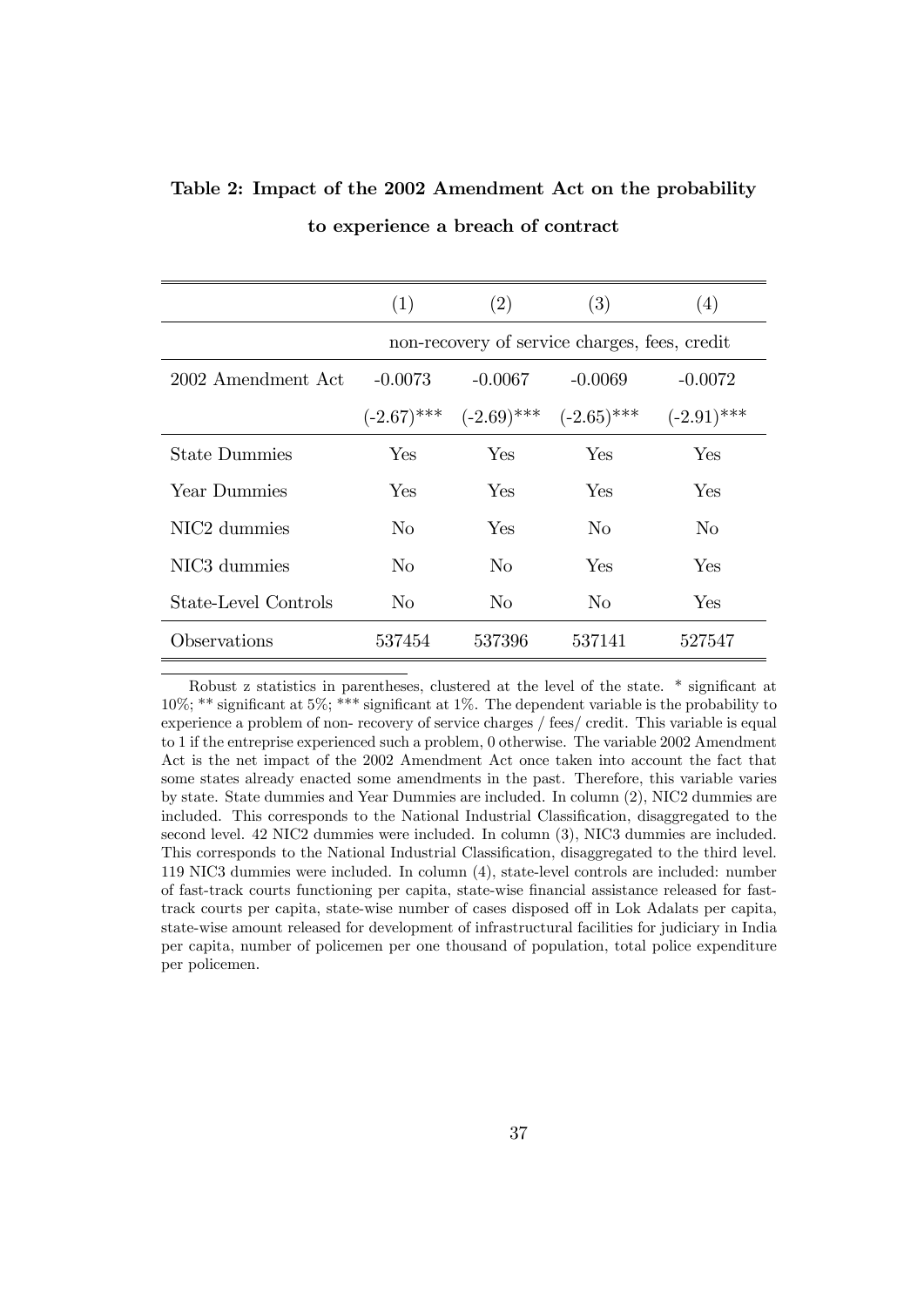|                          | (1)           | (2)                         | (3)                                           | (4)           |
|--------------------------|---------------|-----------------------------|-----------------------------------------------|---------------|
|                          |               |                             | non-recovery of service charges, fees, credit |               |
| 2002 Amendment Act       | $-0.0073$     | $-0.0067$                   | -0.0069                                       | $-0.0072$     |
|                          | $(-2.67)$ *** | $(-2.69)$ *** $(-2.65)$ *** |                                               | $(-2.91)$ *** |
| <b>State Dummies</b>     | Yes           | <b>Yes</b>                  | Yes                                           | Yes           |
| Year Dummies             | <b>Yes</b>    | <b>Yes</b>                  | Yes                                           | Yes           |
| NIC <sub>2</sub> dummies | No            | Yes                         | N <sub>o</sub>                                | No            |
| NIC <sub>3</sub> dummies | No.           | $\rm No$                    | Yes                                           | Yes           |
| State-Level Controls     | $\rm No$      | No.                         | N <sub>o</sub>                                | Yes           |
| Observations             | 537454        | 537396                      | 537141                                        | 527547        |

Table 2: Impact of the 2002 Amendment Act on the probability to experience a breach of contract

Robust z statistics in parentheses, clustered at the level of the state. \* significant at 10%; \*\* significant at 5%; \*\*\* significant at 1%. The dependent variable is the probability to experience a problem of non- recovery of service charges / fees/ credit. This variable is equal to 1 if the entreprise experienced such a problem, 0 otherwise. The variable 2002 Amendment Act is the net impact of the 2002 Amendment Act once taken into account the fact that some states already enacted some amendments in the past. Therefore, this variable varies by state. State dummies and Year Dummies are included. In column (2), NIC2 dummies are included. This corresponds to the National Industrial Classification, disaggregated to the second level. 42 NIC2 dummies were included. In column (3), NIC3 dummies are included. This corresponds to the National Industrial Classification, disaggregated to the third level. 119 NIC3 dummies were included. In column (4), state-level controls are included: number of fast-track courts functioning per capita, state-wise financial assistance released for fasttrack courts per capita, state-wise number of cases disposed off in Lok Adalats per capita, state-wise amount released for development of infrastructural facilities for judiciary in India per capita, number of policemen per one thousand of population, total police expenditure per policemen.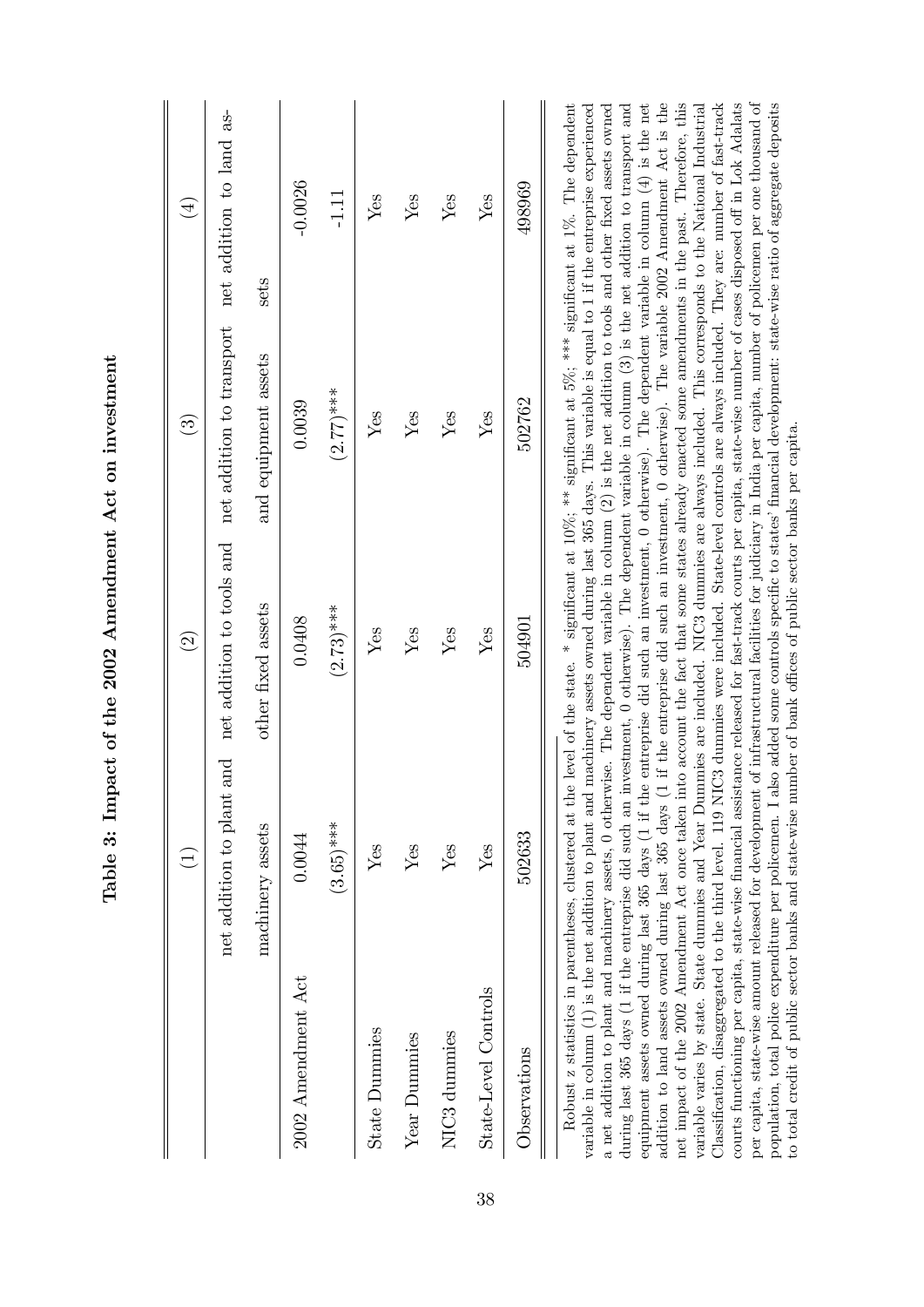|                          | $\widehat{\Xi}$                                      | $\odot$                                                  | $\widehat{\mathfrak{B}}$                            | $\left( \frac{1}{2} \right)$ |
|--------------------------|------------------------------------------------------|----------------------------------------------------------|-----------------------------------------------------|------------------------------|
|                          | $\mathop{\rm and}\nolimits$<br>net addition to plant |                                                          | net addition to tools and net addition to transport | net addition to land as-     |
|                          | machinery assets                                     | other fixed assets                                       | and equipment assets                                | sets                         |
| 2002 Amendment Act       | 0.0044                                               | 0.0408                                                   | 0.0039                                              | $-0.0026$                    |
|                          | $(3.65)***$                                          | $(2.73)$ ***                                             | $(2.77)$ ***                                        | $-1.11$                      |
| <b>State Dummies</b>     | Yes                                                  | Yes                                                      | Yes                                                 | Yes                          |
| Year Dummies             | Yes                                                  | Yes                                                      | Yes                                                 | Yes                          |
| NIC <sub>3</sub> dummies | Yes                                                  | Yes                                                      | Yes                                                 | ${\rm Yes}$                  |
| State-Level Controls     | Yes                                                  | Yes                                                      | Yes                                                 | Yes                          |
| Observations             | 502633                                               | 504901                                                   | 502762                                              | 498969                       |
|                          |                                                      | $\ddot{\cdot}$<br>$\ddot{\phantom{0}}$<br>$\ddot{\cdot}$ | $\ddot{\phantom{a}}$                                | ĺ<br>$\sum_{n}$              |

Table 3: Impact of the 2002 Amendment Act on investment Table 3: Impact of the 2002 Amendment Act on investment Robust z statistics in parentheses, clustered at the level of the state. \* significant at 10%; \*\* significant at 5%; \*\*\* significant at 1%. The dependent variable in column  $(1)$  is the net addition to plant and machinery assets owned during last 365 days. This variable is equal to 1 if the entreprise experienced a net addition to plant and machinery assets, 0 otherwise. The dependent variable in column (2) is the net addition to tools and other fixed assets owned during last 365 days (1 if the entreprise did such an investment, 0 otherwise). The dependent variable in column (3) is the net addition to transport and equipment assets owned during last 365 days (1 if the entreprise did such an investment, 0 otherwise). The dependent variable in column (4) is the net addition to land assets owned during last 365 days (1 if the entreprise did such an investment, 0 otherwise). The variable 2002 Amendment Act is the net impact of the 2002 Amendment Act once taken into account the fact that some states already enacted some amendments in the past. Therefore, this variable varies by state. State dummies and Year Dummies are included. NIC3 dummies are always included. This corresponds to the National Industrial Classification, disaggregated to the third level. 119 NIC3 dummies were included. State-level controls are always included. They are: number of fast-track courts functioning per capita, state-wise financial assistance released for fast-track courts per capita, state-wise number of cases disposed off in Lok Adalats per capita, state-wise amount released for development of infrastructural facilities for judiciary in India per capita, number of policemen per one thousand of population, total police expenditure per policemen. I also added some controls specific to states' financial development: state-wise ratio of aggregate deposits variable in column (1) is the net addition to plant and machinery assets owned during last 365 days. This variable is equal to 1 if the entreprise experienced a net addition to plant and machinery assets, 0 otherwise. The dependent variable in column (2) is the net addition to tools and other fixed assets owned during last 365 days (1 if the entreprise did such an investment, 0 otherwise). The dependent variable in column (3) is the net addition to transport and addition to land assets owned during last 365 days (1 if the entreprise did such an investment, 0 otherwise). The variable 2002 Amendment Act is the net impact of the 2002 Amendment Act once taken into account the fact that some states already enacted some amendments in the past. Therefore, this variable varies by state. State dummies and Year Dummies are included. NIC3 dummies are always included. This corresponds to the National Industrial ClassiÖcation, disaggregated to the third level. 119 NIC3 dummies were included. State-level controls are always included. They are: number of fast-track courts functioning per capita, state-wise financial assistance released for fast-track courts per capita, state-wise number of cases disposed off in Lok Adalats per capita, state-wise amount released for development of infrastructural facilities for judiciary in India per capita, number of policemen per one thousand of population, total police expenditure per policemen. I also added some controls specific to states' financial development: state-wise ratio of aggregate deposits Robust z statistics in parentheses, clustered at the level of the state. \* significant at 10%; \*\*\* significant at 5%; \*\*\* significant at 1%. The dependent equipment assets owned during last 365 days (1 if the entreprise did such an investment, 0 otherwise). The dependent variable in column (4) is the net to total credit of public sector banks and state-wise number of bank offices of public sector banks per capita. to total credit of public sector banks and state-wise number of bank o¢ ces of public sector banks per capita.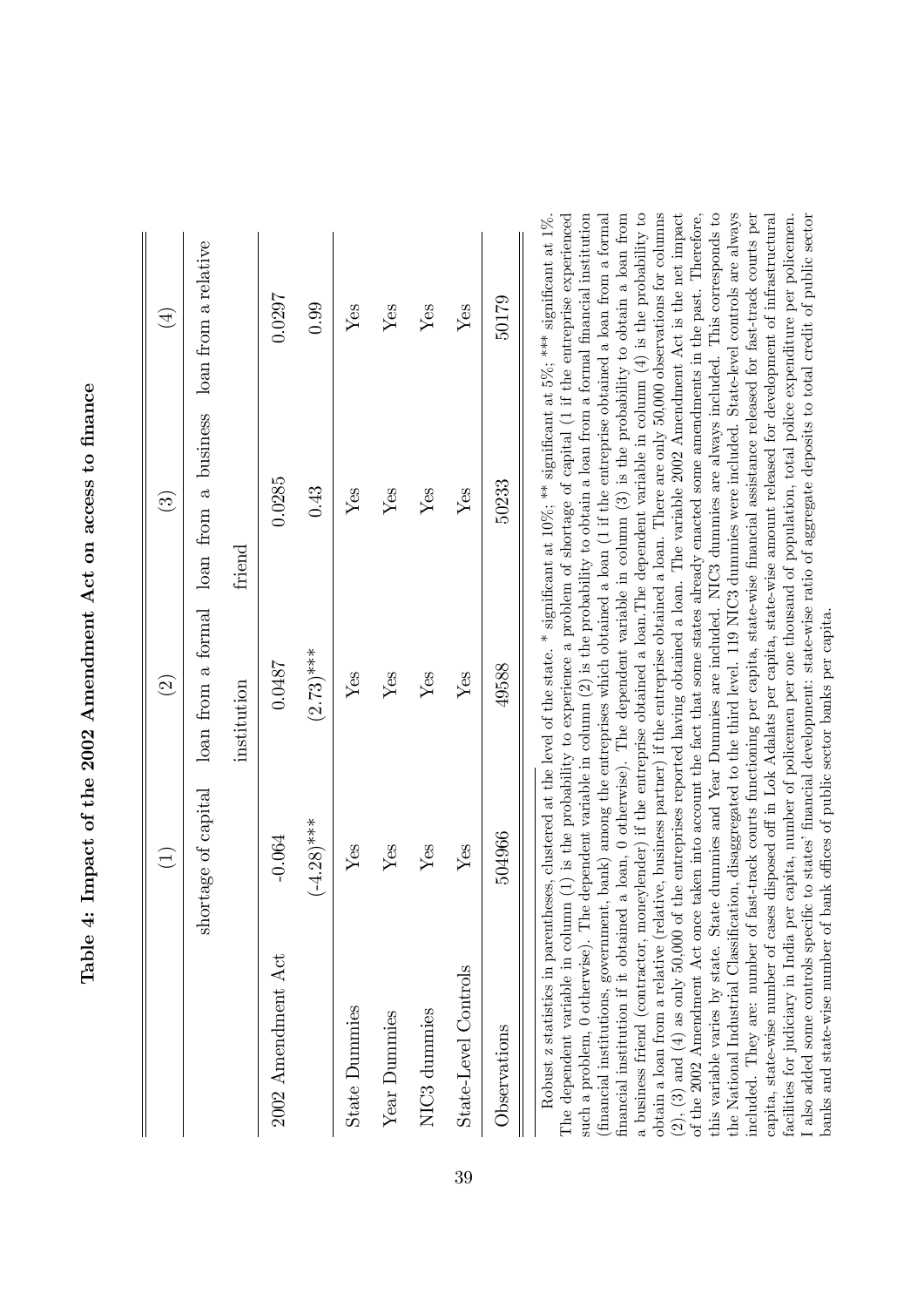| handari A.F. A.F. and the Handari                                     |
|-----------------------------------------------------------------------|
|                                                                       |
| ֧ׅ֧ׅ֧֧֧֦֧ׅ֧ׅ֧ׅ֧ׅ֧֧ׅ֧֛֛֧֧֧֚֚֚֚֚֚֚֚֚֚֚֚֚֚֚֚֚֡֕֜֓֜֓֝֓֝֓֜֓֜֓֜֓֜֓֝֓֜֓֜֝֬֝֬ |
| ֖֖֖֖ׅׅ֧ׅ֖֧ׅ֧֪֧֚֚֚֚֚֚֚֚֚֚֚֚֚֚֚֚֚֚֚֚֚֚֚֚֚֚֚֚֚֡֝֝֬֓֞֝֓֞֝֬֓֞֝֬֝           |
|                                                                       |
| $\frac{1}{2}$                                                         |
| )<br>;<br>;                                                           |
|                                                                       |
| .<br>.<br>.<br>.<br>.<br>י<br>i<br>I                                  |
|                                                                       |
| .<br>،<br>I                                                           |

|                          | $\bigoplus$  | $\odot$     | $\widehat{\mathbf{G}}$                                                           | $\left( \frac{1}{2} \right)$ |
|--------------------------|--------------|-------------|----------------------------------------------------------------------------------|------------------------------|
|                          |              |             | shortage of capital loan from a formal loan from a business loan from a relative |                              |
|                          |              | institution | friend                                                                           |                              |
| 2002 Amendment Act       | $-0.064$     | 0.0487      | 0.0285                                                                           | 0.0297                       |
|                          | $(-4.28)***$ | $(2.73)***$ | 0.43                                                                             | 0.99                         |
| <b>State Dummies</b>     | Yes          | Yes         | Yes                                                                              | Yes                          |
| Year Dummies             | Yes          | Yes         | Yes                                                                              | Yes                          |
| NIC <sub>3</sub> dummies | Yes          | Yes         | Yes                                                                              | Yes                          |
| State-Level Controls     | Yes          | Yes         | Yes                                                                              | Yes                          |
| Observations             | 504966       | 49588       | 50233                                                                            | 50179                        |
|                          |              |             |                                                                                  |                              |

obtain a loan from a relative (relative, business partner) if the entreprise obtained a loan. There are only 50,000 observations for columns The dependent variable in column  $(1)$  is the probability to experience a problem of shortage of capital  $(1 \text{ if the entries experienced})$ such a problem, 0 otherwise). The dependent variable in column  $(2)$  is the probability to obtain a loan from a formal financial institution financial institutions, government, bank) among the entreprises which obtained a loan (1 if the entreprise obtained a loan from a formal inancial institution if it obtained a loan,  $0$  otherwise). The dependent variable in column  $(3)$  is the probability to obtain a loan from a business friend (contractor, moneylender) if the entreprise obtained a loan. The dependent variable in column  $(4)$  is the probability to 2), (3) and (4) as only 50,000 of the entreprises reported having obtained a loan. The variable 2002 Amendment Act is the net impact of the 2002 Amendment Act once taken into account the fact that some states already enacted some amendments in the past. Therefore, this variable varies by state. State dumnies and Year Dumnies are included. NIC3 dumnies are always included. This corresponds to the National Industrial Classification, disaggregated to the third level. 119 NIC3 dummies were included. State-level controls are always included. They are: number of fast-track courts functioning per capita, state-wise financial assistance released for fast-track courts per capita, state-wise number of cases disposed off in Lok Adalats per capita, state-wise amount released for development of infrastructural also added some controls specific to states' financial development: state-wise ratio of aggregate deposits to total credit of public sector Robust z statistics in parentheses, clustered at the level of the state. \* significant at  $10\%$ ; \*\* significant at  $5\%$ ; \*\*\* significant at  $1\%$ . The dependent variable in column (1) is the probability to experience a problem of shortage of capital (1 if the entreprise experienced such a problem, 0 otherwise). The dependent variable in column  $(2)$  is the probability to obtain a loan from a formal financial institution (Önancial institutions, government, bank) among the entreprises which obtained a loan (1 if the entreprise obtained a loan from a formal financial institution if it obtained a loan, 0 otherwise). The dependent variable in column  $(3)$  is the probability to obtain a loan from  $\frac{1}{2}$ a business friend (contractor, moneylender) if the entreprise obtained a loan.The dependent variable in column (4) is the probability to obtain a loan from a relative (relative, business partner) if the entreprise obtained a loan. There are only 50,000 observations for columns (2), (3) and (4) as only 50,000 of the entreprises reported having obtained a loan. The variable 2002 Amendment Act is the net impact of the 2002 Amendment Act once taken into account the fact that some states already enacted some amendments in the past. Therefore, this variable varies by state. State dummies and Year Dummies are included. NIC3 dummies are always included. This corresponds to the National Industrial Classification, disaggregated to the third level. 119 NIC3 dummies were included. State-level controls are always included. They are: number of fast-track courts functioning per capita, state-wise financial assistance released for fast-track courts per capita, state-wise number of cases disposed off in Lok Adalats per capita, state-wise amount released for development of infrastructural facilities for judiciary in India per capita, number of policemen per one thousand of population, total police expenditure per policemen. I also added some controls specific to states' financial development: state-wise ratio of aggregate deposits to total credit of public sector Robust z statistics in parentheses, clustered at the level of the state. \* significant at  $10\%$ ; \*\* significant at  $5\%$ ; \*\*\* significant at  $1\%$ . facilities for judiciary in India per capita, number of policemen per one thousand of population, total police expenditure per policemen. banks and state-wise number of bank offices of public sector banks per capita. banks and state-wise number of bank offices of public sector banks per capita.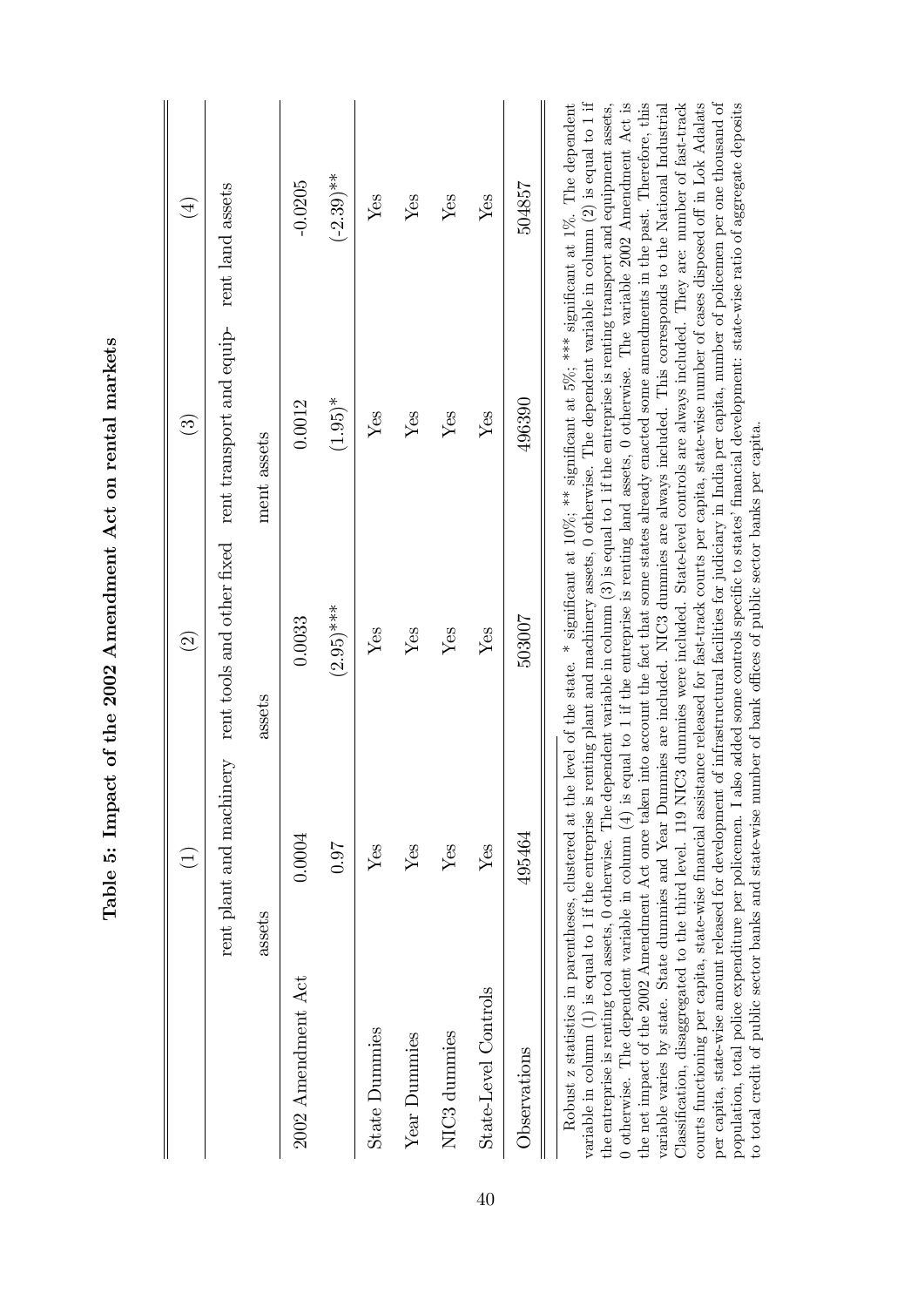| 504857<br>Yes<br>496390<br>Yes<br>503007<br>Yes<br>495464<br>Yes | 2002 Amendment Act<br><b>State Dummies</b><br>NIC <sub>3</sub> dummies<br>Year Dummies | 0.0004<br><b>160</b><br>Yes<br>Yes<br>Yes<br>$\widehat{\Xi}$<br>assets | $(2.95)***$<br>0.0033<br>${\rm Yes}$<br>Yes<br>Yes<br>$\widehat{\mathfrak{O}}$<br>assets | rent plant and machinery rent tools and other fixed rent transport and equip- rent land assets<br>$(1.95)^*$<br>0.0012<br>Yes<br>Yes<br>Yes<br>$\mathfrak{S}$<br>ment assets | $(-2.39)$ **<br>$-0.0205$<br>Yes<br>Yes<br>Yes<br>$\left( \frac{4}{2} \right)$ |
|------------------------------------------------------------------|----------------------------------------------------------------------------------------|------------------------------------------------------------------------|------------------------------------------------------------------------------------------|------------------------------------------------------------------------------------------------------------------------------------------------------------------------------|--------------------------------------------------------------------------------|
|                                                                  | State-Level Controls                                                                   |                                                                        |                                                                                          |                                                                                                                                                                              |                                                                                |
|                                                                  |                                                                                        |                                                                        |                                                                                          |                                                                                                                                                                              |                                                                                |

Table 5: Impact of the 2002 Amendment Act on rental markets Table 5: Impact of the 2002 Amendment Act on rental markets Robust z statistics in parentheses, clustered at the level of the state. \* significant at  $10\%$ ; \*\* significant at  $5\%$ ; \*\*\* significant at  $1\%$ . The dependent variable in column  $(1)$  is equal to 1 if the entreprise is renting plant and machinery assets, 0 otherwise. The dependent variable in column  $(2)$  is equal to 1 if variable in column (1) is equal to 1 if the entreprise is renting plant and machinery assets, 0 otherwise. The dependent variable in column (2) is equal to 1 if the entreprise is renting tool assets, 0 otherwise. The dependent variable in column  $(3)$  is equal to 1 if the entreprise is renting transport and equipment assets, 0 otherwise. The dependent variable in column  $(4)$  is equal to 1 if the entreprise is renting land assets, 0 otherwise. The variable 2002 Amendment Act is 0 otherwise. The dependent variable in column (4) is equal to 1 if the entreprise is renting land assets, 0 otherwise. The variable 2002 Amendment Act is the net impact of the 2002 Amendment Act once taken into account the fact that some states already enacted some amendments in the past. Therefore, this variable varies by state. State dummies and Year Dummies are included. NIC3 dummies are always included. This corresponds to the National Industrial Classification, disaggregated to the third level. 119 NIC3 dummies were included. State-level controls are always included. They are: number of fast-track courts functioning per capita, state-wise financial assistance released for fast-track courts per capita, state-wise number of cases disposed off in Lok Adalats per capita, state-wise amount released for development of infrastructural facilities for judiciary in India per capita, number of policemen per one thousand of population, total police expenditure per policemen. I also added some controls specific to states' financial development: state-wise ratio of aggregate deposits the net impact of the 2002 Amendment Act once taken into account the fact that some states already enacted some amendments in the past. Therefore, this variable varies by state. State dummies and Year Dummies are included. NIC3 dummies are always included. This corresponds to the National Industrial ClassiÖcation, disaggregated to the third level. 119 NIC3 dummies were included. State-level controls are always included. They are: number of fast-track courts functioning per capita, state-wise financial assistance released for fast-track courts per capita, state-wise number of cases disposed off in Lok Adalats per capita, state-wise amount released for development of infrastructural facilities for judiciary in India per capita, number of policemen per one thousand of population, total police expenditure per policemen. I also added some controls specific to states' financial development: state-wise ratio of aggregate deposits Robust z statistics in parentheses, clustered at the level of the state. \* significant at 10%; \*\*\* significant at 5%; \*\*\* significant at 1%. The dependent the entreprise is renting tool assets, 0 otherwise. The dependent variable in column (3) is equal to 1 if the entreprise is renting transport and equipment assets, to total credit of public sector banks and state-wise number of bank offices of public sector banks per capita. to total credit of public sector banks and state-wise number of bank o¢ ces of public sector banks per capita.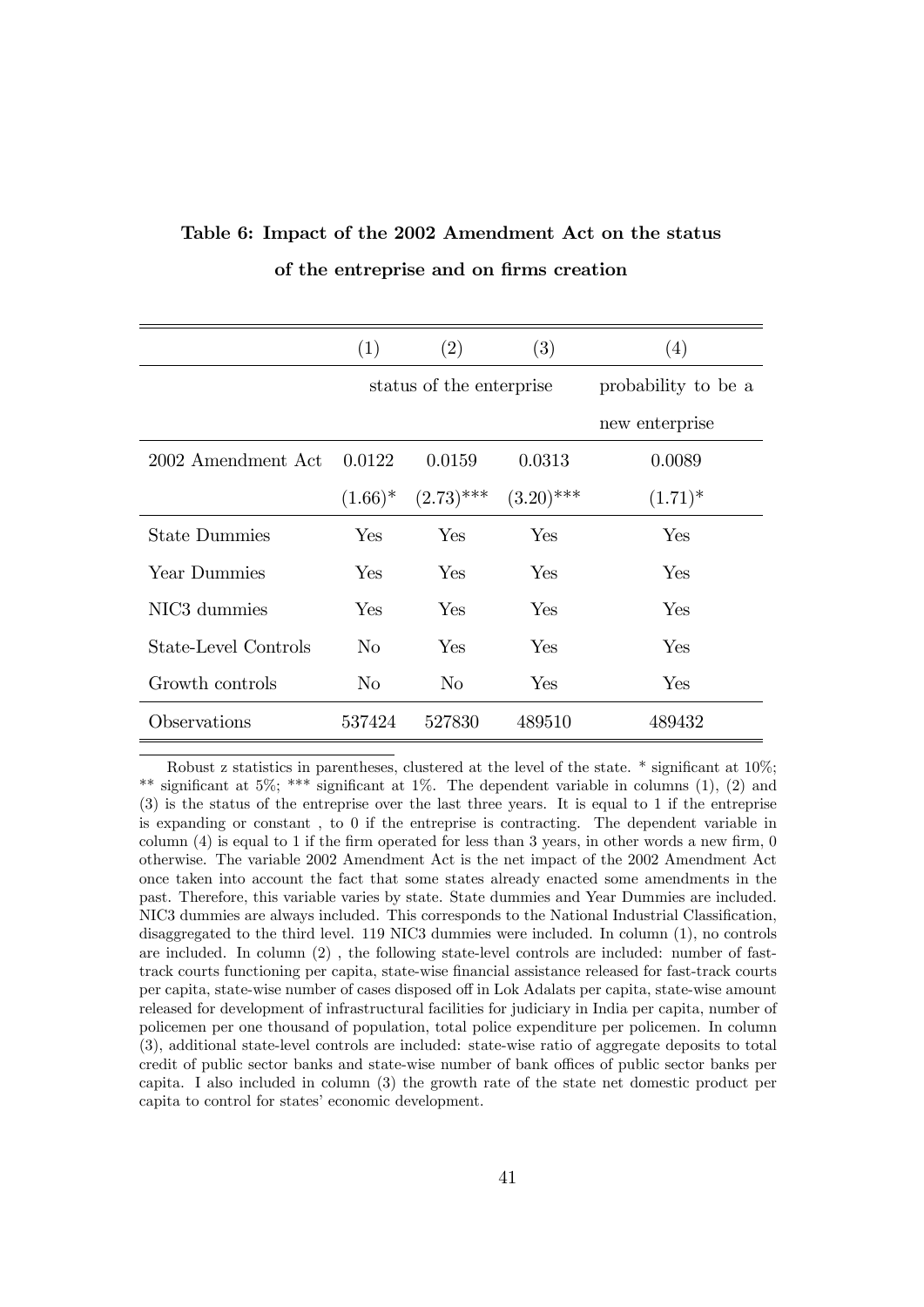|                          | (1)        | (2)                      | (3)          | (4)                 |
|--------------------------|------------|--------------------------|--------------|---------------------|
|                          |            | status of the enterprise |              | probability to be a |
|                          |            |                          |              | new enterprise      |
| 2002 Amendment Act       | 0.0122     | 0.0159                   | 0.0313       | 0.0089              |
|                          | $(1.66)^*$ | $(2.73)$ ***             | $(3.20)$ *** | $(1.71)^*$          |
| <b>State Dummies</b>     | Yes        | Yes                      | Yes          | Yes                 |
| Year Dummies             | Yes        | Yes                      | Yes          | Yes                 |
| NIC <sub>3</sub> dummies | Yes        | Yes                      | Yes          | Yes                 |
| State-Level Controls     | No.        | Yes                      | Yes          | Yes                 |
| Growth controls          | $\rm No$   | N <sub>o</sub>           | Yes          | Yes                 |
| Observations             | 537424     | 527830                   | 489510       | 489432              |

# Table 6: Impact of the 2002 Amendment Act on the status of the entreprise and on firms creation

Robust z statistics in parentheses, clustered at the level of the state.  $*$  significant at  $10\%$ ; \*\* significant at 5%; \*\*\* significant at 1%. The dependent variable in columns  $(1)$ ,  $(2)$  and (3) is the status of the entreprise over the last three years. It is equal to 1 if the entreprise is expanding or constant , to 0 if the entreprise is contracting. The dependent variable in column  $(4)$  is equal to 1 if the firm operated for less than 3 years, in other words a new firm, 0 otherwise. The variable 2002 Amendment Act is the net impact of the 2002 Amendment Act once taken into account the fact that some states already enacted some amendments in the past. Therefore, this variable varies by state. State dummies and Year Dummies are included. NIC3 dummies are always included. This corresponds to the National Industrial Classification, disaggregated to the third level. 119 NIC3 dummies were included. In column (1), no controls are included. In column (2) , the following state-level controls are included: number of fasttrack courts functioning per capita, state-wise financial assistance released for fast-track courts per capita, state-wise number of cases disposed off in Lok Adalats per capita, state-wise amount released for development of infrastructural facilities for judiciary in India per capita, number of policemen per one thousand of population, total police expenditure per policemen. In column (3), additional state-level controls are included: state-wise ratio of aggregate deposits to total credit of public sector banks and state-wise number of bank offices of public sector banks per capita. I also included in column (3) the growth rate of the state net domestic product per capita to control for states' economic development.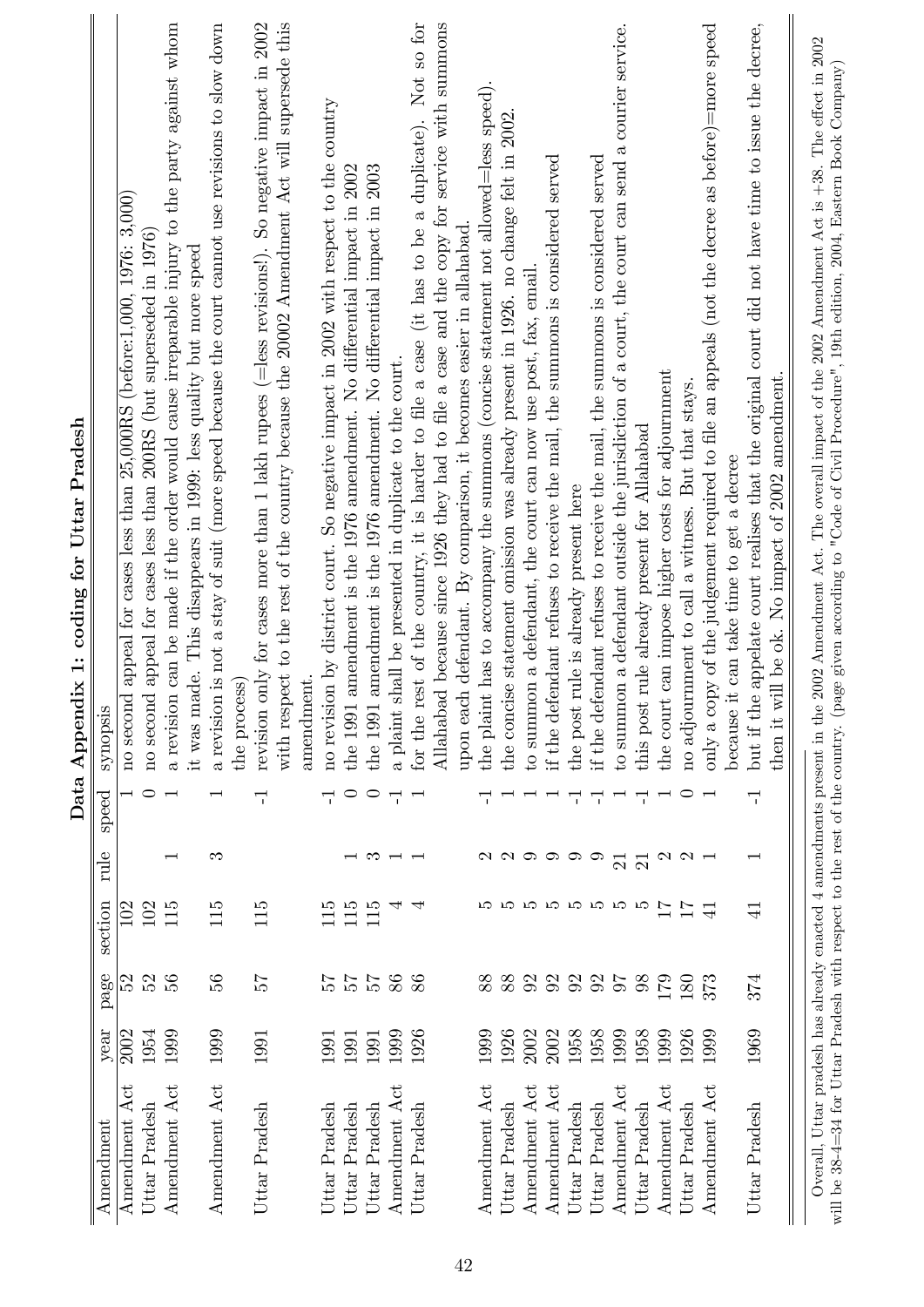|               |      |               |                 |                     | Data           | ix 1: coding for Uttar Pradesh<br>Append                                                                                                                                                                                                                                                                                              |
|---------------|------|---------------|-----------------|---------------------|----------------|---------------------------------------------------------------------------------------------------------------------------------------------------------------------------------------------------------------------------------------------------------------------------------------------------------------------------------------|
| Amendment     | year | page          | section         | rule                | speed          | synopsis                                                                                                                                                                                                                                                                                                                              |
| Amendment Act | 2002 | 52            | 102             |                     |                | appeal for cases less than 25,000RS (before:1,000, 1976: 3,000)<br>no second                                                                                                                                                                                                                                                          |
| Uttar Pradesh | 1954 | 52            | 102             |                     | $\circ$        | appeal for cases less than 200RS (but superseded in 1976)<br>no second                                                                                                                                                                                                                                                                |
| Amendment Act | 1999 | 56            | 115             |                     |                | a revision can be made if the order would cause irreparable injury to the party against whom                                                                                                                                                                                                                                          |
|               |      |               |                 |                     |                | it was made. This disappears in 1999: less quality but more speed                                                                                                                                                                                                                                                                     |
| Amendment Act | 1999 | 36            | 115             | ಣ                   |                | a revision is not a stay of suit (more speed because the court cannot use revisions to slow down<br>the process                                                                                                                                                                                                                       |
| Uttar Pradesh | 1991 | 25            | 115             |                     | 루              | revision only for cases more than 1 lakh rupees ( $=$ less revisions!). So negative impact in 2002                                                                                                                                                                                                                                    |
|               |      |               |                 |                     |                | with respect to the rest of the country because the 20002 Amendment Act will supersede this                                                                                                                                                                                                                                           |
|               |      |               |                 |                     |                | amendment                                                                                                                                                                                                                                                                                                                             |
| Uttar Pradesh | 1991 | 25            | 115             |                     | 루              | no revision by district court. So negative impact in 2002 with respect to the country                                                                                                                                                                                                                                                 |
| Uttar Pradesh | 1991 | $\frac{5}{6}$ | 115             |                     | $\circ$        | amendment is the 1976 amendment. No differential impact in 2002<br>the 1991                                                                                                                                                                                                                                                           |
| Uttar Pradesh | 1991 | $\frac{1}{2}$ | 115             | ಌ                   | $\circ$        | amendment is the 1976 amendment. No differential impact in 2003<br>the 1991                                                                                                                                                                                                                                                           |
| Amendment Act | 1999 | 86            | 4               |                     | 부              | a plaint shall be presented in duplicate to the court.                                                                                                                                                                                                                                                                                |
| Uttar Pradesh | 1926 | 86            | ₹               |                     | $\overline{ }$ | for the rest of the country, it is harder to file a case (it has to be a duplicate). Not so for                                                                                                                                                                                                                                       |
|               |      |               |                 |                     |                | Allahabad because since 1926 they had to file a case and the copy for service with summons                                                                                                                                                                                                                                            |
|               |      |               |                 |                     |                | upon each defendant. By comparison, it becomes easier in allahabad.                                                                                                                                                                                                                                                                   |
| Amendment Act | 1999 | 88            |                 |                     |                | the plaint has to accompany the summons (concise statement not allowed=less speed).                                                                                                                                                                                                                                                   |
| Uttar Pradesh | 1926 | 88            | IJ              | $\mathbf{\Omega}$   |                | the concise statement omission was already present in 1926. no change felt in 2002                                                                                                                                                                                                                                                    |
| Amendment Act | 2002 | 92            | IJ              | $\mathbf{\Omega}$   |                | to summon a defendant, the court can now use post, fax, email                                                                                                                                                                                                                                                                         |
| Amendment Act | 2002 | 92            | ro              | ⊝                   |                | if the defendant refuses to receive the mail, the summons is considered served                                                                                                                                                                                                                                                        |
| Uttar Pradesh | 1958 | 92            | r.              | ⊝                   | 루              | the post rule is already present here                                                                                                                                                                                                                                                                                                 |
| Uttar Pradesh | 1958 | 92            | IJ              | ✑                   | ᅮ              | if the defendant refuses to receive the mail, the summons is considered served                                                                                                                                                                                                                                                        |
| Amendment Act | 1999 | $5\sigma$     | F.              | $\overline{\Omega}$ |                | to summon a defendant outside the jurisdiction of a court, the court can send a courier service.                                                                                                                                                                                                                                      |
| Uttar Pradesh | 1958 | 98            | IJ              | $\overline{\Omega}$ | 루              | rule already present for Allahabad<br>this post                                                                                                                                                                                                                                                                                       |
| Amendment Act | 1999 | 179           | $\overline{17}$ | $\mathfrak{a}$      |                | the court can impose higher costs for adjournment                                                                                                                                                                                                                                                                                     |
| Uttar Pradesh | 1926 | 180           | $\overline{17}$ | $\mathbf{\Omega}$   | $\circ$        | no adjournment to call a witness. But that stays.                                                                                                                                                                                                                                                                                     |
| Amendment Act | 1999 | 373           | $\overline{4}$  |                     |                | only a copy of the judgement required to file an appeals (not the decree as before)=more speed                                                                                                                                                                                                                                        |
|               |      |               |                 |                     |                | because it can take time to get a decree                                                                                                                                                                                                                                                                                              |
| Uttar Pradesh | 1969 | 374           | $\exists$       |                     | 루              | appelate court realises that the original court did not have time to issue the decree,<br>but if the                                                                                                                                                                                                                                  |
|               |      |               |                 |                     |                | ill be ok. No impact of 2002 amendment.<br>$\sum$<br>$\ddot{t}$<br>then                                                                                                                                                                                                                                                               |
| Overall,      |      |               |                 |                     |                | Uttar pradesh has already enacted 4 amendments present in the 2002 Amendment Act. The overall impact of the 2002 Amendment Act is +38. The effect in 2002<br>will be 38-4=34 for Uttar Pradesh with respect to the rest of the country. (page given according to "Code of Civil Procedure", 19th edition, 2004, Eastern Book Company) |